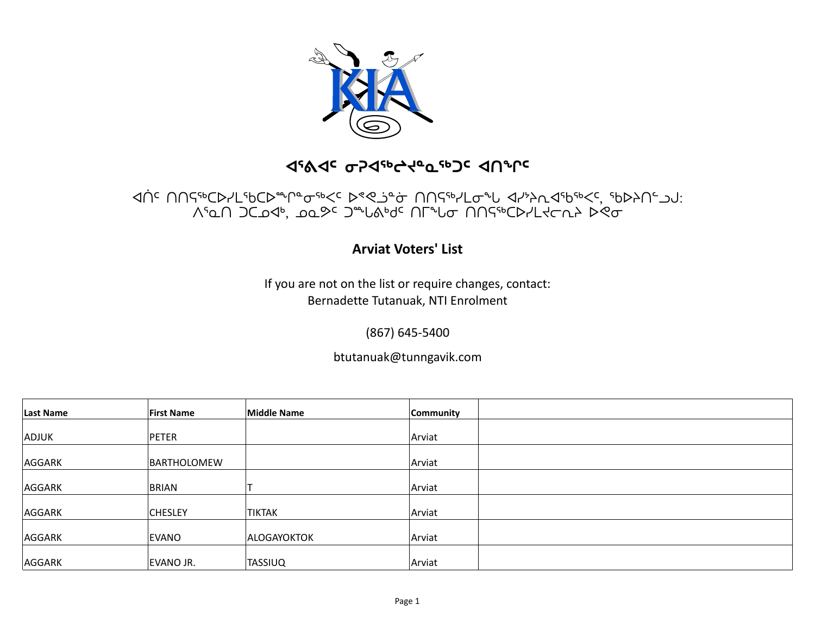

## **ᐊᕐᕕᐊᑦ ᓂᕈᐊᖅᖠᔪᓐᓇᖅᑐᑦ ᐊᑎᖏᑦ**

## ᐊᑏᑦ ᑎᑎᕋᖅᑕᐅᓯᒪᖃᑕᐅᖖᒋᓐᓂᖅᐸᑦ ᐅᕝᕙᓘᓐᓃ ᑎᑎᕋᖅᓯᒪᓂᖓ ᐊᓯᔾᔨᕆᐊᖃᖅᐸᑦ, ᖃᐅᔨᑎᓪᓗᒍ: ∧ՙَҩՈ ϽϹϼኆϧ ൧ҩຯ<sup>ϲ</sup> Ͻ΅Ⴑልϧϥͼ ՈΓ΅Ⴑσ ՈՈϚჼϷϹϷ៸ԼՎϲʹϲͱ Ϸ*Ϙ*ϭ

## **Arviat Voters' List**

If you are not on the list or require changes, contact: Bernadette Tutanuak, NTI Enrolment

(867) 645-5400

btutanuak@tunngavik.com

| Last Name | <b>First Name</b> | <b>Middle Name</b> | Community |  |
|-----------|-------------------|--------------------|-----------|--|
| ADJUK     | PETER             |                    | Arviat    |  |
| AGGARK    | BARTHOLOMEW       |                    | Arviat    |  |
| AGGARK    | BRIAN             |                    | Arviat    |  |
| AGGARK    | <b>CHESLEY</b>    | <b>TIKTAK</b>      | Arviat    |  |
| AGGARK    | EVANO             | ALOGAYOKTOK        | Arviat    |  |
| AGGARK    | EVANO JR.         | <b>TASSIUQ</b>     | Arviat    |  |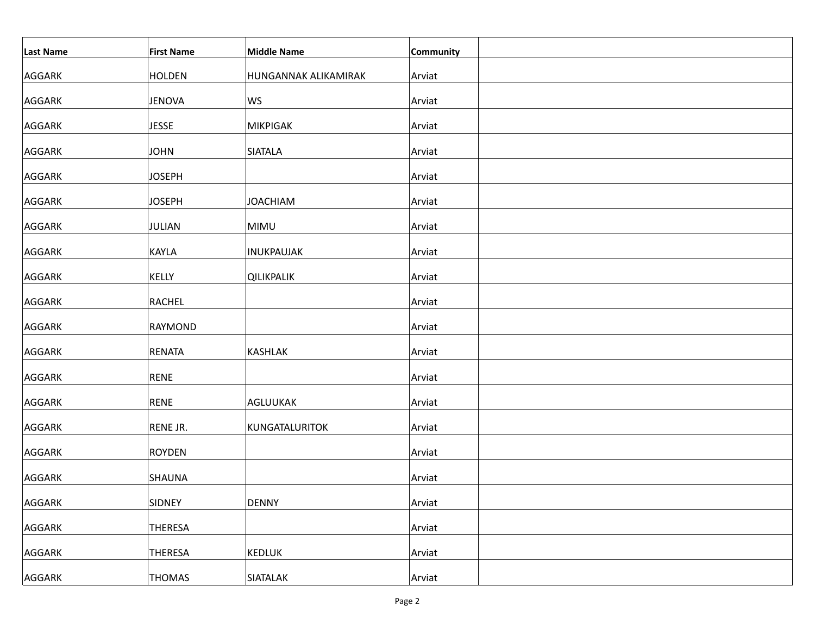| Last Name | <b>First Name</b> | <b>Middle Name</b>   | Community |  |
|-----------|-------------------|----------------------|-----------|--|
| AGGARK    | HOLDEN            | HUNGANNAK ALIKAMIRAK | Arviat    |  |
| AGGARK    | JENOVA            | <b>WS</b>            | Arviat    |  |
| AGGARK    | JESSE             | MIKPIGAK             | Arviat    |  |
| AGGARK    | JOHN              | <b>SIATALA</b>       | Arviat    |  |
| AGGARK    | <b>JOSEPH</b>     |                      | Arviat    |  |
| AGGARK    | <b>JOSEPH</b>     | <b>JOACHIAM</b>      | Arviat    |  |
| AGGARK    | JULIAN            | MIMU                 | Arviat    |  |
| AGGARK    | KAYLA             | INUKPAUJAK           | Arviat    |  |
|           |                   |                      |           |  |
| AGGARK    | KELLY             | <b>QILIKPALIK</b>    | Arviat    |  |
| AGGARK    | RACHEL            |                      | Arviat    |  |
| AGGARK    | RAYMOND           |                      | Arviat    |  |
| AGGARK    | RENATA            | KASHLAK              | Arviat    |  |
| AGGARK    | RENE              |                      | Arviat    |  |
| AGGARK    | RENE              | AGLUUKAK             | Arviat    |  |
| AGGARK    | RENE JR.          | KUNGATALURITOK       | Arviat    |  |
| AGGARK    | ROYDEN            |                      | Arviat    |  |
| AGGARK    | <b>SHAUNA</b>     |                      | Arviat    |  |
| AGGARK    | SIDNEY            | DENNY                | Arviat    |  |
| AGGARK    | <b>THERESA</b>    |                      | Arviat    |  |
| AGGARK    | <b>THERESA</b>    | KEDLUK               | Arviat    |  |
| AGGARK    | <b>THOMAS</b>     | SIATALAK             | Arviat    |  |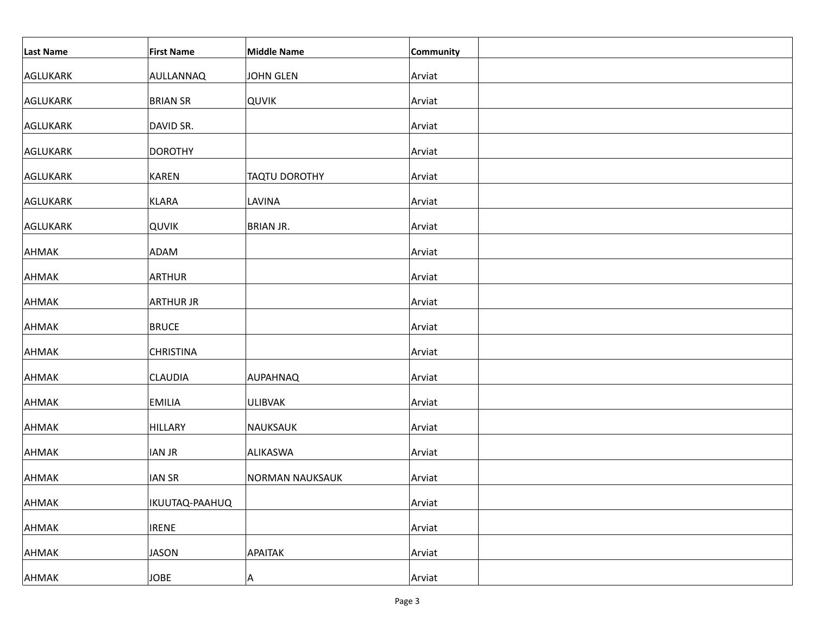| Last Name | <b>First Name</b> | <b>Middle Name</b>     | Community |  |
|-----------|-------------------|------------------------|-----------|--|
| AGLUKARK  | AULLANNAQ         | JOHN GLEN              | Arviat    |  |
| AGLUKARK  | <b>BRIAN SR</b>   | <b>QUVIK</b>           | Arviat    |  |
| AGLUKARK  | DAVID SR.         |                        | Arviat    |  |
| AGLUKARK  | <b>DOROTHY</b>    |                        | Arviat    |  |
| AGLUKARK  | KAREN             | <b>TAQTU DOROTHY</b>   | Arviat    |  |
| AGLUKARK  | KLARA             | <b>LAVINA</b>          | Arviat    |  |
| AGLUKARK  | <b>QUVIK</b>      | <b>BRIAN JR.</b>       | Arviat    |  |
| AHMAK     | ADAM              |                        | Arviat    |  |
| AHMAK     | ARTHUR            |                        | Arviat    |  |
|           |                   |                        |           |  |
| AHMAK     | <b>ARTHUR JR</b>  |                        | Arviat    |  |
| AHMAK     | <b>BRUCE</b>      |                        | Arviat    |  |
| AHMAK     | <b>CHRISTINA</b>  |                        | Arviat    |  |
| AHMAK     | <b>CLAUDIA</b>    | AUPAHNAQ               | Arviat    |  |
| AHMAK     | <b>EMILIA</b>     | ULIBVAK                | Arviat    |  |
| AHMAK     | HILLARY           | NAUKSAUK               | Arviat    |  |
| AHMAK     | IAN JR            | ALIKASWA               | Arviat    |  |
| AHMAK     | IAN SR            | <b>NORMAN NAUKSAUK</b> | Arviat    |  |
| AHMAK     | IKUUTAQ-PAAHUQ    |                        | Arviat    |  |
| AHMAK     | <b>IRENE</b>      |                        | Arviat    |  |
| AHMAK     | JASON             | APAITAK                | Arviat    |  |
| AHMAK     | JOBE              | A                      | Arviat    |  |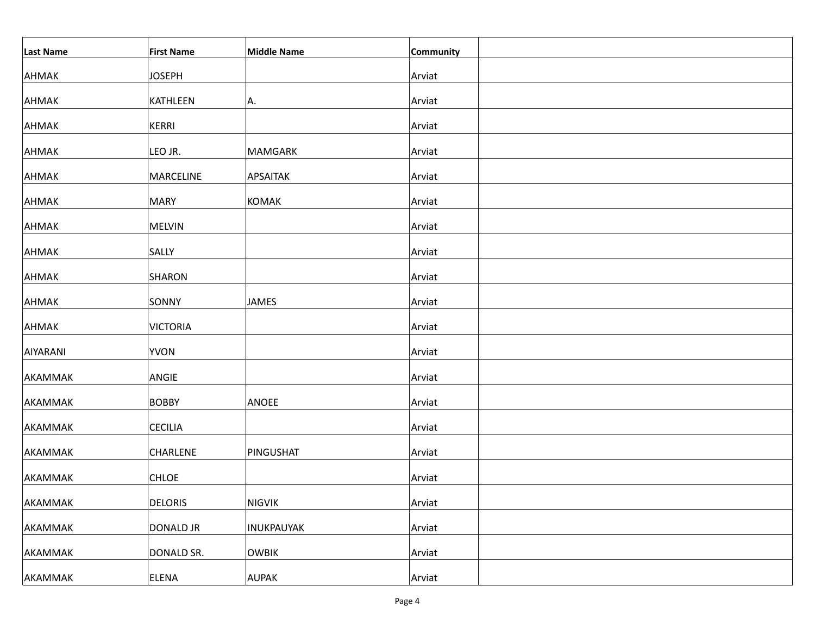| Last Name | <b>First Name</b> | <b>Middle Name</b> | Community |  |
|-----------|-------------------|--------------------|-----------|--|
| AHMAK     | <b>JOSEPH</b>     |                    | Arviat    |  |
| AHMAK     | KATHLEEN          | AA.                | Arviat    |  |
| AHMAK     | KERRI             |                    | Arviat    |  |
| AHMAK     | LEO JR.           | MAMGARK            | Arviat    |  |
|           |                   |                    |           |  |
| AHMAK     | MARCELINE         | APSAITAK           | Arviat    |  |
| AHMAK     | MARY              | KOMAK              | Arviat    |  |
| AHMAK     | MELVIN            |                    | Arviat    |  |
| AHMAK     | SALLY             |                    | Arviat    |  |
| AHMAK     | SHARON            |                    | Arviat    |  |
| AHMAK     | SONNY             | <b>JAMES</b>       | Arviat    |  |
| AHMAK     | <b>VICTORIA</b>   |                    | Arviat    |  |
| AIYARANI  | <b>YVON</b>       |                    | Arviat    |  |
| AKAMMAK   | ANGIE             |                    | Arviat    |  |
| AKAMMAK   | <b>BOBBY</b>      | ANOEE              | Arviat    |  |
| AKAMMAK   | <b>CECILIA</b>    |                    | Arviat    |  |
| AKAMMAK   | CHARLENE          | PINGUSHAT          | Arviat    |  |
| AKAMMAK   | <b>CHLOE</b>      |                    | Arviat    |  |
| AKAMMAK   | <b>DELORIS</b>    | NIGVIK             | Arviat    |  |
| AKAMMAK   | DONALD JR         | INUKPAUYAK         | Arviat    |  |
| AKAMMAK   | DONALD SR.        | <b>OWBIK</b>       | Arviat    |  |
| AKAMMAK   | <b>ELENA</b>      | <b>AUPAK</b>       | Arviat    |  |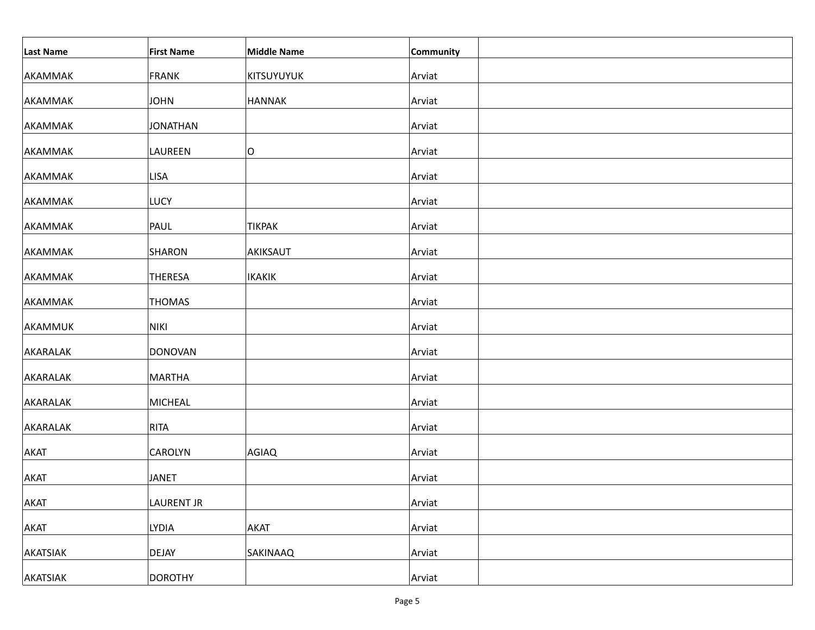| Last Name   | <b>First Name</b> | <b>Middle Name</b> | Community |  |
|-------------|-------------------|--------------------|-----------|--|
| AKAMMAK     | FRANK             | KITSUYUYUK         | Arviat    |  |
| AKAMMAK     | JOHN              | HANNAK             | Arviat    |  |
| AKAMMAK     | JONATHAN          |                    | Arviat    |  |
| AKAMMAK     | LAUREEN           | O                  | Arviat    |  |
| AKAMMAK     | <b>LISA</b>       |                    | Arviat    |  |
| AKAMMAK     | <b>LUCY</b>       |                    | Arviat    |  |
| AKAMMAK     | PAUL              | <b>TIKPAK</b>      | Arviat    |  |
|             | SHARON            | AKIKSAUT           |           |  |
| AKAMMAK     |                   |                    | Arviat    |  |
| AKAMMAK     | <b>THERESA</b>    | <b>IKAKIK</b>      | Arviat    |  |
| AKAMMAK     | <b>THOMAS</b>     |                    | Arviat    |  |
| AKAMMUK     | NIKI              |                    | Arviat    |  |
| AKARALAK    | DONOVAN           |                    | Arviat    |  |
| AKARALAK    | MARTHA            |                    | Arviat    |  |
| AKARALAK    | MICHEAL           |                    | Arviat    |  |
| AKARALAK    | RITA              |                    | Arviat    |  |
| <b>AKAT</b> | CAROLYN           | AGIAQ              | Arviat    |  |
| <b>AKAT</b> | <b>JANET</b>      |                    | Arviat    |  |
| <b>AKAT</b> | LAURENT JR        |                    | Arviat    |  |
| <b>AKAT</b> | <b>LYDIA</b>      | AKAT               | Arviat    |  |
| AKATSIAK    | <b>DEJAY</b>      | SAKINAAQ           | Arviat    |  |
| AKATSIAK    | <b>DOROTHY</b>    |                    | Arviat    |  |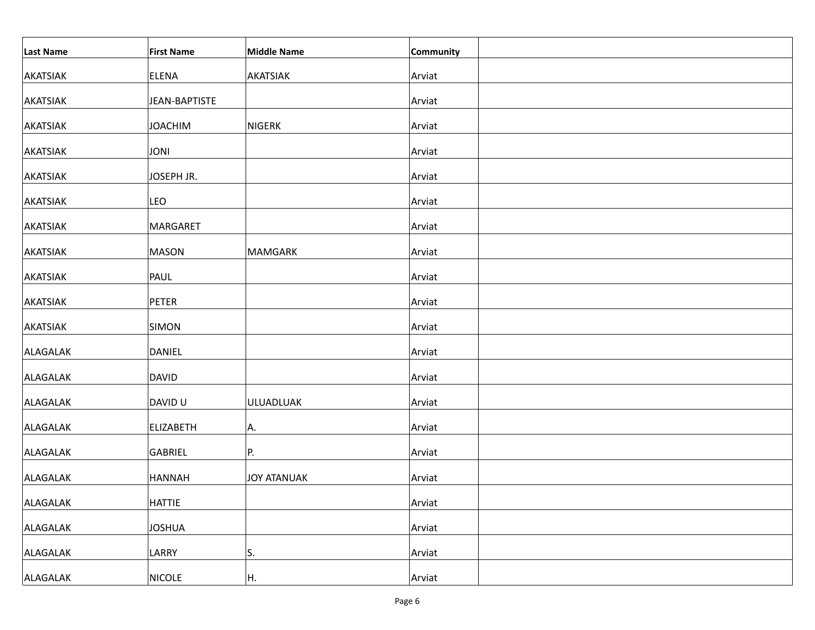| Last Name | <b>First Name</b> | <b>Middle Name</b> | Community |  |
|-----------|-------------------|--------------------|-----------|--|
| AKATSIAK  | <b>ELENA</b>      | AKATSIAK           | Arviat    |  |
| AKATSIAK  | JEAN-BAPTISTE     |                    | Arviat    |  |
| AKATSIAK  | JOACHIM           | NIGERK             | Arviat    |  |
| AKATSIAK  | JONI              |                    | Arviat    |  |
| AKATSIAK  | JOSEPH JR.        |                    | Arviat    |  |
| AKATSIAK  | LEO               |                    | Arviat    |  |
| AKATSIAK  | MARGARET          |                    | Arviat    |  |
| AKATSIAK  | MASON             | MAMGARK            | Arviat    |  |
| AKATSIAK  | PAUL              |                    | Arviat    |  |
|           |                   |                    |           |  |
| AKATSIAK  | PETER             |                    | Arviat    |  |
| AKATSIAK  | <b>SIMON</b>      |                    | Arviat    |  |
| ALAGALAK  | DANIEL            |                    | Arviat    |  |
| ALAGALAK  | DAVID             |                    | Arviat    |  |
| ALAGALAK  | DAVID U           | ULUADLUAK          | Arviat    |  |
| ALAGALAK  | ELIZABETH         | AA.                | Arviat    |  |
| ALAGALAK  | GABRIEL           | P.                 | Arviat    |  |
| ALAGALAK  | HANNAH            | JOY ATANUAK        | Arviat    |  |
| ALAGALAK  | <b>HATTIE</b>     |                    | Arviat    |  |
| ALAGALAK  | JOSHUA            |                    | Arviat    |  |
|           |                   |                    |           |  |
| ALAGALAK  | LARRY             | S.                 | Arviat    |  |
| ALAGALAK  | NICOLE            | H.                 | Arviat    |  |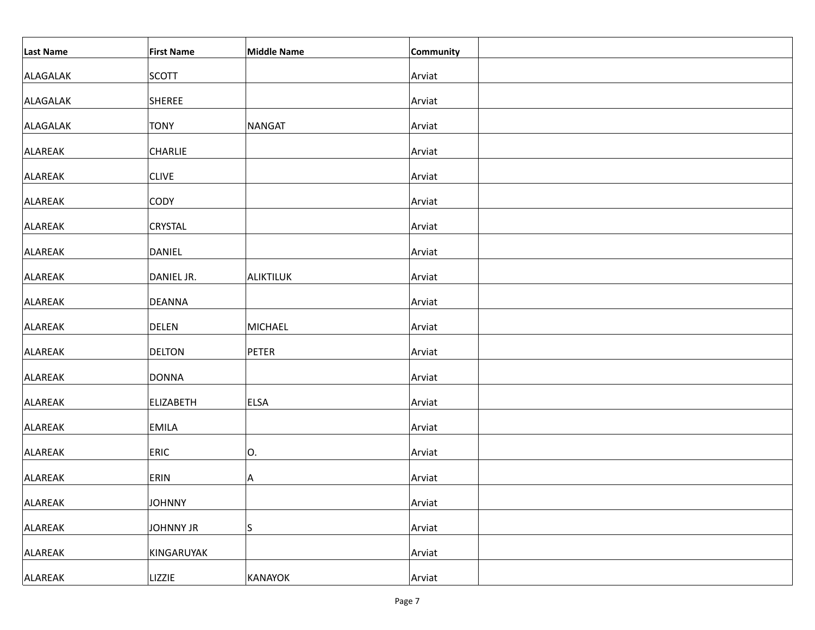| <b>First Name</b> | <b>Middle Name</b>                                                                                                                                                                       | Community                       |                                                                                                                                                     |
|-------------------|------------------------------------------------------------------------------------------------------------------------------------------------------------------------------------------|---------------------------------|-----------------------------------------------------------------------------------------------------------------------------------------------------|
| <b>SCOTT</b>      |                                                                                                                                                                                          | Arviat                          |                                                                                                                                                     |
|                   |                                                                                                                                                                                          |                                 |                                                                                                                                                     |
|                   |                                                                                                                                                                                          |                                 |                                                                                                                                                     |
|                   |                                                                                                                                                                                          |                                 |                                                                                                                                                     |
|                   |                                                                                                                                                                                          |                                 |                                                                                                                                                     |
|                   |                                                                                                                                                                                          |                                 |                                                                                                                                                     |
|                   |                                                                                                                                                                                          |                                 |                                                                                                                                                     |
|                   |                                                                                                                                                                                          |                                 |                                                                                                                                                     |
|                   |                                                                                                                                                                                          |                                 |                                                                                                                                                     |
|                   |                                                                                                                                                                                          |                                 |                                                                                                                                                     |
|                   |                                                                                                                                                                                          |                                 |                                                                                                                                                     |
| <b>DELEN</b>      | MICHAEL                                                                                                                                                                                  | Arviat                          |                                                                                                                                                     |
| <b>DELTON</b>     | PETER                                                                                                                                                                                    | Arviat                          |                                                                                                                                                     |
| DONNA             |                                                                                                                                                                                          | Arviat                          |                                                                                                                                                     |
| <b>ELIZABETH</b>  | <b>ELSA</b>                                                                                                                                                                              | Arviat                          |                                                                                                                                                     |
| <b>EMILA</b>      |                                                                                                                                                                                          | Arviat                          |                                                                                                                                                     |
| <b>ERIC</b>       | О.                                                                                                                                                                                       | Arviat                          |                                                                                                                                                     |
|                   |                                                                                                                                                                                          |                                 |                                                                                                                                                     |
|                   |                                                                                                                                                                                          |                                 |                                                                                                                                                     |
|                   |                                                                                                                                                                                          |                                 |                                                                                                                                                     |
|                   |                                                                                                                                                                                          |                                 |                                                                                                                                                     |
|                   |                                                                                                                                                                                          |                                 |                                                                                                                                                     |
|                   | SHEREE<br>TONY<br>CHARLIE<br><b>CLIVE</b><br><b>CODY</b><br><b>CRYSTAL</b><br>DANIEL<br>DANIEL JR.<br>DEANNA<br><b>ERIN</b><br><b>JOHNNY</b><br>JOHNNY JR<br>KINGARUYAK<br><b>LIZZIE</b> | NANGAT<br>ALIKTILUK<br> A<br>S. | Arviat<br>Arviat<br>Arviat<br>Arviat<br>Arviat<br>Arviat<br>Arviat<br>Arviat<br>Arviat<br>Arviat<br>Arviat<br>Arviat<br>Arviat<br>KANAYOK<br>Arviat |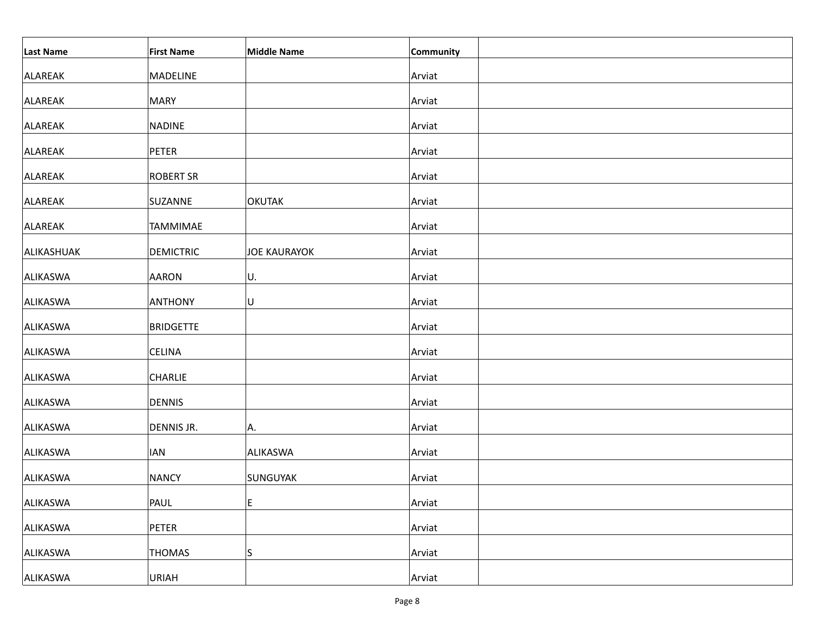| Last Name  | <b>First Name</b> | <b>Middle Name</b> | Community |  |
|------------|-------------------|--------------------|-----------|--|
| ALAREAK    | MADELINE          |                    | Arviat    |  |
| ALAREAK    | MARY              |                    | Arviat    |  |
| ALAREAK    | <b>NADINE</b>     |                    | Arviat    |  |
| ALAREAK    | PETER             |                    | Arviat    |  |
| ALAREAK    | <b>ROBERT SR</b>  |                    | Arviat    |  |
| ALAREAK    | SUZANNE           | <b>OKUTAK</b>      | Arviat    |  |
|            |                   |                    |           |  |
| ALAREAK    | <b>TAMMIMAE</b>   |                    | Arviat    |  |
| ALIKASHUAK | <b>DEMICTRIC</b>  | JOE KAURAYOK       | Arviat    |  |
| ALIKASWA   | AARON             | U.                 | Arviat    |  |
| ALIKASWA   | ANTHONY           | U                  | Arviat    |  |
| ALIKASWA   | <b>BRIDGETTE</b>  |                    | Arviat    |  |
| ALIKASWA   | <b>CELINA</b>     |                    | Arviat    |  |
| ALIKASWA   | <b>CHARLIE</b>    |                    | Arviat    |  |
| ALIKASWA   | <b>DENNIS</b>     |                    | Arviat    |  |
| ALIKASWA   | DENNIS JR.        | A.                 | Arviat    |  |
| ALIKASWA   | <b>IAN</b>        | ALIKASWA           | Arviat    |  |
| ALIKASWA   | <b>NANCY</b>      | SUNGUYAK           | Arviat    |  |
|            |                   |                    |           |  |
| ALIKASWA   | PAUL              | E                  | Arviat    |  |
| ALIKASWA   | PETER             |                    | Arviat    |  |
| ALIKASWA   | <b>THOMAS</b>     | S                  | Arviat    |  |
| ALIKASWA   | <b>URIAH</b>      |                    | Arviat    |  |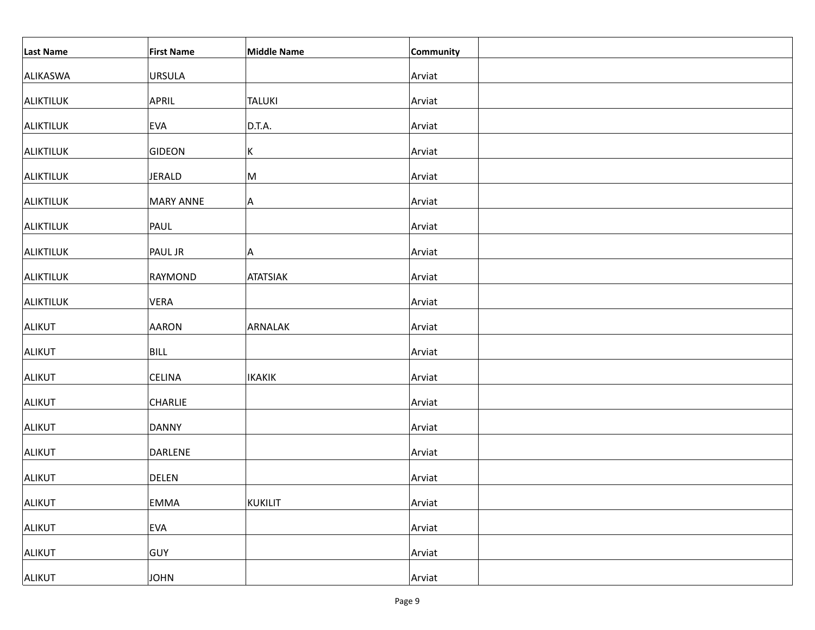| Last Name        | <b>First Name</b> | <b>Middle Name</b> | Community |  |
|------------------|-------------------|--------------------|-----------|--|
| ALIKASWA         | URSULA            |                    | Arviat    |  |
| ALIKTILUK        | <b>APRIL</b>      | <b>TALUKI</b>      | Arviat    |  |
| <b>ALIKTILUK</b> | <b>EVA</b>        | D.T.A.             | Arviat    |  |
| <b>ALIKTILUK</b> | GIDEON            | K                  | Arviat    |  |
| <b>ALIKTILUK</b> | JERALD            | M                  | Arviat    |  |
| <b>ALIKTILUK</b> | <b>MARY ANNE</b>  | A                  | Arviat    |  |
| <b>ALIKTILUK</b> | PAUL              |                    | Arviat    |  |
| <b>ALIKTILUK</b> | <b>PAUL JR</b>    | A                  | Arviat    |  |
|                  |                   | <b>ATATSIAK</b>    |           |  |
| <b>ALIKTILUK</b> | RAYMOND           |                    | Arviat    |  |
| <b>ALIKTILUK</b> | <b>VERA</b>       |                    | Arviat    |  |
| ALIKUT           | AARON             | ARNALAK            | Arviat    |  |
| ALIKUT           | <b>BILL</b>       |                    | Arviat    |  |
| ALIKUT           | <b>CELINA</b>     | <b>IKAKIK</b>      | Arviat    |  |
| ALIKUT           | <b>CHARLIE</b>    |                    | Arviat    |  |
| ALIKUT           | DANNY             |                    | Arviat    |  |
| ALIKUT           | DARLENE           |                    | Arviat    |  |
| <b>ALIKUT</b>    | <b>DELEN</b>      |                    | Arviat    |  |
| ALIKUT           | <b>EMMA</b>       | KUKILIT            | Arviat    |  |
| ALIKUT           | <b>EVA</b>        |                    | Arviat    |  |
|                  |                   |                    |           |  |
| ALIKUT           | GUY               |                    | Arviat    |  |
| ALIKUT           | <b>JOHN</b>       |                    | Arviat    |  |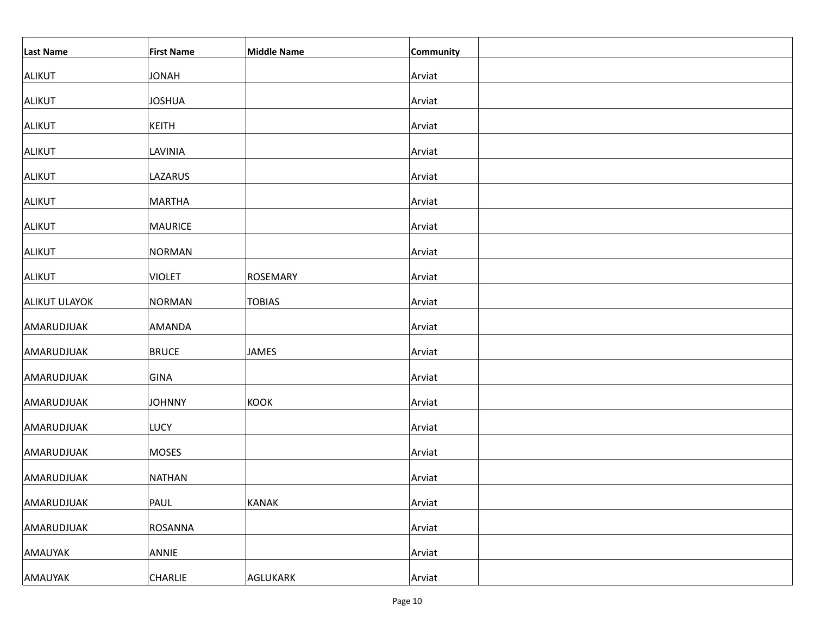| Last Name            | <b>First Name</b> | <b>Middle Name</b> | Community |  |
|----------------------|-------------------|--------------------|-----------|--|
| ALIKUT               | JONAH             |                    | Arviat    |  |
| ALIKUT               | JOSHUA            |                    | Arviat    |  |
| <b>ALIKUT</b>        | KEITH             |                    | Arviat    |  |
| <b>ALIKUT</b>        | LAVINIA           |                    | Arviat    |  |
| ALIKUT               | LAZARUS           |                    | Arviat    |  |
| ALIKUT               | MARTHA            |                    | Arviat    |  |
|                      |                   |                    |           |  |
| ALIKUT               | MAURICE           |                    | Arviat    |  |
| ALIKUT               | NORMAN            |                    | Arviat    |  |
| <b>ALIKUT</b>        | VIOLET            | ROSEMARY           | Arviat    |  |
| <b>ALIKUT ULAYOK</b> | NORMAN            | <b>TOBIAS</b>      | Arviat    |  |
| AMARUDJUAK           | AMANDA            |                    | Arviat    |  |
| AMARUDJUAK           | <b>BRUCE</b>      | <b>JAMES</b>       | Arviat    |  |
| AMARUDJUAK           | GINA              |                    | Arviat    |  |
| AMARUDJUAK           | <b>JOHNNY</b>     | KOOK               | Arviat    |  |
| AMARUDJUAK           | <b>LUCY</b>       |                    | Arviat    |  |
| AMARUDJUAK           | MOSES             |                    | Arviat    |  |
| AMARUDJUAK           | NATHAN            |                    | Arviat    |  |
| AMARUDJUAK           | PAUL              | <b>KANAK</b>       | Arviat    |  |
| AMARUDJUAK           | ROSANNA           |                    | Arviat    |  |
| AMAUYAK              | ANNIE             |                    | Arviat    |  |
| AMAUYAK              | <b>CHARLIE</b>    | AGLUKARK           | Arviat    |  |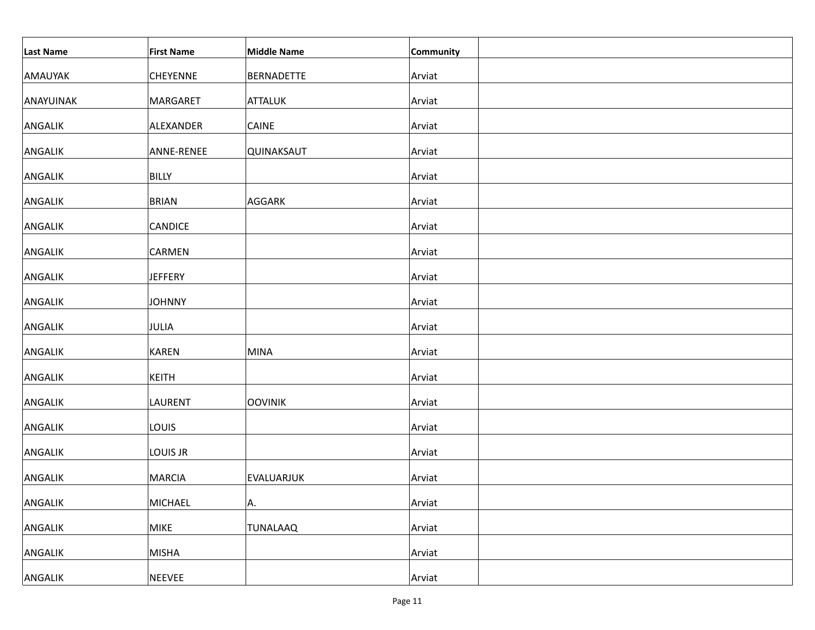| Last Name | <b>First Name</b> | <b>Middle Name</b> | Community |  |
|-----------|-------------------|--------------------|-----------|--|
| AMAUYAK   | <b>CHEYENNE</b>   | BERNADETTE         | Arviat    |  |
| ANAYUINAK | MARGARET          | <b>ATTALUK</b>     | Arviat    |  |
| ANGALIK   | ALEXANDER         | <b>CAINE</b>       | Arviat    |  |
| ANGALIK   | ANNE-RENEE        | QUINAKSAUT         | Arviat    |  |
| ANGALIK   | BILLY             |                    | Arviat    |  |
| ANGALIK   | <b>BRIAN</b>      | AGGARK             | Arviat    |  |
| ANGALIK   | CANDICE           |                    | Arviat    |  |
| ANGALIK   | CARMEN            |                    | Arviat    |  |
|           |                   |                    |           |  |
| ANGALIK   | JEFFERY           |                    | Arviat    |  |
| ANGALIK   | <b>JOHNNY</b>     |                    | Arviat    |  |
| ANGALIK   | JULIA             |                    | Arviat    |  |
| ANGALIK   | KAREN             | MINA               | Arviat    |  |
| ANGALIK   | KEITH             |                    | Arviat    |  |
| ANGALIK   | LAURENT           | <b>OOVINIK</b>     | Arviat    |  |
| ANGALIK   | LOUIS             |                    | Arviat    |  |
| ANGALIK   | LOUIS JR          |                    | Arviat    |  |
| ANGALIK   | MARCIA            | EVALUARJUK         | Arviat    |  |
| ANGALIK   | MICHAEL           | A.                 | Arviat    |  |
| ANGALIK   | MIKE              | <b>TUNALAAQ</b>    | Arviat    |  |
|           |                   |                    |           |  |
| ANGALIK   | MISHA             |                    | Arviat    |  |
| ANGALIK   | NEEVEE            |                    | Arviat    |  |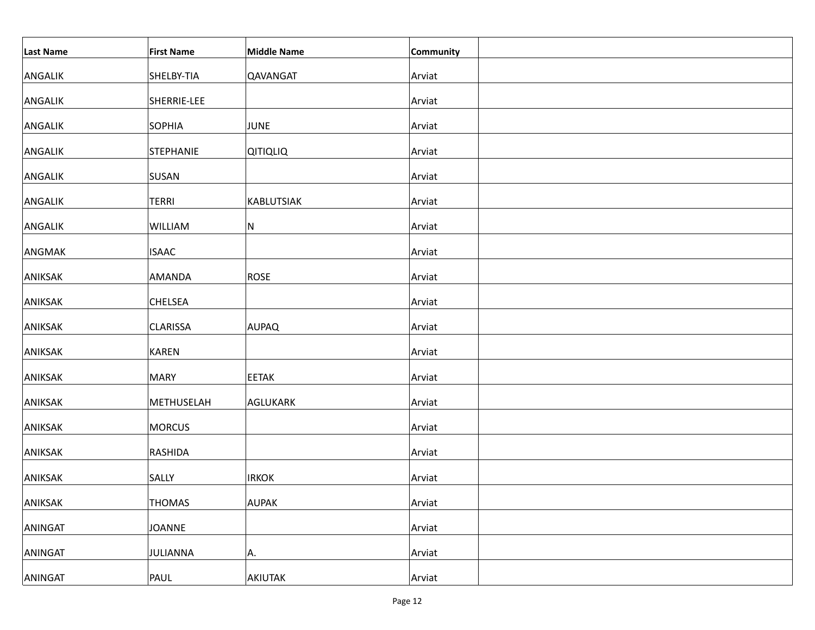| Last Name | <b>First Name</b> | <b>Middle Name</b> | <b>Community</b> |  |
|-----------|-------------------|--------------------|------------------|--|
| ANGALIK   | SHELBY-TIA        | QAVANGAT           | Arviat           |  |
| ANGALIK   | SHERRIE-LEE       |                    | Arviat           |  |
| ANGALIK   | <b>SOPHIA</b>     | JUNE               | Arviat           |  |
| ANGALIK   | STEPHANIE         | <b>QITIQLIQ</b>    | Arviat           |  |
| ANGALIK   | SUSAN             |                    | Arviat           |  |
| ANGALIK   | <b>TERRI</b>      | KABLUTSIAK         | Arviat           |  |
| ANGALIK   | WILLIAM           | N                  | Arviat           |  |
|           |                   |                    |                  |  |
| ANGMAK    | <b>ISAAC</b>      |                    | Arviat           |  |
| ANIKSAK   | AMANDA            | <b>ROSE</b>        | Arviat           |  |
| ANIKSAK   | <b>CHELSEA</b>    |                    | Arviat           |  |
| ANIKSAK   | <b>CLARISSA</b>   | <b>AUPAQ</b>       | Arviat           |  |
| ANIKSAK   | KAREN             |                    | Arviat           |  |
| ANIKSAK   | MARY              | <b>EETAK</b>       | Arviat           |  |
| ANIKSAK   | METHUSELAH        | AGLUKARK           | Arviat           |  |
| ANIKSAK   | MORCUS            |                    | Arviat           |  |
| ANIKSAK   | RASHIDA           |                    | Arviat           |  |
| ANIKSAK   | <b>SALLY</b>      | <b>IRKOK</b>       | Arviat           |  |
| ANIKSAK   | THOMAS            | <b>AUPAK</b>       | Arviat           |  |
| ANINGAT   | JOANNE            |                    | Arviat           |  |
| ANINGAT   | JULIANNA          | A.                 | Arviat           |  |
| ANINGAT   | PAUL              | AKIUTAK            | Arviat           |  |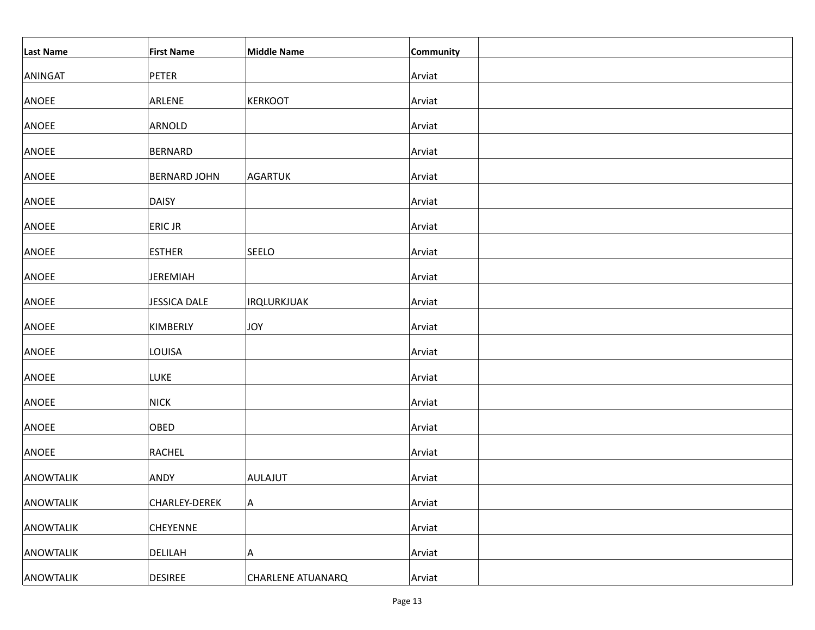| Last Name | <b>First Name</b>    | <b>Middle Name</b>       | Community |  |
|-----------|----------------------|--------------------------|-----------|--|
| ANINGAT   | PETER                |                          | Arviat    |  |
| ANOEE     | ARLENE               | KERKOOT                  | Arviat    |  |
| ANOEE     | ARNOLD               |                          | Arviat    |  |
| ANOEE     | <b>BERNARD</b>       |                          | Arviat    |  |
| ANOEE     | <b>BERNARD JOHN</b>  | AGARTUK                  | Arviat    |  |
| ANOEE     | DAISY                |                          | Arviat    |  |
| ANOEE     | <b>ERIC JR</b>       |                          | Arviat    |  |
| ANOEE     | <b>ESTHER</b>        | <b>SEELO</b>             | Arviat    |  |
| ANOEE     | <b>JEREMIAH</b>      |                          | Arviat    |  |
| ANOEE     | <b>JESSICA DALE</b>  | <b>IRQLURKJUAK</b>       | Arviat    |  |
| ANOEE     | KIMBERLY             | JOY                      | Arviat    |  |
| ANOEE     | LOUISA               |                          | Arviat    |  |
| ANOEE     | <b>LUKE</b>          |                          | Arviat    |  |
| ANOEE     | <b>NICK</b>          |                          | Arviat    |  |
| ANOEE     | OBED                 |                          | Arviat    |  |
| ANOEE     | RACHEL               |                          | Arviat    |  |
| ANOWTALIK | ANDY                 | AULAJUT                  | Arviat    |  |
| ANOWTALIK | <b>CHARLEY-DEREK</b> |                          | Arviat    |  |
|           |                      | A                        |           |  |
| ANOWTALIK | <b>CHEYENNE</b>      |                          | Arviat    |  |
| ANOWTALIK | DELILAH              | Α                        | Arviat    |  |
| ANOWTALIK | <b>DESIREE</b>       | <b>CHARLENE ATUANARQ</b> | Arviat    |  |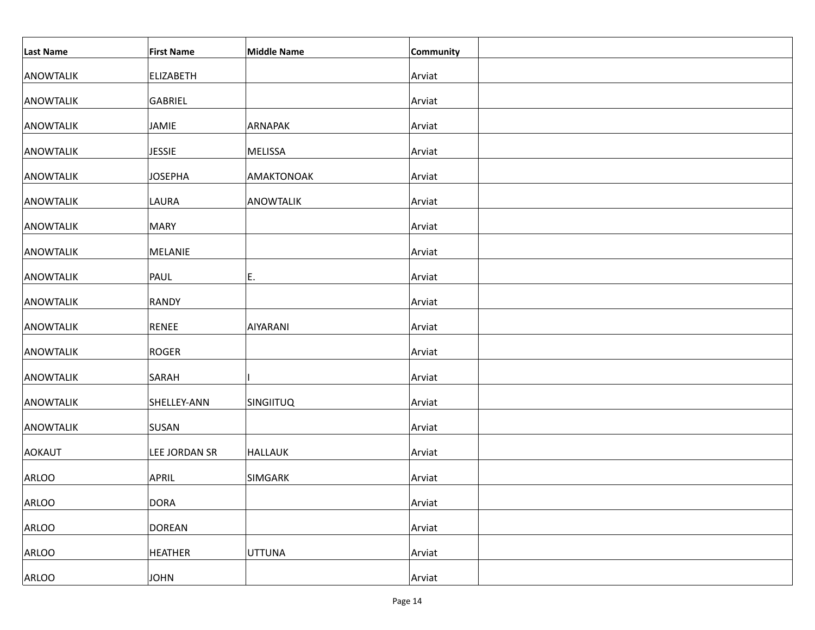| Last Name        | <b>First Name</b> | <b>Middle Name</b> | Community |  |
|------------------|-------------------|--------------------|-----------|--|
| ANOWTALIK        | <b>ELIZABETH</b>  |                    | Arviat    |  |
| ANOWTALIK        | GABRIEL           |                    | Arviat    |  |
| ANOWTALIK        | <b>JAMIE</b>      | ARNAPAK            | Arviat    |  |
| <b>ANOWTALIK</b> | <b>JESSIE</b>     | MELISSA            | Arviat    |  |
| ANOWTALIK        | <b>JOSEPHA</b>    | AMAKTONOAK         | Arviat    |  |
| ANOWTALIK        | <b>LAURA</b>      | ANOWTALIK          | Arviat    |  |
| ANOWTALIK        | MARY              |                    | Arviat    |  |
| ANOWTALIK        | MELANIE           |                    | Arviat    |  |
|                  |                   |                    |           |  |
| ANOWTALIK        | PAUL              | E.                 | Arviat    |  |
| ANOWTALIK        | RANDY             |                    | Arviat    |  |
| ANOWTALIK        | RENEE             | AIYARANI           | Arviat    |  |
| ANOWTALIK        | ROGER             |                    | Arviat    |  |
| ANOWTALIK        | SARAH             |                    | Arviat    |  |
| ANOWTALIK        | SHELLEY-ANN       | SINGIITUQ          | Arviat    |  |
| ANOWTALIK        | SUSAN             |                    | Arviat    |  |
| <b>AOKAUT</b>    | LEE JORDAN SR     | HALLAUK            | Arviat    |  |
| ARLOO            | APRIL             | SIMGARK            | Arviat    |  |
|                  |                   |                    |           |  |
| ARLOO            | DORA              |                    | Arviat    |  |
| ARLOO            | DOREAN            |                    | Arviat    |  |
| ARLOO            | <b>HEATHER</b>    | UTTUNA             | Arviat    |  |
| ARLOO            | <b>JOHN</b>       |                    | Arviat    |  |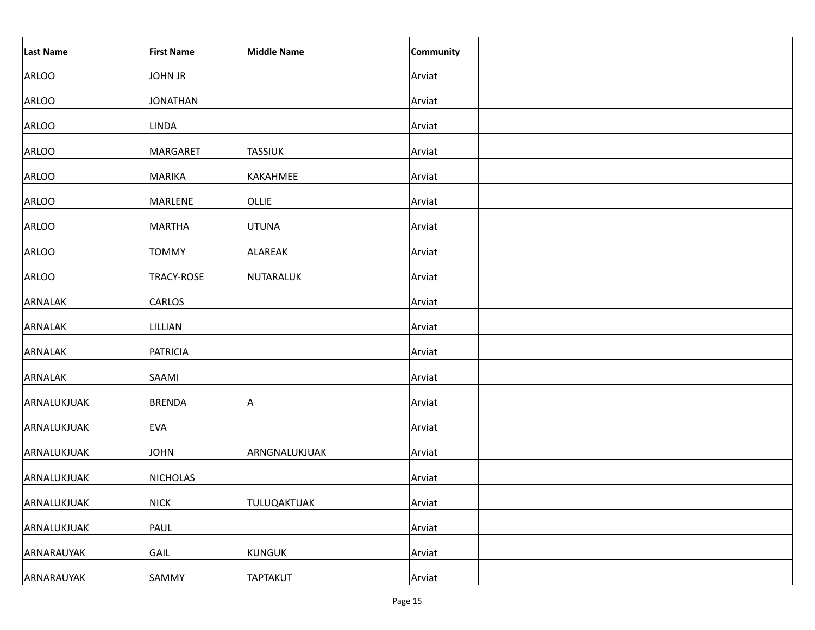| Last Name    | <b>First Name</b> | <b>Middle Name</b> | Community |  |
|--------------|-------------------|--------------------|-----------|--|
| <b>ARLOO</b> | JOHN JR           |                    | Arviat    |  |
| <b>ARLOO</b> | JONATHAN          |                    | Arviat    |  |
| <b>ARLOO</b> | LINDA             |                    | Arviat    |  |
| <b>ARLOO</b> | MARGARET          | <b>TASSIUK</b>     | Arviat    |  |
| <b>ARLOO</b> | MARIKA            | KAKAHMEE           | Arviat    |  |
| <b>ARLOO</b> | MARLENE           | <b>OLLIE</b>       | Arviat    |  |
| <b>ARLOO</b> | MARTHA            | UTUNA              | Arviat    |  |
| <b>ARLOO</b> | <b>TOMMY</b>      | ALAREAK            | Arviat    |  |
| <b>ARLOO</b> | TRACY-ROSE        | NUTARALUK          | Arviat    |  |
| ARNALAK      | CARLOS            |                    | Arviat    |  |
| ARNALAK      | LILLIAN           |                    | Arviat    |  |
| ARNALAK      | <b>PATRICIA</b>   |                    | Arviat    |  |
| ARNALAK      | SAAMI             |                    | Arviat    |  |
| ARNALUKJUAK  | <b>BRENDA</b>     | A                  | Arviat    |  |
| ARNALUKJUAK  | <b>EVA</b>        |                    | Arviat    |  |
| ARNALUKJUAK  | <b>JOHN</b>       | ARNGNALUKJUAK      | Arviat    |  |
| ARNALUKJUAK  | NICHOLAS          |                    | Arviat    |  |
| ARNALUKJUAK  | NICK              | <b>TULUQAKTUAK</b> | Arviat    |  |
| ARNALUKJUAK  | PAUL              |                    | Arviat    |  |
| ARNARAUYAK   | GAIL              | KUNGUK             | Arviat    |  |
| ARNARAUYAK   | SAMMY             | <b>TAPTAKUT</b>    | Arviat    |  |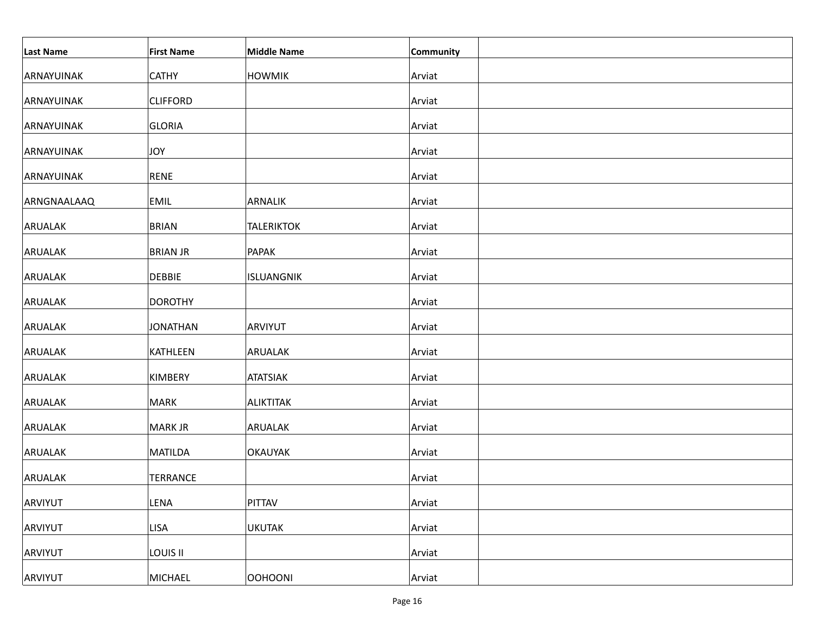| Last Name   | <b>First Name</b> | <b>Middle Name</b> | Community |  |
|-------------|-------------------|--------------------|-----------|--|
| ARNAYUINAK  | <b>CATHY</b>      | <b>HOWMIK</b>      | Arviat    |  |
| ARNAYUINAK  | <b>CLIFFORD</b>   |                    | Arviat    |  |
| ARNAYUINAK  | <b>GLORIA</b>     |                    | Arviat    |  |
| ARNAYUINAK  | <b>JOY</b>        |                    | Arviat    |  |
| ARNAYUINAK  | RENE              |                    | Arviat    |  |
| ARNGNAALAAQ | <b>EMIL</b>       | ARNALIK            | Arviat    |  |
| ARUALAK     | <b>BRIAN</b>      | <b>TALERIKTOK</b>  | Arviat    |  |
| ARUALAK     | <b>BRIAN JR</b>   | PAPAK              | Arviat    |  |
| ARUALAK     | <b>DEBBIE</b>     | ISLUANGNIK         | Arviat    |  |
| ARUALAK     | <b>DOROTHY</b>    |                    | Arviat    |  |
| ARUALAK     | <b>JONATHAN</b>   | ARVIYUT            | Arviat    |  |
| ARUALAK     | KATHLEEN          | ARUALAK            | Arviat    |  |
| ARUALAK     | KIMBERY           | <b>ATATSIAK</b>    | Arviat    |  |
| ARUALAK     | MARK              | ALIKTITAK          | Arviat    |  |
| ARUALAK     | <b>MARK JR</b>    | ARUALAK            | Arviat    |  |
| ARUALAK     | MATILDA           | <b>OKAUYAK</b>     | Arviat    |  |
| ARUALAK     | <b>TERRANCE</b>   |                    | Arviat    |  |
| ARVIYUT     | LENA              | PITTAV             | Arviat    |  |
| ARVIYUT     | <b>LISA</b>       | UKUTAK             | Arviat    |  |
| ARVIYUT     | LOUIS II          |                    | Arviat    |  |
| ARVIYUT     | MICHAEL           | <b>OOHOONI</b>     | Arviat    |  |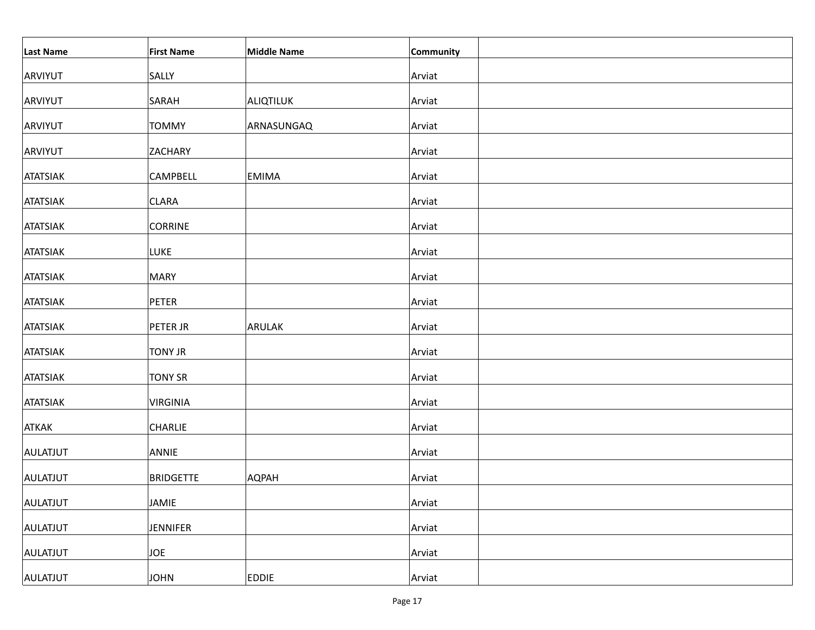| Last Name       | <b>First Name</b> | <b>Middle Name</b> | Community |  |
|-----------------|-------------------|--------------------|-----------|--|
| ARVIYUT         | SALLY             |                    | Arviat    |  |
| ARVIYUT         | SARAH             | ALIQTILUK          | Arviat    |  |
| ARVIYUT         | <b>TOMMY</b>      | ARNASUNGAQ         | Arviat    |  |
| ARVIYUT         | <b>ZACHARY</b>    |                    | Arviat    |  |
| <b>ATATSIAK</b> | <b>CAMPBELL</b>   | <b>EMIMA</b>       | Arviat    |  |
| <b>ATATSIAK</b> | <b>CLARA</b>      |                    | Arviat    |  |
| <b>ATATSIAK</b> | <b>CORRINE</b>    |                    | Arviat    |  |
| ATATSIAK        | LUKE              |                    | Arviat    |  |
| <b>ATATSIAK</b> | MARY              |                    | Arviat    |  |
| <b>ATATSIAK</b> | PETER             |                    | Arviat    |  |
|                 |                   | ARULAK             |           |  |
| <b>ATATSIAK</b> | <b>PETER JR</b>   |                    | Arviat    |  |
| <b>ATATSIAK</b> | <b>TONY JR</b>    |                    | Arviat    |  |
| <b>ATATSIAK</b> | <b>TONY SR</b>    |                    | Arviat    |  |
| <b>ATATSIAK</b> | <b>VIRGINIA</b>   |                    | Arviat    |  |
| <b>ATKAK</b>    | CHARLIE           |                    | Arviat    |  |
| <b>AULATJUT</b> | ANNIE             |                    | Arviat    |  |
| <b>AULATJUT</b> | <b>BRIDGETTE</b>  | <b>AQPAH</b>       | Arviat    |  |
| AULATJUT        | JAMIE             |                    | Arviat    |  |
| AULATJUT        | JENNIFER          |                    | Arviat    |  |
| AULATJUT        | JOE               |                    | Arviat    |  |
| AULATJUT        | JOHN              | <b>EDDIE</b>       | Arviat    |  |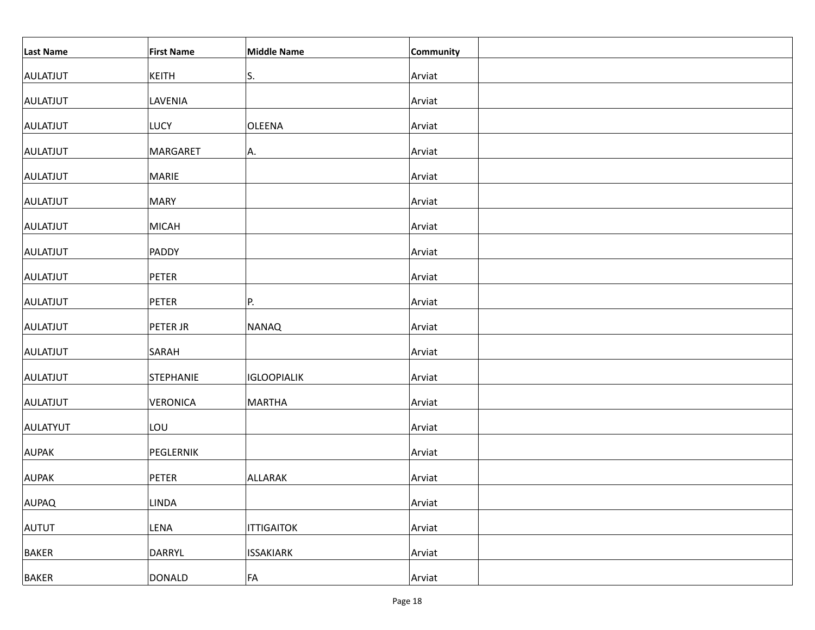| Last Name       | <b>First Name</b> | Middle Name        | Community |  |
|-----------------|-------------------|--------------------|-----------|--|
| AULATJUT        | KEITH             | S.                 | Arviat    |  |
| AULATJUT        | LAVENIA           |                    | Arviat    |  |
| AULATJUT        | <b>LUCY</b>       | <b>OLEENA</b>      | Arviat    |  |
| AULATJUT        | MARGARET          | A.                 | Arviat    |  |
| AULATJUT        | <b>MARIE</b>      |                    | Arviat    |  |
| AULATJUT        | MARY              |                    | Arviat    |  |
| AULATJUT        | MICAH             |                    | Arviat    |  |
| AULATJUT        | PADDY             |                    | Arviat    |  |
| AULATJUT        | PETER             |                    | Arviat    |  |
|                 | PETER             |                    | Arviat    |  |
| <b>AULATJUT</b> |                   | P.                 |           |  |
| AULATJUT        | PETER JR          | NANAQ              | Arviat    |  |
| AULATJUT        | SARAH             |                    | Arviat    |  |
| AULATJUT        | STEPHANIE         | <b>IGLOOPIALIK</b> | Arviat    |  |
| AULATJUT        | VERONICA          | MARTHA             | Arviat    |  |
| AULATYUT        | LOU               |                    | Arviat    |  |
| <b>AUPAK</b>    | PEGLERNIK         |                    | Arviat    |  |
| <b>AUPAK</b>    | PETER             | ALLARAK            | Arviat    |  |
| AUPAQ           | <b>LINDA</b>      |                    | Arviat    |  |
| AUTUT           | LENA              | <b>ITTIGAITOK</b>  | Arviat    |  |
|                 |                   |                    |           |  |
| <b>BAKER</b>    | DARRYL            | <b>ISSAKIARK</b>   | Arviat    |  |
| <b>BAKER</b>    | DONALD            | FA                 | Arviat    |  |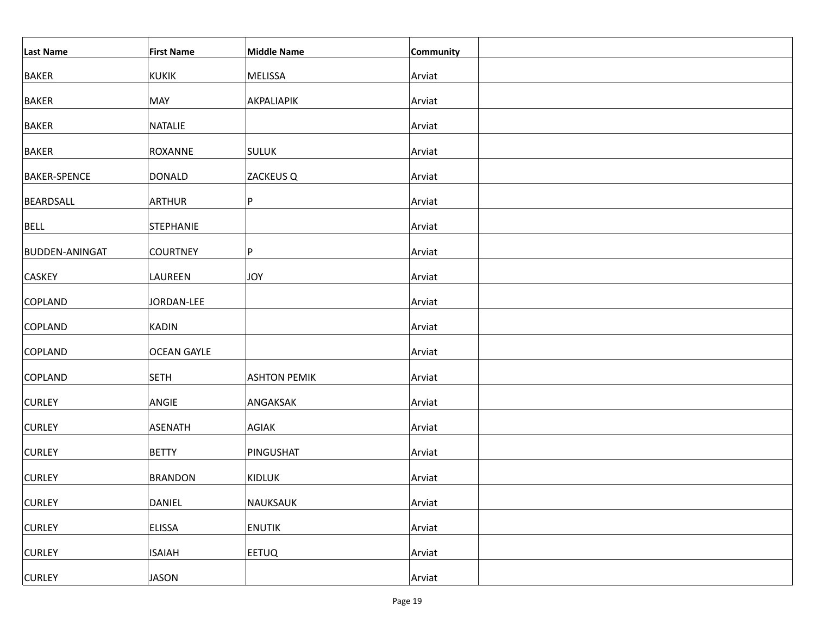| Last Name             | <b>First Name</b>  | <b>Middle Name</b>  | Community |  |
|-----------------------|--------------------|---------------------|-----------|--|
| <b>BAKER</b>          | <b>KUKIK</b>       | MELISSA             | Arviat    |  |
| BAKER                 | MAY                | AKPALIAPIK          | Arviat    |  |
| BAKER                 | <b>NATALIE</b>     |                     | Arviat    |  |
| <b>BAKER</b>          | ROXANNE            | <b>SULUK</b>        | Arviat    |  |
| <b>BAKER-SPENCE</b>   | <b>DONALD</b>      | <b>ZACKEUS Q</b>    | Arviat    |  |
| BEARDSALL             | ARTHUR             | P                   | Arviat    |  |
|                       |                    |                     |           |  |
| <b>BELL</b>           | <b>STEPHANIE</b>   |                     | Arviat    |  |
| <b>BUDDEN-ANINGAT</b> | <b>COURTNEY</b>    | P                   | Arviat    |  |
| <b>CASKEY</b>         | LAUREEN            | JOY                 | Arviat    |  |
| <b>COPLAND</b>        | JORDAN-LEE         |                     | Arviat    |  |
| <b>COPLAND</b>        | KADIN              |                     | Arviat    |  |
| <b>COPLAND</b>        | <b>OCEAN GAYLE</b> |                     | Arviat    |  |
| <b>COPLAND</b>        | <b>SETH</b>        | <b>ASHTON PEMIK</b> | Arviat    |  |
| <b>CURLEY</b>         | ANGIE              | ANGAKSAK            | Arviat    |  |
| <b>CURLEY</b>         | ASENATH            | AGIAK               | Arviat    |  |
| <b>CURLEY</b>         | <b>BETTY</b>       | PINGUSHAT           | Arviat    |  |
| <b>CURLEY</b>         | <b>BRANDON</b>     | KIDLUK              | Arviat    |  |
| <b>CURLEY</b>         | DANIEL             | NAUKSAUK            | Arviat    |  |
| <b>CURLEY</b>         | <b>ELISSA</b>      | <b>ENUTIK</b>       | Arviat    |  |
| <b>CURLEY</b>         | <b>ISAIAH</b>      | <b>EETUQ</b>        | Arviat    |  |
| <b>CURLEY</b>         | <b>JASON</b>       |                     | Arviat    |  |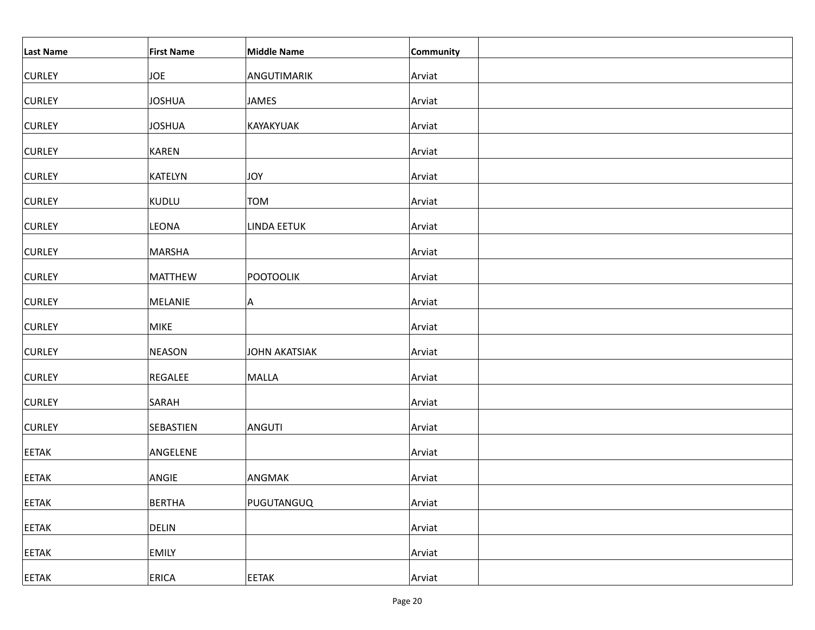| Last Name     | <b>First Name</b> | <b>Middle Name</b> | Community |  |
|---------------|-------------------|--------------------|-----------|--|
| <b>CURLEY</b> | JOE               | ANGUTIMARIK        | Arviat    |  |
| <b>CURLEY</b> | <b>JOSHUA</b>     | <b>JAMES</b>       | Arviat    |  |
| <b>CURLEY</b> | <b>JOSHUA</b>     | KAYAKYUAK          | Arviat    |  |
| <b>CURLEY</b> | <b>KAREN</b>      |                    | Arviat    |  |
| <b>CURLEY</b> | <b>KATELYN</b>    | JOY                | Arviat    |  |
| <b>CURLEY</b> | KUDLU             | <b>TOM</b>         | Arviat    |  |
| <b>CURLEY</b> | LEONA             | LINDA EETUK        | Arviat    |  |
| <b>CURLEY</b> | MARSHA            |                    | Arviat    |  |
| <b>CURLEY</b> | <b>MATTHEW</b>    | POOTOOLIK          | Arviat    |  |
| <b>CURLEY</b> | MELANIE           |                    | Arviat    |  |
|               |                   | Α                  |           |  |
| <b>CURLEY</b> | <b>MIKE</b>       |                    | Arviat    |  |
| <b>CURLEY</b> | <b>NEASON</b>     | JOHN AKATSIAK      | Arviat    |  |
| <b>CURLEY</b> | REGALEE           | MALLA              | Arviat    |  |
| <b>CURLEY</b> | SARAH             |                    | Arviat    |  |
| <b>CURLEY</b> | <b>SEBASTIEN</b>  | ANGUTI             | Arviat    |  |
| <b>EETAK</b>  | ANGELENE          |                    | Arviat    |  |
| <b>EETAK</b>  | ANGIE             | ANGMAK             | Arviat    |  |
| <b>EETAK</b>  | <b>BERTHA</b>     | PUGUTANGUQ         | Arviat    |  |
| <b>EETAK</b>  | <b>DELIN</b>      |                    | Arviat    |  |
| <b>EETAK</b>  | <b>EMILY</b>      |                    | Arviat    |  |
| <b>EETAK</b>  | <b>ERICA</b>      | <b>EETAK</b>       | Arviat    |  |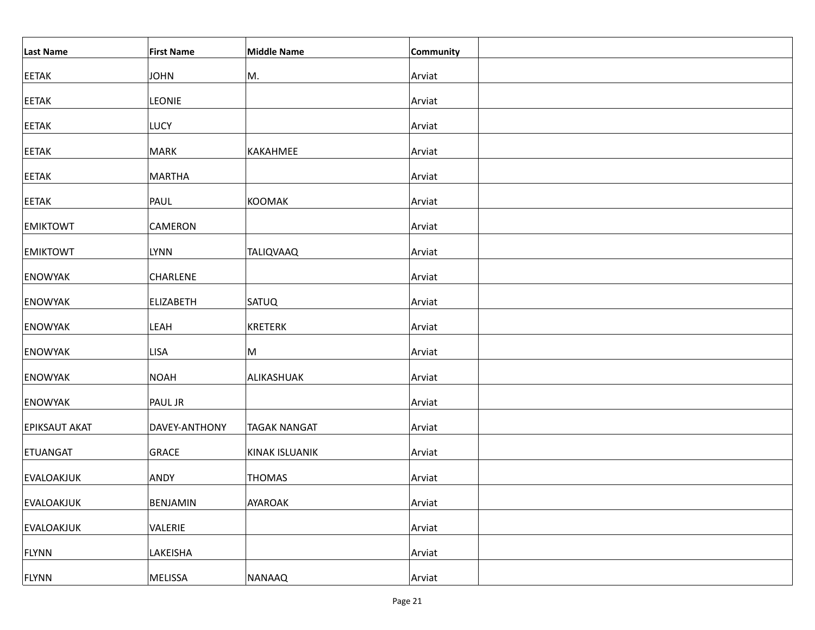| Last Name            | <b>First Name</b> | <b>Middle Name</b>  | Community |  |
|----------------------|-------------------|---------------------|-----------|--|
| <b>EETAK</b>         | <b>JOHN</b>       | M.                  | Arviat    |  |
| <b>EETAK</b>         | <b>LEONIE</b>     |                     | Arviat    |  |
| <b>EETAK</b>         | <b>LUCY</b>       |                     | Arviat    |  |
| <b>EETAK</b>         | <b>MARK</b>       | KAKAHMEE            | Arviat    |  |
| <b>EETAK</b>         | <b>MARTHA</b>     |                     | Arviat    |  |
| <b>EETAK</b>         | PAUL              | <b>KOOMAK</b>       | Arviat    |  |
| <b>EMIKTOWT</b>      | CAMERON           |                     | Arviat    |  |
| <b>EMIKTOWT</b>      | <b>LYNN</b>       | <b>TALIQVAAQ</b>    | Arviat    |  |
| <b>ENOWYAK</b>       | <b>CHARLENE</b>   |                     | Arviat    |  |
| <b>ENOWYAK</b>       | <b>ELIZABETH</b>  | <b>SATUQ</b>        | Arviat    |  |
| <b>ENOWYAK</b>       | LEAH              | KRETERK             | Arviat    |  |
| <b>ENOWYAK</b>       | <b>LISA</b>       | M                   | Arviat    |  |
| <b>ENOWYAK</b>       | NOAH              | ALIKASHUAK          | Arviat    |  |
| <b>ENOWYAK</b>       | <b>PAUL JR</b>    |                     | Arviat    |  |
| <b>EPIKSAUT AKAT</b> | DAVEY-ANTHONY     | <b>TAGAK NANGAT</b> | Arviat    |  |
| <b>ETUANGAT</b>      | GRACE             | KINAK ISLUANIK      | Arviat    |  |
| EVALOAKJUK           | ANDY              | <b>THOMAS</b>       | Arviat    |  |
| EVALOAKJUK           | <b>BENJAMIN</b>   | AYAROAK             | Arviat    |  |
| EVALOAKJUK           | VALERIE           |                     | Arviat    |  |
|                      |                   |                     |           |  |
| FLYNN                | LAKEISHA          |                     | Arviat    |  |
| FLYNN                | MELISSA           | NANAAQ              | Arviat    |  |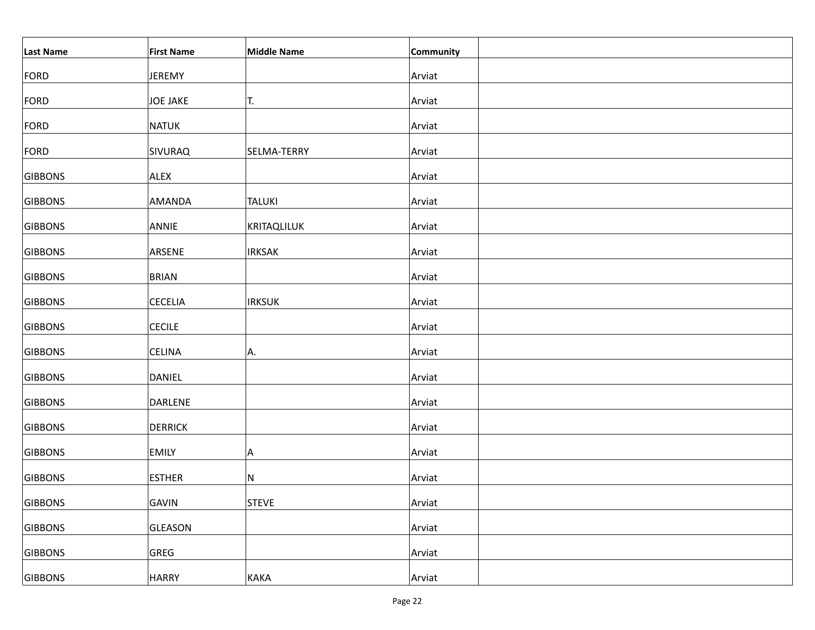| Last Name      | <b>First Name</b> | <b>Middle Name</b> | Community |  |
|----------------|-------------------|--------------------|-----------|--|
| FORD           | <b>JEREMY</b>     |                    | Arviat    |  |
| FORD           | <b>JOE JAKE</b>   | T.                 | Arviat    |  |
| FORD           | <b>NATUK</b>      |                    | Arviat    |  |
| FORD           | <b>SIVURAQ</b>    | SELMA-TERRY        | Arviat    |  |
| <b>GIBBONS</b> | <b>ALEX</b>       |                    | Arviat    |  |
| <b>GIBBONS</b> | AMANDA            | <b>TALUKI</b>      | Arviat    |  |
| <b>GIBBONS</b> | ANNIE             | KRITAQLILUK        | Arviat    |  |
| GIBBONS        | ARSENE            | <b>IRKSAK</b>      | Arviat    |  |
| GIBBONS        | <b>BRIAN</b>      |                    | Arviat    |  |
| <b>GIBBONS</b> | <b>CECELIA</b>    | <b>IRKSUK</b>      | Arviat    |  |
| <b>GIBBONS</b> | <b>CECILE</b>     |                    | Arviat    |  |
| GIBBONS        | <b>CELINA</b>     | A.                 | Arviat    |  |
| <b>GIBBONS</b> | DANIEL            |                    | Arviat    |  |
| <b>GIBBONS</b> | DARLENE           |                    | Arviat    |  |
| <b>GIBBONS</b> | <b>DERRICK</b>    |                    | Arviat    |  |
| GIBBONS        | <b>EMILY</b>      | A                  | Arviat    |  |
| <b>GIBBONS</b> | <b>ESTHER</b>     | N                  | Arviat    |  |
| <b>GIBBONS</b> | GAVIN             | <b>STEVE</b>       | Arviat    |  |
| <b>GIBBONS</b> | GLEASON           |                    | Arviat    |  |
| <b>GIBBONS</b> | GREG              |                    | Arviat    |  |
| <b>GIBBONS</b> | <b>HARRY</b>      | KAKA               | Arviat    |  |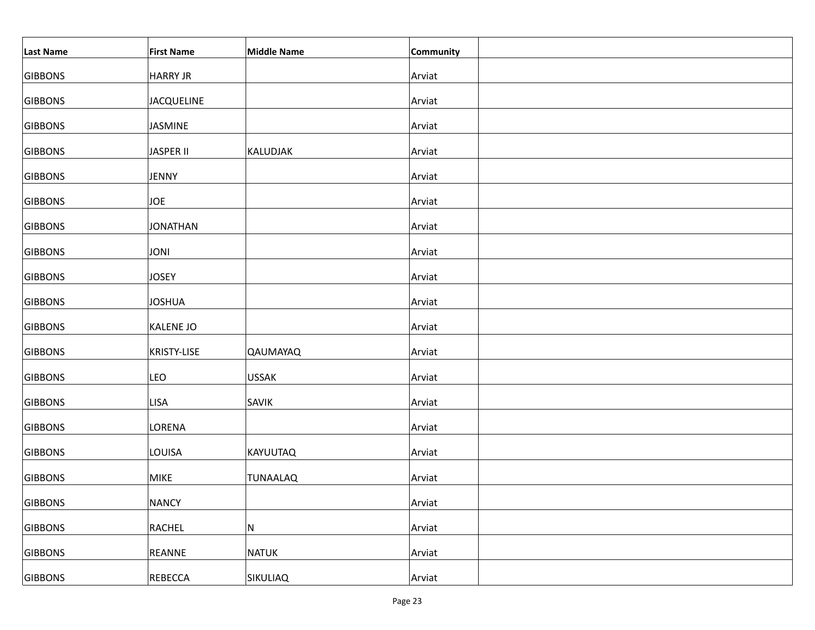| Last Name      | <b>First Name</b> | <b>Middle Name</b> | Community |  |
|----------------|-------------------|--------------------|-----------|--|
| <b>GIBBONS</b> | <b>HARRY JR</b>   |                    | Arviat    |  |
| <b>GIBBONS</b> | <b>JACQUELINE</b> |                    | Arviat    |  |
| <b>GIBBONS</b> | JASMINE           |                    | Arviat    |  |
| <b>GIBBONS</b> | <b>JASPER II</b>  | KALUDJAK           | Arviat    |  |
| <b>GIBBONS</b> | <b>JENNY</b>      |                    | Arviat    |  |
| <b>GIBBONS</b> | JOE               |                    | Arviat    |  |
| <b>GIBBONS</b> | <b>JONATHAN</b>   |                    | Arviat    |  |
| <b>GIBBONS</b> | <b>JONI</b>       |                    | Arviat    |  |
| GIBBONS        | <b>JOSEY</b>      |                    | Arviat    |  |
| GIBBONS        | <b>JOSHUA</b>     |                    | Arviat    |  |
| GIBBONS        | <b>KALENE JO</b>  |                    | Arviat    |  |
| GIBBONS        | KRISTY-LISE       | QAUMAYAQ           | Arviat    |  |
| GIBBONS        | LEO               | <b>USSAK</b>       | Arviat    |  |
| <b>GIBBONS</b> | <b>LISA</b>       | <b>SAVIK</b>       | Arviat    |  |
| <b>GIBBONS</b> | LORENA            |                    | Arviat    |  |
| <b>GIBBONS</b> | LOUISA            | KAYUUTAQ           | Arviat    |  |
| <b>GIBBONS</b> | <b>MIKE</b>       | <b>TUNAALAQ</b>    | Arviat    |  |
| GIBBONS        | NANCY             |                    | Arviat    |  |
| <b>GIBBONS</b> | RACHEL            | N                  | Arviat    |  |
| <b>GIBBONS</b> | REANNE            | NATUK              | Arviat    |  |
| <b>GIBBONS</b> | REBECCA           | <b>SIKULIAQ</b>    | Arviat    |  |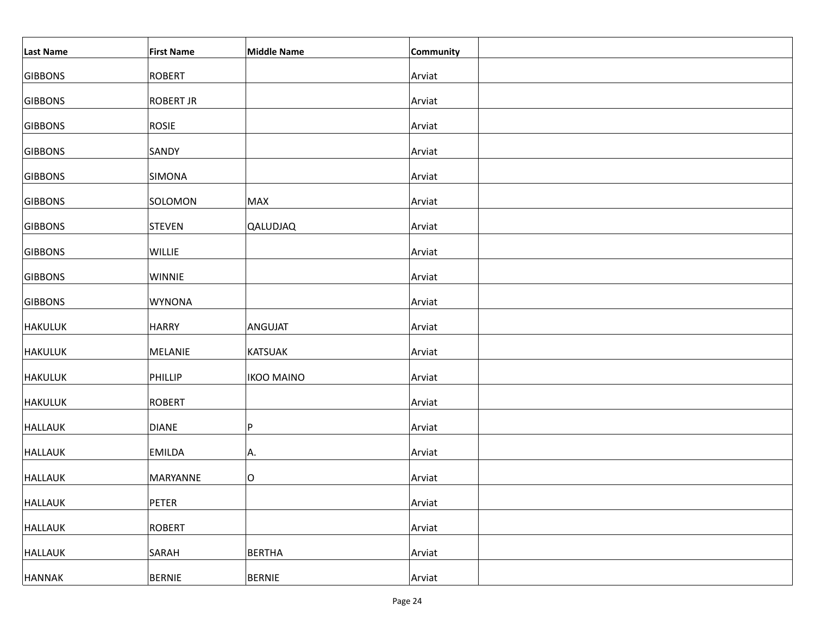| Last Name      | <b>First Name</b> | <b>Middle Name</b> | Community |  |
|----------------|-------------------|--------------------|-----------|--|
| <b>GIBBONS</b> | ROBERT            |                    | Arviat    |  |
| <b>GIBBONS</b> | <b>ROBERT JR</b>  |                    | Arviat    |  |
| <b>GIBBONS</b> | ROSIE             |                    | Arviat    |  |
| <b>GIBBONS</b> | SANDY             |                    | Arviat    |  |
| <b>GIBBONS</b> | SIMONA            |                    | Arviat    |  |
| <b>GIBBONS</b> | SOLOMON           | MAX                | Arviat    |  |
| <b>GIBBONS</b> | <b>STEVEN</b>     | <b>QALUDJAQ</b>    | Arviat    |  |
| <b>GIBBONS</b> | WILLIE            |                    | Arviat    |  |
| GIBBONS        | WINNIE            |                    | Arviat    |  |
| <b>GIBBONS</b> | WYNONA            |                    | Arviat    |  |
|                |                   |                    |           |  |
| HAKULUK        | HARRY             | ANGUJAT            | Arviat    |  |
| <b>HAKULUK</b> | MELANIE           | KATSUAK            | Arviat    |  |
| <b>HAKULUK</b> | PHILLIP           | IKOO MAINO         | Arviat    |  |
| HAKULUK        | ROBERT            |                    | Arviat    |  |
| HALLAUK        | <b>DIANE</b>      | l P                | Arviat    |  |
| <b>HALLAUK</b> | <b>EMILDA</b>     | AA.                | Arviat    |  |
| <b>HALLAUK</b> | MARYANNE          | 0                  | Arviat    |  |
| HALLAUK        | PETER             |                    | Arviat    |  |
| <b>HALLAUK</b> | ROBERT            |                    | Arviat    |  |
| <b>HALLAUK</b> | SARAH             | <b>BERTHA</b>      | Arviat    |  |
|                |                   |                    |           |  |
| HANNAK         | <b>BERNIE</b>     | <b>BERNIE</b>      | Arviat    |  |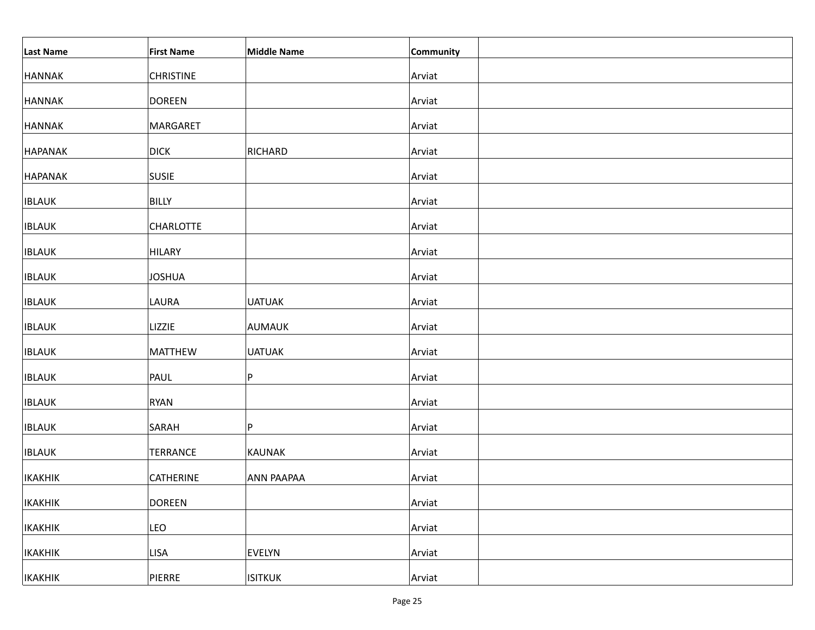| Last Name      | <b>First Name</b> | <b>Middle Name</b> | Community |  |
|----------------|-------------------|--------------------|-----------|--|
| HANNAK         | <b>CHRISTINE</b>  |                    | Arviat    |  |
| HANNAK         | DOREEN            |                    | Arviat    |  |
| HANNAK         | MARGARET          |                    | Arviat    |  |
| <b>HAPANAK</b> | <b>DICK</b>       | RICHARD            | Arviat    |  |
| <b>HAPANAK</b> | <b>SUSIE</b>      |                    | Arviat    |  |
| <b>IBLAUK</b>  | <b>BILLY</b>      |                    | Arviat    |  |
|                |                   |                    |           |  |
| <b>IBLAUK</b>  | <b>CHARLOTTE</b>  |                    | Arviat    |  |
| <b>IBLAUK</b>  | HILARY            |                    | Arviat    |  |
| <b>IBLAUK</b>  | <b>JOSHUA</b>     |                    | Arviat    |  |
| <b>IBLAUK</b>  | LAURA             | <b>UATUAK</b>      | Arviat    |  |
| <b>IBLAUK</b>  | LIZZIE            | AUMAUK             | Arviat    |  |
| <b>IBLAUK</b>  | <b>MATTHEW</b>    | UATUAK             | Arviat    |  |
| <b>IBLAUK</b>  | PAUL              | P                  | Arviat    |  |
| <b>IBLAUK</b>  | <b>RYAN</b>       |                    | Arviat    |  |
| <b>IBLAUK</b>  | SARAH             | P                  | Arviat    |  |
| <b>IBLAUK</b>  | <b>TERRANCE</b>   | KAUNAK             | Arviat    |  |
| <b>IKAKHIK</b> | <b>CATHERINE</b>  | <b>ANN PAAPAA</b>  | Arviat    |  |
| <b>IKAKHIK</b> | <b>DOREEN</b>     |                    | Arviat    |  |
| <b>IKAKHIK</b> | LEO               |                    | Arviat    |  |
| <b>IKAKHIK</b> | <b>LISA</b>       | EVELYN             | Arviat    |  |
| <b>IKAKHIK</b> | PIERRE            | <b>ISITKUK</b>     | Arviat    |  |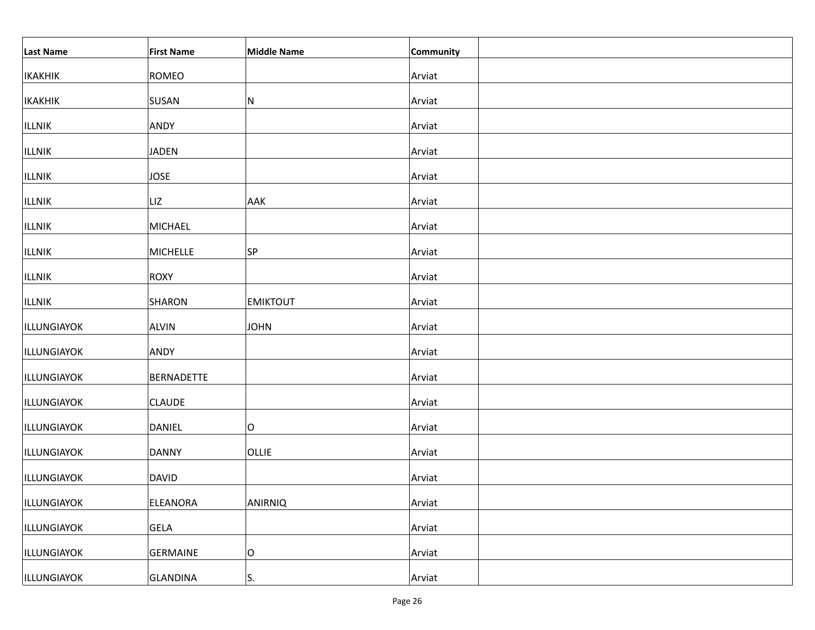| Last Name          | <b>First Name</b> | <b>Middle Name</b> | Community |  |
|--------------------|-------------------|--------------------|-----------|--|
| <b>IKAKHIK</b>     | ROMEO             |                    | Arviat    |  |
| <b>IKAKHIK</b>     | SUSAN             | N                  | Arviat    |  |
| <b>ILLNIK</b>      | ANDY              |                    | Arviat    |  |
| <b>ILLNIK</b>      | <b>JADEN</b>      |                    | Arviat    |  |
| <b>ILLNIK</b>      | JOSE              |                    | Arviat    |  |
| <b>ILLNIK</b>      | LIZ               | <b>AAK</b>         | Arviat    |  |
| <b>ILLNIK</b>      | MICHAEL           |                    | Arviat    |  |
| <b>ILLNIK</b>      | MICHELLE          | SP                 | Arviat    |  |
| <b>ILLNIK</b>      | ROXY              |                    | Arviat    |  |
| <b>ILLNIK</b>      | SHARON            | <b>EMIKTOUT</b>    | Arviat    |  |
|                    | ALVIN             | <b>JOHN</b>        | Arviat    |  |
| <b>ILLUNGIAYOK</b> |                   |                    |           |  |
| <b>ILLUNGIAYOK</b> | ANDY              |                    | Arviat    |  |
| <b>ILLUNGIAYOK</b> | BERNADETTE        |                    | Arviat    |  |
| <b>ILLUNGIAYOK</b> | <b>CLAUDE</b>     |                    | Arviat    |  |
| <b>ILLUNGIAYOK</b> | DANIEL            | O                  | Arviat    |  |
| <b>ILLUNGIAYOK</b> | DANNY             | <b>OLLIE</b>       | Arviat    |  |
| <b>ILLUNGIAYOK</b> | DAVID             |                    | Arviat    |  |
| <b>ILLUNGIAYOK</b> | ELEANORA          | ANIRNIQ            | Arviat    |  |
| <b>ILLUNGIAYOK</b> | GELA              |                    | Arviat    |  |
| ILLUNGIAYOK        | GERMAINE          | 0                  | Arviat    |  |
| <b>ILLUNGIAYOK</b> | GLANDINA          | S.                 | Arviat    |  |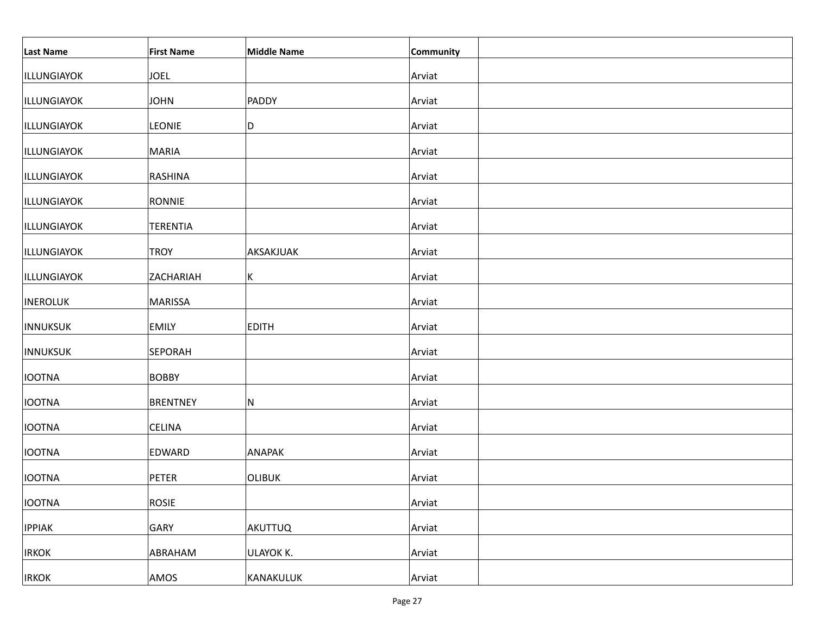| Last Name          | <b>First Name</b> | <b>Middle Name</b> | Community |  |
|--------------------|-------------------|--------------------|-----------|--|
| <b>ILLUNGIAYOK</b> | <b>JOEL</b>       |                    | Arviat    |  |
| <b>ILLUNGIAYOK</b> | <b>JOHN</b>       | PADDY              | Arviat    |  |
| <b>ILLUNGIAYOK</b> | <b>LEONIE</b>     | D                  | Arviat    |  |
| <b>ILLUNGIAYOK</b> | <b>MARIA</b>      |                    | Arviat    |  |
| ILLUNGIAYOK        | RASHINA           |                    | Arviat    |  |
| ILLUNGIAYOK        | RONNIE            |                    | Arviat    |  |
|                    |                   |                    |           |  |
| ILLUNGIAYOK        | <b>TERENTIA</b>   |                    | Arviat    |  |
| <b>ILLUNGIAYOK</b> | <b>TROY</b>       | AKSAKJUAK          | Arviat    |  |
| ILLUNGIAYOK        | ZACHARIAH         | K                  | Arviat    |  |
| <b>INEROLUK</b>    | <b>MARISSA</b>    |                    | Arviat    |  |
| INNUKSUK           | <b>EMILY</b>      | <b>EDITH</b>       | Arviat    |  |
| INNUKSUK           | <b>SEPORAH</b>    |                    | Arviat    |  |
| <b>IOOTNA</b>      | <b>BOBBY</b>      |                    | Arviat    |  |
| <b>IOOTNA</b>      | <b>BRENTNEY</b>   | N                  | Arviat    |  |
| <b>IOOTNA</b>      | <b>CELINA</b>     |                    | Arviat    |  |
| <b>IOOTNA</b>      | <b>EDWARD</b>     | ANAPAK             | Arviat    |  |
| <b>IOOTNA</b>      | PETER             | <b>OLIBUK</b>      | Arviat    |  |
| <b>IOOTNA</b>      | <b>ROSIE</b>      |                    | Arviat    |  |
| <b>IPPIAK</b>      | GARY              | AKUTTUQ            | Arviat    |  |
| <b>IRKOK</b>       | ABRAHAM           | ULAYOK K.          | Arviat    |  |
| <b>IRKOK</b>       | AMOS              | KANAKULUK          | Arviat    |  |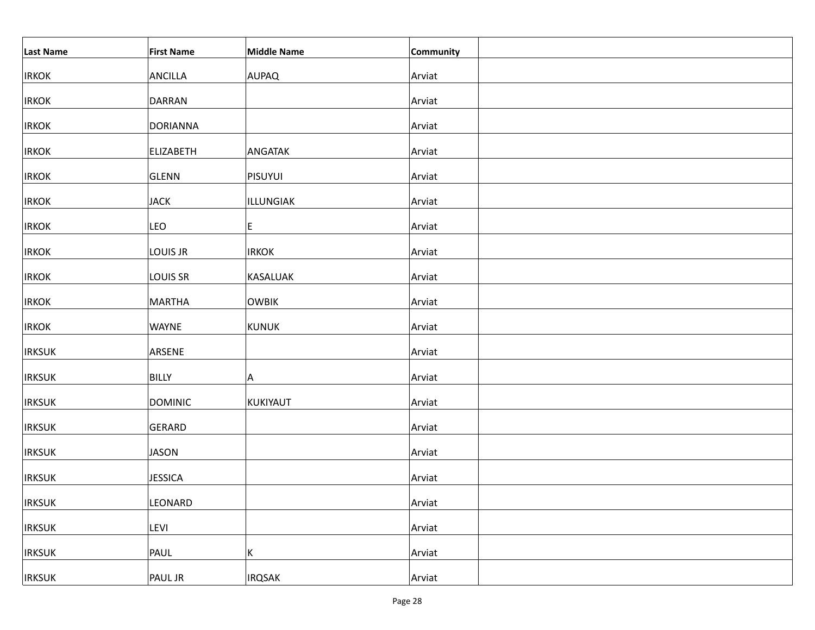| Last Name     | <b>First Name</b> | <b>Middle Name</b> | Community |  |
|---------------|-------------------|--------------------|-----------|--|
| <b>IRKOK</b>  | ANCILLA           | <b>AUPAQ</b>       | Arviat    |  |
| <b>IRKOK</b>  | DARRAN            |                    | Arviat    |  |
| <b>IRKOK</b>  | <b>DORIANNA</b>   |                    | Arviat    |  |
| <b>IRKOK</b>  | ELIZABETH         | ANGATAK            | Arviat    |  |
| <b>IRKOK</b>  | GLENN             | PISUYUI            | Arviat    |  |
|               |                   |                    |           |  |
| <b>IRKOK</b>  | <b>JACK</b>       | ILLUNGIAK          | Arviat    |  |
| <b>IRKOK</b>  | LEO               | E                  | Arviat    |  |
| <b>IRKOK</b>  | LOUIS JR          | <b>IRKOK</b>       | Arviat    |  |
| <b>IRKOK</b>  | LOUIS SR          | KASALUAK           | Arviat    |  |
| <b>IRKOK</b>  | <b>MARTHA</b>     | <b>OWBIK</b>       | Arviat    |  |
| <b>IRKOK</b>  | <b>WAYNE</b>      | KUNUK              | Arviat    |  |
| <b>IRKSUK</b> | ARSENE            |                    | Arviat    |  |
| <b>IRKSUK</b> | <b>BILLY</b>      | A                  | Arviat    |  |
| <b>IRKSUK</b> | <b>DOMINIC</b>    | KUKIYAUT           | Arviat    |  |
| <b>IRKSUK</b> | GERARD            |                    | Arviat    |  |
| <b>IRKSUK</b> | <b>JASON</b>      |                    | Arviat    |  |
| <b>IRKSUK</b> | <b>JESSICA</b>    |                    | Arviat    |  |
| <b>IRKSUK</b> | LEONARD           |                    | Arviat    |  |
| <b>IRKSUK</b> | LEVI              |                    | Arviat    |  |
| <b>IRKSUK</b> | PAUL              | K                  | Arviat    |  |
| <b>IRKSUK</b> | PAUL JR           | <b>IRQSAK</b>      | Arviat    |  |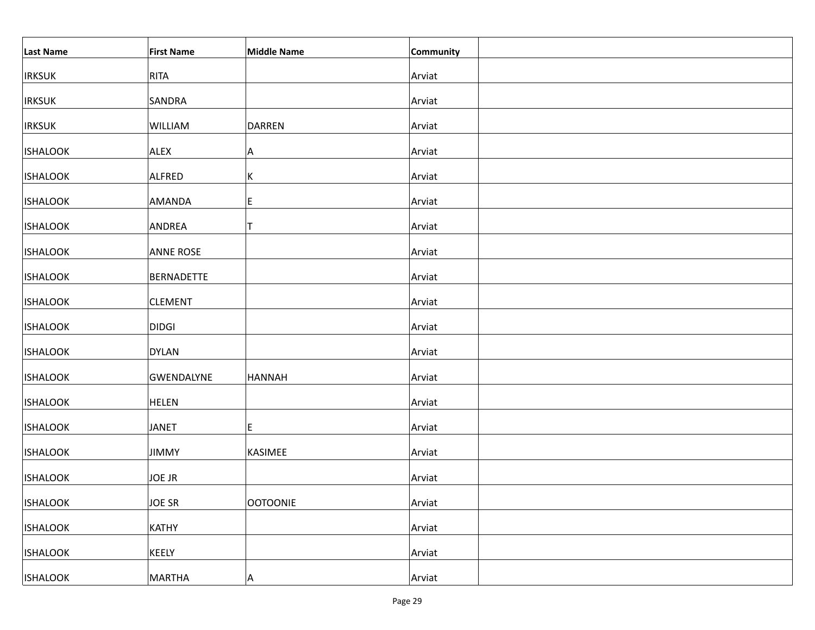| Last Name       | <b>First Name</b> | <b>Middle Name</b> | Community |  |
|-----------------|-------------------|--------------------|-----------|--|
| <b>IRKSUK</b>   | RITA              |                    | Arviat    |  |
| <b>IRKSUK</b>   | SANDRA            |                    | Arviat    |  |
| <b>IRKSUK</b>   | <b>WILLIAM</b>    | DARREN             | Arviat    |  |
| <b>ISHALOOK</b> | <b>ALEX</b>       | A                  | Arviat    |  |
| <b>ISHALOOK</b> | ALFRED            | K.                 | Arviat    |  |
| <b>ISHALOOK</b> | AMANDA            | E                  | Arviat    |  |
|                 |                   |                    |           |  |
| <b>ISHALOOK</b> | ANDREA            | т                  | Arviat    |  |
| <b>ISHALOOK</b> | <b>ANNE ROSE</b>  |                    | Arviat    |  |
| <b>ISHALOOK</b> | BERNADETTE        |                    | Arviat    |  |
| <b>ISHALOOK</b> | <b>CLEMENT</b>    |                    | Arviat    |  |
| <b>ISHALOOK</b> | DIDGI             |                    | Arviat    |  |
| <b>ISHALOOK</b> | DYLAN             |                    | Arviat    |  |
| <b>ISHALOOK</b> | GWENDALYNE        | HANNAH             | Arviat    |  |
| <b>ISHALOOK</b> | HELEN             |                    | Arviat    |  |
| <b>ISHALOOK</b> | <b>JANET</b>      | E.                 | Arviat    |  |
| <b>ISHALOOK</b> | JIMMY             | KASIMEE            | Arviat    |  |
| <b>ISHALOOK</b> | JOE JR            |                    | Arviat    |  |
| <b>ISHALOOK</b> | JOE SR            | <b>OOTOONIE</b>    | Arviat    |  |
| <b>ISHALOOK</b> | KATHY             |                    | Arviat    |  |
| <b>ISHALOOK</b> | KEELY             |                    | Arviat    |  |
| <b>ISHALOOK</b> | MARTHA            | A                  | Arviat    |  |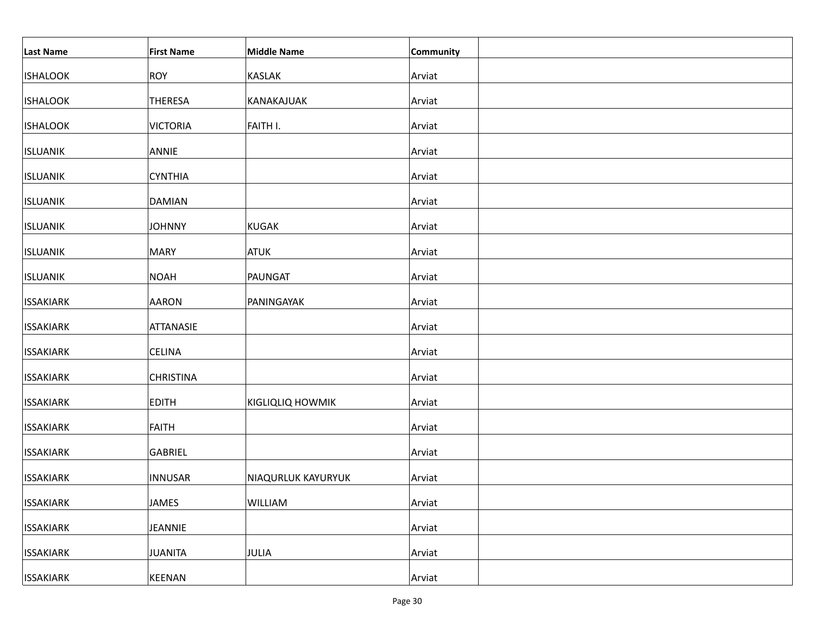| Last Name        | <b>First Name</b> | <b>Middle Name</b> | Community |  |
|------------------|-------------------|--------------------|-----------|--|
| <b>ISHALOOK</b>  | ROY               | KASLAK             | Arviat    |  |
| <b>ISHALOOK</b>  | <b>THERESA</b>    | KANAKAJUAK         | Arviat    |  |
| <b>ISHALOOK</b>  | <b>VICTORIA</b>   | <b>FAITH I.</b>    | Arviat    |  |
| <b>ISLUANIK</b>  | ANNIE             |                    | Arviat    |  |
| <b>ISLUANIK</b>  | <b>CYNTHIA</b>    |                    | Arviat    |  |
|                  |                   |                    |           |  |
| <b>ISLUANIK</b>  | DAMIAN            |                    | Arviat    |  |
| <b>ISLUANIK</b>  | <b>JOHNNY</b>     | KUGAK              | Arviat    |  |
| <b>ISLUANIK</b>  | MARY              | <b>ATUK</b>        | Arviat    |  |
| <b>ISLUANIK</b>  | NOAH              | PAUNGAT            | Arviat    |  |
| <b>ISSAKIARK</b> | AARON             | PANINGAYAK         | Arviat    |  |
| <b>ISSAKIARK</b> | ATTANASIE         |                    | Arviat    |  |
| <b>ISSAKIARK</b> | <b>CELINA</b>     |                    | Arviat    |  |
| <b>ISSAKIARK</b> | <b>CHRISTINA</b>  |                    | Arviat    |  |
| <b>ISSAKIARK</b> | <b>EDITH</b>      | KIGLIQLIQ HOWMIK   | Arviat    |  |
| <b>ISSAKIARK</b> | FAITH             |                    | Arviat    |  |
| <b>ISSAKIARK</b> | GABRIEL           |                    | Arviat    |  |
| <b>ISSAKIARK</b> | <b>INNUSAR</b>    | NIAQURLUK KAYURYUK | Arviat    |  |
| <b>ISSAKIARK</b> | JAMES             | WILLIAM            | Arviat    |  |
| <b>ISSAKIARK</b> | JEANNIE           |                    | Arviat    |  |
| <b>ISSAKIARK</b> | JUANITA           | JULIA              | Arviat    |  |
| <b>ISSAKIARK</b> | KEENAN            |                    | Arviat    |  |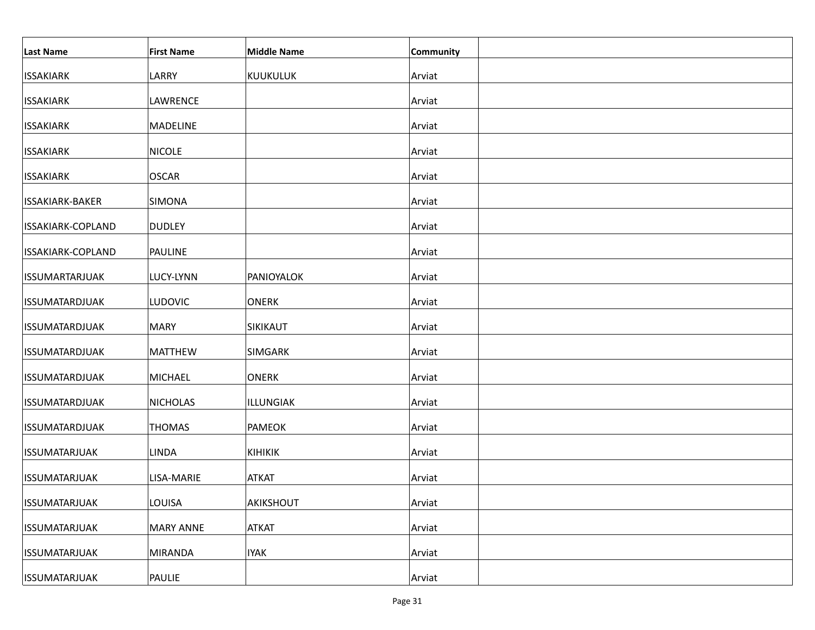| Last Name             | <b>First Name</b> | <b>Middle Name</b> | Community |  |
|-----------------------|-------------------|--------------------|-----------|--|
| <b>ISSAKIARK</b>      | LARRY             | KUUKULUK           | Arviat    |  |
| <b>ISSAKIARK</b>      | <b>LAWRENCE</b>   |                    | Arviat    |  |
| <b>ISSAKIARK</b>      | MADELINE          |                    | Arviat    |  |
| <b>ISSAKIARK</b>      | <b>NICOLE</b>     |                    | Arviat    |  |
| <b>ISSAKIARK</b>      | OSCAR             |                    | Arviat    |  |
| ISSAKIARK-BAKER       | <b>SIMONA</b>     |                    | Arviat    |  |
| ISSAKIARK-COPLAND     | <b>DUDLEY</b>     |                    | Arviat    |  |
|                       |                   |                    |           |  |
| ISSAKIARK-COPLAND     | PAULINE           |                    | Arviat    |  |
| ISSUMARTARJUAK        | LUCY-LYNN         | PANIOYALOK         | Arviat    |  |
| ISSUMATARDJUAK        | <b>LUDOVIC</b>    | ONERK              | Arviat    |  |
| ISSUMATARDJUAK        | MARY              | SIKIKAUT           | Arviat    |  |
| ISSUMATARDJUAK        | <b>MATTHEW</b>    | SIMGARK            | Arviat    |  |
| ISSUMATARDJUAK        | MICHAEL           | ONERK              | Arviat    |  |
| <b>ISSUMATARDJUAK</b> | <b>NICHOLAS</b>   | ILLUNGIAK          | Arviat    |  |
| ISSUMATARDJUAK        | <b>THOMAS</b>     | <b>PAMEOK</b>      | Arviat    |  |
| ISSUMATARJUAK         | <b>LINDA</b>      | KIHIKIK            | Arviat    |  |
|                       |                   |                    |           |  |
| ISSUMATARJUAK         | LISA-MARIE        | <b>ATKAT</b>       | Arviat    |  |
| ISSUMATARJUAK         | <b>LOUISA</b>     | AKIKSHOUT          | Arviat    |  |
| ISSUMATARJUAK         | <b>MARY ANNE</b>  | <b>ATKAT</b>       | Arviat    |  |
| ISSUMATARJUAK         | MIRANDA           | <b>IYAK</b>        | Arviat    |  |
| ISSUMATARJUAK         | PAULIE            |                    | Arviat    |  |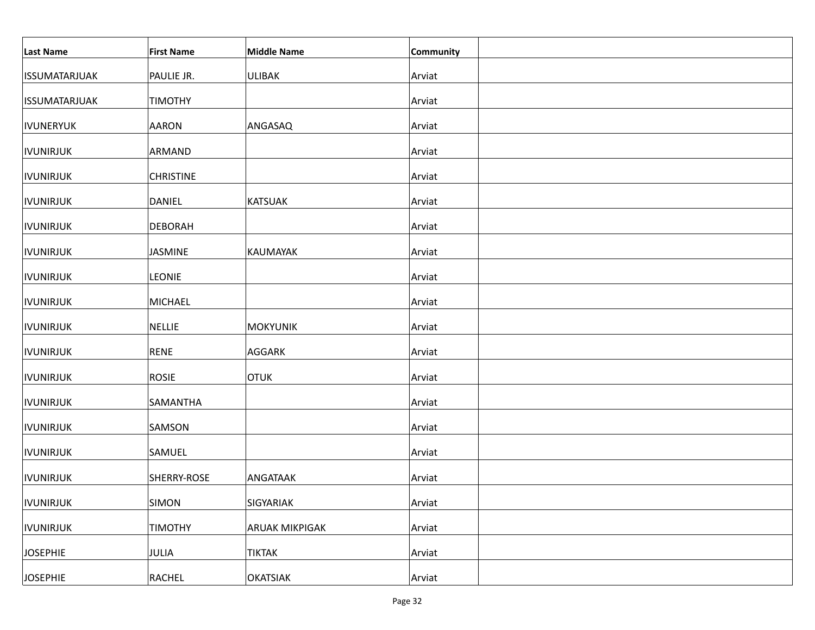| Last Name       | <b>First Name</b> | <b>Middle Name</b>    | Community |  |
|-----------------|-------------------|-----------------------|-----------|--|
| ISSUMATARJUAK   | PAULIE JR.        | ULIBAK                | Arviat    |  |
| ISSUMATARJUAK   | <b>TIMOTHY</b>    |                       | Arviat    |  |
| IVUNERYUK       | AARON             | ANGASAQ               | Arviat    |  |
| IVUNIRJUK       | ARMAND            |                       | Arviat    |  |
| IVUNIRJUK       | <b>CHRISTINE</b>  |                       | Arviat    |  |
| IVUNIRJUK       | DANIEL            | KATSUAK               | Arviat    |  |
|                 |                   |                       |           |  |
| IVUNIRJUK       | <b>DEBORAH</b>    |                       | Arviat    |  |
| IVUNIRJUK       | <b>JASMINE</b>    | KAUMAYAK              | Arviat    |  |
| IVUNIRJUK       | <b>LEONIE</b>     |                       | Arviat    |  |
| IVUNIRJUK       | MICHAEL           |                       | Arviat    |  |
| IVUNIRJUK       | NELLIE            | MOKYUNIK              | Arviat    |  |
| IVUNIRJUK       | RENE              | AGGARK                | Arviat    |  |
| IVUNIRJUK       | <b>ROSIE</b>      | <b>OTUK</b>           | Arviat    |  |
| IVUNIRJUK       | <b>SAMANTHA</b>   |                       | Arviat    |  |
| IVUNIRJUK       | SAMSON            |                       | Arviat    |  |
| IVUNIRJUK       | <b>SAMUEL</b>     |                       | Arviat    |  |
| IVUNIRJUK       | SHERRY-ROSE       | ANGATAAK              | Arviat    |  |
| IVUNIRJUK       | <b>SIMON</b>      | SIGYARIAK             | Arviat    |  |
| IVUNIRJUK       | <b>TIMOTHY</b>    | <b>ARUAK MIKPIGAK</b> | Arviat    |  |
| <b>JOSEPHIE</b> | JULIA             | <b>TIKTAK</b>         | Arviat    |  |
| <b>JOSEPHIE</b> | RACHEL            | OKATSIAK              | Arviat    |  |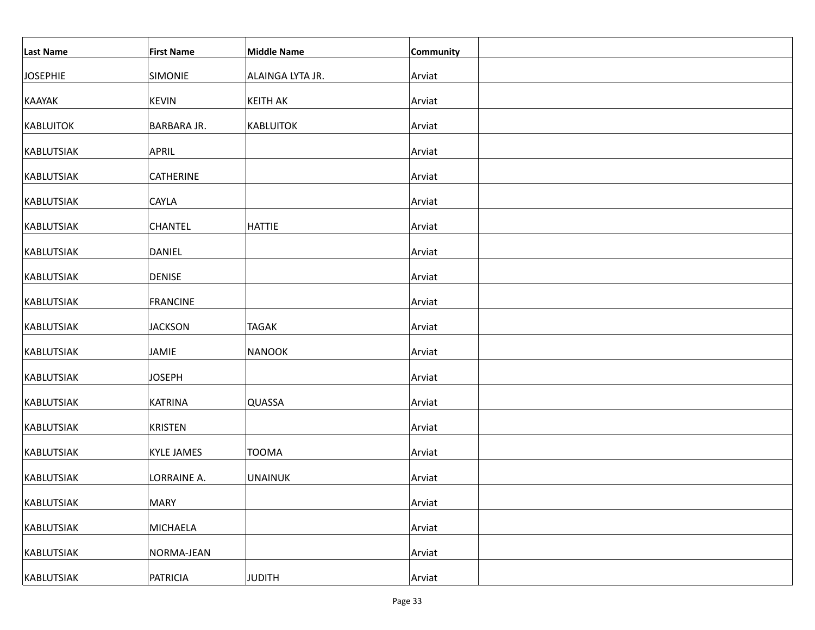| Last Name       | <b>First Name</b>  | <b>Middle Name</b> | Community |
|-----------------|--------------------|--------------------|-----------|
| <b>JOSEPHIE</b> | <b>SIMONIE</b>     | ALAINGA LYTA JR.   | Arviat    |
| KAAYAK          | <b>KEVIN</b>       | <b>KEITH AK</b>    | Arviat    |
| KABLUITOK       | <b>BARBARA JR.</b> | KABLUITOK          | Arviat    |
| KABLUTSIAK      | APRIL              |                    | Arviat    |
| KABLUTSIAK      | <b>CATHERINE</b>   |                    | Arviat    |
| KABLUTSIAK      | <b>CAYLA</b>       |                    | Arviat    |
| KABLUTSIAK      | <b>CHANTEL</b>     | <b>HATTIE</b>      | Arviat    |
| KABLUTSIAK      | DANIEL             |                    | Arviat    |
| KABLUTSIAK      | <b>DENISE</b>      |                    | Arviat    |
| KABLUTSIAK      | <b>FRANCINE</b>    |                    | Arviat    |
| KABLUTSIAK      | <b>JACKSON</b>     | <b>TAGAK</b>       | Arviat    |
| KABLUTSIAK      | <b>JAMIE</b>       | NANOOK             | Arviat    |
| KABLUTSIAK      | <b>JOSEPH</b>      |                    | Arviat    |
| KABLUTSIAK      | KATRINA            | <b>QUASSA</b>      | Arviat    |
| KABLUTSIAK      | <b>KRISTEN</b>     |                    | Arviat    |
| KABLUTSIAK      | <b>KYLE JAMES</b>  | <b>TOOMA</b>       | Arviat    |
| KABLUTSIAK      | LORRAINE A.        | <b>UNAINUK</b>     | Arviat    |
| KABLUTSIAK      | MARY               |                    | Arviat    |
| KABLUTSIAK      | MICHAELA           |                    | Arviat    |
| KABLUTSIAK      | NORMA-JEAN         |                    | Arviat    |
| KABLUTSIAK      | PATRICIA           | JUDITH             | Arviat    |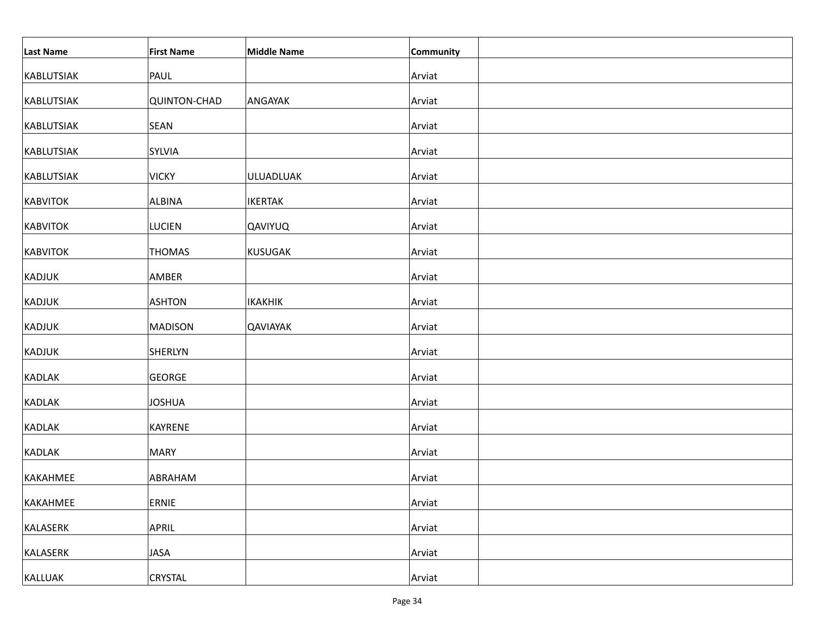| Last Name  | <b>First Name</b> | <b>Middle Name</b> | Community |  |
|------------|-------------------|--------------------|-----------|--|
| KABLUTSIAK | PAUL              |                    | Arviat    |  |
| KABLUTSIAK | QUINTON-CHAD      | ANGAYAK            | Arviat    |  |
| KABLUTSIAK | <b>SEAN</b>       |                    | Arviat    |  |
| KABLUTSIAK | <b>SYLVIA</b>     |                    | Arviat    |  |
| KABLUTSIAK | <b>VICKY</b>      | ULUADLUAK          | Arviat    |  |
| KABVITOK   | <b>ALBINA</b>     | <b>IKERTAK</b>     | Arviat    |  |
| KABVITOK   | <b>LUCIEN</b>     | QAVIYUQ            | Arviat    |  |
| KABVITOK   | <b>THOMAS</b>     | KUSUGAK            | Arviat    |  |
| KADJUK     | AMBER             |                    | Arviat    |  |
|            |                   | <b>IKAKHIK</b>     |           |  |
| KADJUK     | <b>ASHTON</b>     |                    | Arviat    |  |
| KADJUK     | MADISON           | <b>QAVIAYAK</b>    | Arviat    |  |
| KADJUK     | SHERLYN           |                    | Arviat    |  |
| KADLAK     | <b>GEORGE</b>     |                    | Arviat    |  |
| KADLAK     | <b>JOSHUA</b>     |                    | Arviat    |  |
| KADLAK     | KAYRENE           |                    | Arviat    |  |
| KADLAK     | MARY              |                    | Arviat    |  |
| KAKAHMEE   | ABRAHAM           |                    | Arviat    |  |
| KAKAHMEE   | <b>ERNIE</b>      |                    | Arviat    |  |
|            |                   |                    |           |  |
| KALASERK   | APRIL             |                    | Arviat    |  |
| KALASERK   | JASA              |                    | Arviat    |  |
| KALLUAK    | <b>CRYSTAL</b>    |                    | Arviat    |  |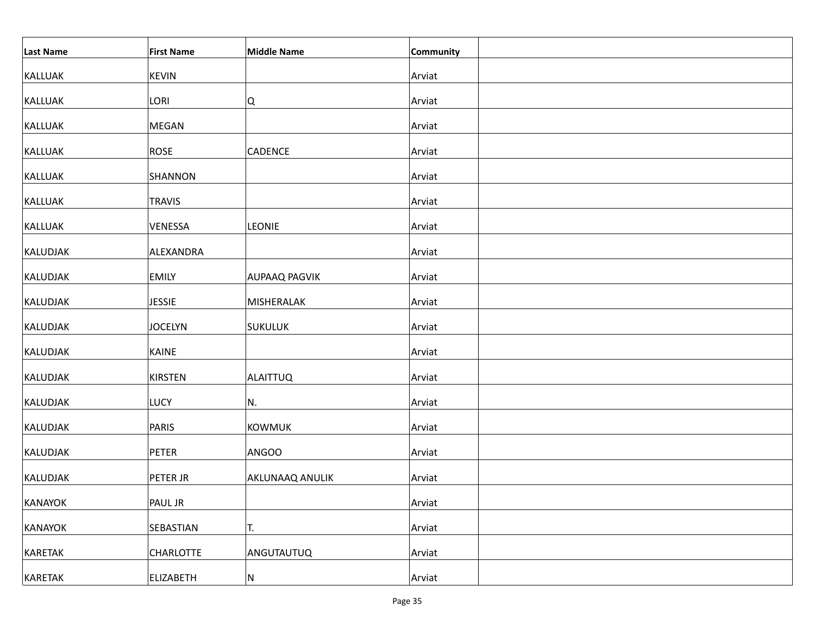| Last Name | <b>First Name</b> | <b>Middle Name</b>     | Community |  |
|-----------|-------------------|------------------------|-----------|--|
| KALLUAK   | <b>KEVIN</b>      |                        | Arviat    |  |
| KALLUAK   | <b>LORI</b>       | Q                      | Arviat    |  |
| KALLUAK   | MEGAN             |                        | Arviat    |  |
| KALLUAK   | ROSE              | <b>CADENCE</b>         | Arviat    |  |
| KALLUAK   | <b>SHANNON</b>    |                        | Arviat    |  |
| KALLUAK   | <b>TRAVIS</b>     |                        | Arviat    |  |
| KALLUAK   | VENESSA           | <b>LEONIE</b>          | Arviat    |  |
| KALUDJAK  | ALEXANDRA         |                        | Arviat    |  |
| KALUDJAK  | <b>EMILY</b>      | <b>AUPAAQ PAGVIK</b>   | Arviat    |  |
| KALUDJAK  | <b>JESSIE</b>     | MISHERALAK             | Arviat    |  |
| KALUDJAK  | <b>JOCELYN</b>    | SUKULUK                | Arviat    |  |
| KALUDJAK  | KAINE             |                        | Arviat    |  |
| KALUDJAK  | KIRSTEN           | ALAITTUQ               | Arviat    |  |
| KALUDJAK  | <b>LUCY</b>       | N.                     | Arviat    |  |
| KALUDJAK  | PARIS             | KOWMUK                 | Arviat    |  |
| KALUDJAK  | PETER             | ANGOO                  | Arviat    |  |
| KALUDJAK  | PETER JR          | <b>AKLUNAAQ ANULIK</b> | Arviat    |  |
| KANAYOK   | PAUL JR           |                        | Arviat    |  |
| KANAYOK   | <b>SEBASTIAN</b>  | T.                     | Arviat    |  |
| KARETAK   | <b>CHARLOTTE</b>  | ANGUTAUTUQ             | Arviat    |  |
| KARETAK   | <b>ELIZABETH</b>  | N                      | Arviat    |  |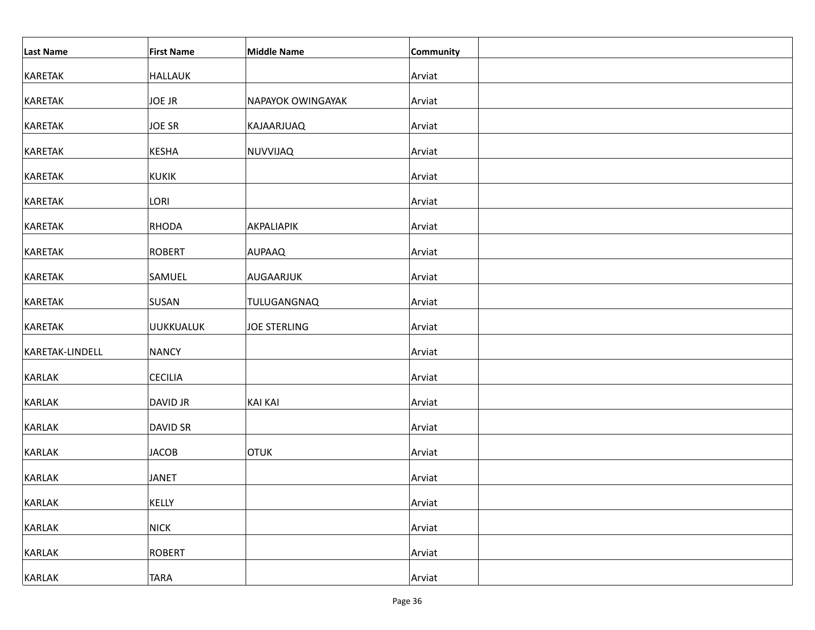| Last Name       | <b>First Name</b> | <b>Middle Name</b> | Community |  |
|-----------------|-------------------|--------------------|-----------|--|
| KARETAK         | <b>HALLAUK</b>    |                    | Arviat    |  |
| KARETAK         | <b>JOE JR</b>     | NAPAYOK OWINGAYAK  | Arviat    |  |
| KARETAK         | <b>JOE SR</b>     | KAJAARJUAQ         | Arviat    |  |
| KARETAK         | KESHA             | NUVVIJAQ           | Arviat    |  |
| KARETAK         | KUKIK             |                    | Arviat    |  |
| KARETAK         | LORI              |                    | Arviat    |  |
| KARETAK         | RHODA             | AKPALIAPIK         | Arviat    |  |
| KARETAK         | <b>ROBERT</b>     | AUPAAQ             | Arviat    |  |
| KARETAK         | SAMUEL            | AUGAARJUK          | Arviat    |  |
| KARETAK         | <b>SUSAN</b>      | TULUGANGNAQ        | Arviat    |  |
|                 |                   |                    |           |  |
| KARETAK         | <b>UUKKUALUK</b>  | JOE STERLING       | Arviat    |  |
| KARETAK-LINDELL | NANCY             |                    | Arviat    |  |
| KARLAK          | <b>CECILIA</b>    |                    | Arviat    |  |
| KARLAK          | DAVID JR          | <b>KAI KAI</b>     | Arviat    |  |
| KARLAK          | <b>DAVID SR</b>   |                    | Arviat    |  |
| KARLAK          | <b>JACOB</b>      | <b>OTUK</b>        | Arviat    |  |
| KARLAK          | <b>JANET</b>      |                    | Arviat    |  |
| KARLAK          | KELLY             |                    | Arviat    |  |
| KARLAK          | <b>NICK</b>       |                    | Arviat    |  |
| KARLAK          | ROBERT            |                    | Arviat    |  |
| KARLAK          | <b>TARA</b>       |                    | Arviat    |  |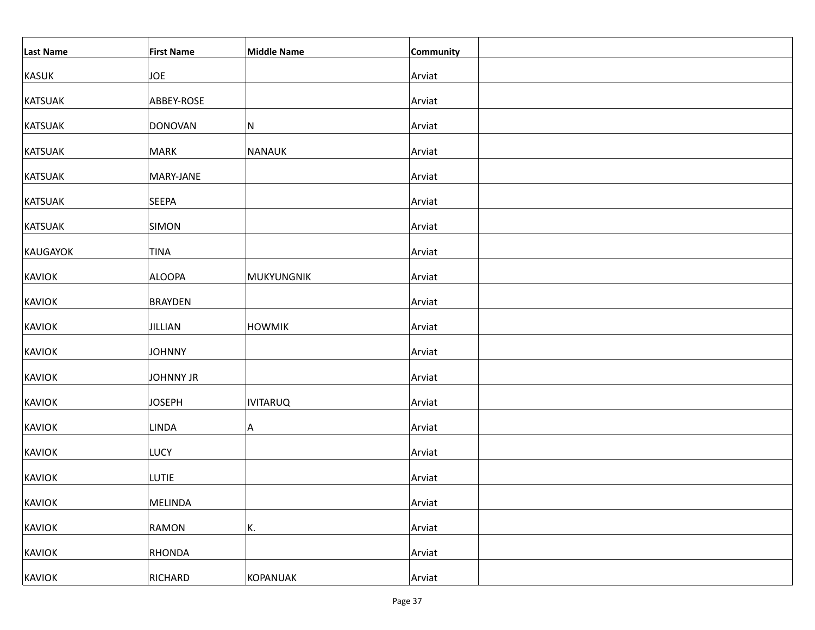| Last Name | <b>First Name</b> | <b>Middle Name</b> | Community |  |
|-----------|-------------------|--------------------|-----------|--|
| KASUK     | JOE               |                    | Arviat    |  |
| KATSUAK   | ABBEY-ROSE        |                    | Arviat    |  |
| KATSUAK   | DONOVAN           | N                  | Arviat    |  |
| KATSUAK   | MARK              | NANAUK             | Arviat    |  |
| KATSUAK   | MARY-JANE         |                    | Arviat    |  |
| KATSUAK   | <b>SEEPA</b>      |                    | Arviat    |  |
| KATSUAK   | <b>SIMON</b>      |                    | Arviat    |  |
| KAUGAYOK  | TINA              |                    | Arviat    |  |
| KAVIOK    | <b>ALOOPA</b>     | MUKYUNGNIK         | Arviat    |  |
| KAVIOK    | <b>BRAYDEN</b>    |                    | Arviat    |  |
| KAVIOK    | JILLIAN           | <b>HOWMIK</b>      | Arviat    |  |
| KAVIOK    | <b>JOHNNY</b>     |                    | Arviat    |  |
| KAVIOK    | JOHNNY JR         |                    | Arviat    |  |
| KAVIOK    | <b>JOSEPH</b>     | <b>IVITARUQ</b>    | Arviat    |  |
| KAVIOK    | <b>LINDA</b>      | A                  | Arviat    |  |
| KAVIOK    | LUCY              |                    | Arviat    |  |
| KAVIOK    | LUTIE             |                    | Arviat    |  |
| KAVIOK    | MELINDA           |                    | Arviat    |  |
| KAVIOK    | RAMON             | K.                 | Arviat    |  |
| KAVIOK    | RHONDA            |                    | Arviat    |  |
| KAVIOK    | RICHARD           | KOPANUAK           | Arviat    |  |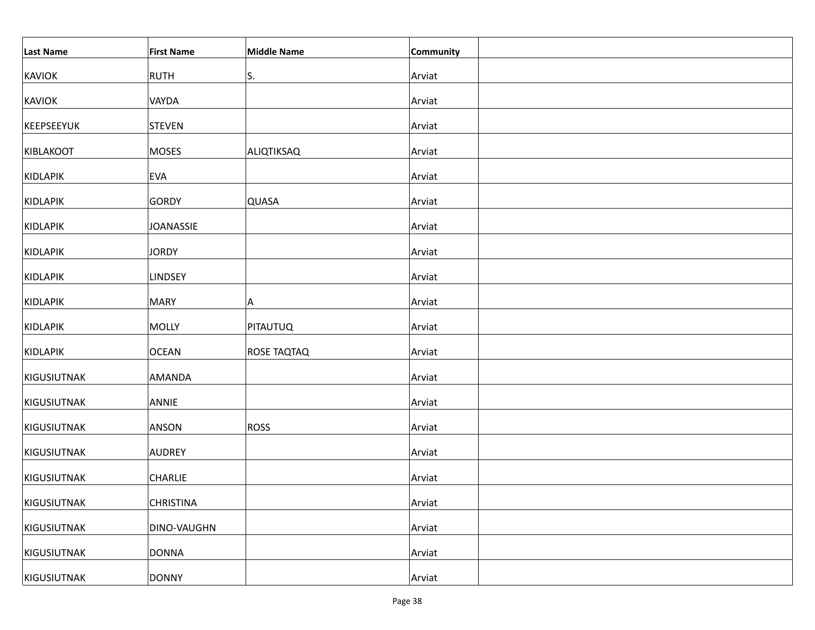| Last Name   | <b>First Name</b> | <b>Middle Name</b> | Community |  |
|-------------|-------------------|--------------------|-----------|--|
| KAVIOK      | <b>RUTH</b>       | S.                 | Arviat    |  |
| KAVIOK      | <b>VAYDA</b>      |                    | Arviat    |  |
| KEEPSEEYUK  | <b>STEVEN</b>     |                    | Arviat    |  |
| KIBLAKOOT   | MOSES             | ALIQTIKSAQ         | Arviat    |  |
| KIDLAPIK    | <b>EVA</b>        |                    | Arviat    |  |
| KIDLAPIK    | GORDY             | QUASA              | Arviat    |  |
| KIDLAPIK    | <b>JOANASSIE</b>  |                    | Arviat    |  |
| KIDLAPIK    | <b>JORDY</b>      |                    | Arviat    |  |
|             |                   |                    |           |  |
| KIDLAPIK    | <b>LINDSEY</b>    |                    | Arviat    |  |
| KIDLAPIK    | MARY              | A                  | Arviat    |  |
| KIDLAPIK    | MOLLY             | PITAUTUQ           | Arviat    |  |
| KIDLAPIK    | <b>OCEAN</b>      | <b>ROSE TAQTAQ</b> | Arviat    |  |
| KIGUSIUTNAK | AMANDA            |                    | Arviat    |  |
| KIGUSIUTNAK | ANNIE             |                    | Arviat    |  |
| KIGUSIUTNAK | ANSON             | <b>ROSS</b>        | Arviat    |  |
| KIGUSIUTNAK | AUDREY            |                    | Arviat    |  |
| KIGUSIUTNAK | <b>CHARLIE</b>    |                    | Arviat    |  |
| KIGUSIUTNAK | <b>CHRISTINA</b>  |                    | Arviat    |  |
| KIGUSIUTNAK | DINO-VAUGHN       |                    | Arviat    |  |
| KIGUSIUTNAK | DONNA             |                    | Arviat    |  |
| KIGUSIUTNAK | DONNY             |                    | Arviat    |  |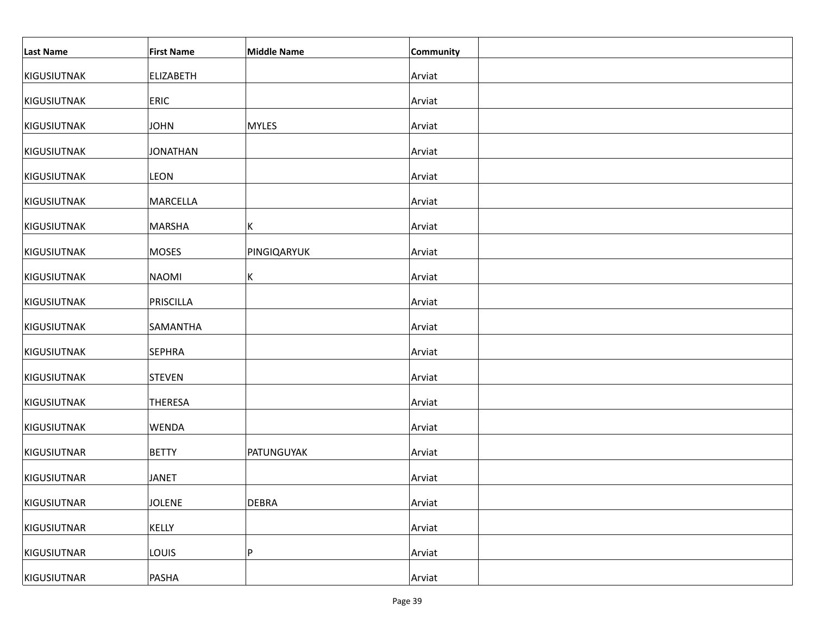| Last Name   | <b>First Name</b> | <b>Middle Name</b> | Community |  |
|-------------|-------------------|--------------------|-----------|--|
| KIGUSIUTNAK | <b>ELIZABETH</b>  |                    | Arviat    |  |
| KIGUSIUTNAK | <b>ERIC</b>       |                    | Arviat    |  |
| KIGUSIUTNAK | <b>JOHN</b>       | <b>MYLES</b>       | Arviat    |  |
| KIGUSIUTNAK | <b>JONATHAN</b>   |                    | Arviat    |  |
| KIGUSIUTNAK | <b>LEON</b>       |                    | Arviat    |  |
| KIGUSIUTNAK | MARCELLA          |                    | Arviat    |  |
| KIGUSIUTNAK | MARSHA            | K                  | Arviat    |  |
| KIGUSIUTNAK | MOSES             | PINGIQARYUK        | Arviat    |  |
| KIGUSIUTNAK | NAOMI             | K                  | Arviat    |  |
| KIGUSIUTNAK | PRISCILLA         |                    | Arviat    |  |
| KIGUSIUTNAK | SAMANTHA          |                    | Arviat    |  |
| KIGUSIUTNAK | <b>SEPHRA</b>     |                    | Arviat    |  |
| KIGUSIUTNAK | <b>STEVEN</b>     |                    | Arviat    |  |
| KIGUSIUTNAK | THERESA           |                    | Arviat    |  |
| KIGUSIUTNAK | WENDA             |                    | Arviat    |  |
| KIGUSIUTNAR | <b>BETTY</b>      | PATUNGUYAK         | Arviat    |  |
| KIGUSIUTNAR | JANET             |                    | Arviat    |  |
| KIGUSIUTNAR | JOLENE            | <b>DEBRA</b>       | Arviat    |  |
| KIGUSIUTNAR | KELLY             |                    | Arviat    |  |
| KIGUSIUTNAR | <b>LOUIS</b>      | P                  | Arviat    |  |
| KIGUSIUTNAR | PASHA             |                    | Arviat    |  |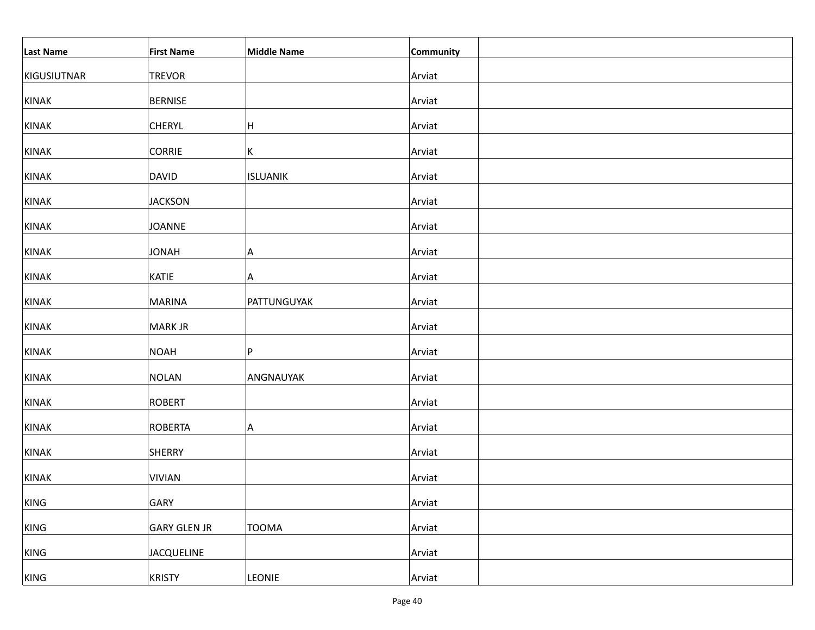| Last Name   | <b>First Name</b>   | <b>Middle Name</b> | Community |  |
|-------------|---------------------|--------------------|-----------|--|
| KIGUSIUTNAR | <b>TREVOR</b>       |                    | Arviat    |  |
| KINAK       | <b>BERNISE</b>      |                    | Arviat    |  |
| KINAK       | <b>CHERYL</b>       | н                  | Arviat    |  |
| KINAK       | <b>CORRIE</b>       | Κ                  | Arviat    |  |
| KINAK       | <b>DAVID</b>        | ISLUANIK           | Arviat    |  |
|             |                     |                    |           |  |
| KINAK       | <b>JACKSON</b>      |                    | Arviat    |  |
| KINAK       | JOANNE              |                    | Arviat    |  |
| KINAK       | <b>JONAH</b>        | Α                  | Arviat    |  |
| KINAK       | KATIE               | Α                  | Arviat    |  |
| KINAK       | MARINA              | PATTUNGUYAK        | Arviat    |  |
| KINAK       | MARK JR             |                    | Arviat    |  |
| KINAK       | NOAH                | P                  | Arviat    |  |
| KINAK       | NOLAN               | ANGNAUYAK          | Arviat    |  |
| KINAK       | ROBERT              |                    | Arviat    |  |
| KINAK       | <b>ROBERTA</b>      | A                  | Arviat    |  |
| KINAK       | <b>SHERRY</b>       |                    | Arviat    |  |
| KINAK       | <b>VIVIAN</b>       |                    | Arviat    |  |
| KING        | GARY                |                    | Arviat    |  |
| KING        | <b>GARY GLEN JR</b> | <b>TOOMA</b>       | Arviat    |  |
| KING        | <b>JACQUELINE</b>   |                    | Arviat    |  |
| KING        | KRISTY              | <b>LEONIE</b>      | Arviat    |  |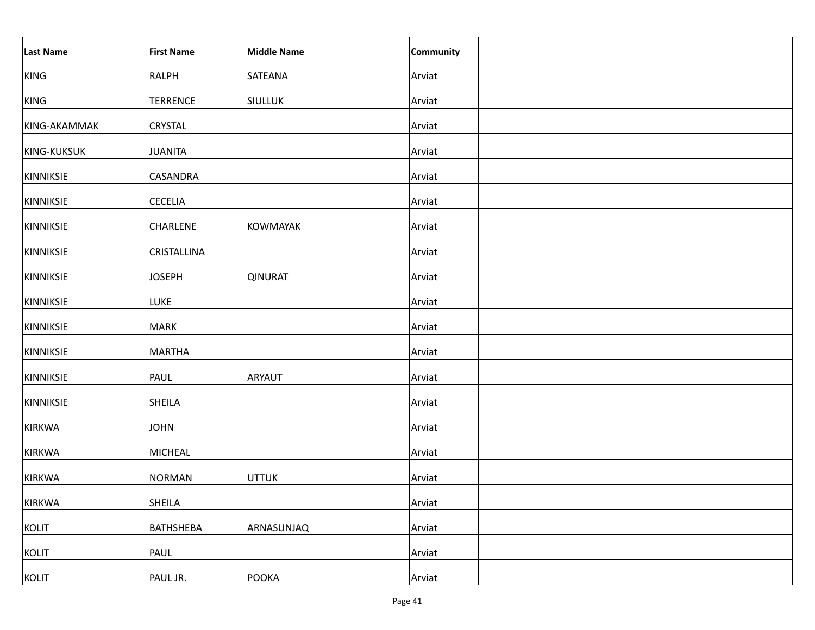| Last Name    | <b>First Name</b> | <b>Middle Name</b> | Community |  |
|--------------|-------------------|--------------------|-----------|--|
| KING         | RALPH             | SATEANA            | Arviat    |  |
| KING         | <b>TERRENCE</b>   | <b>SIULLUK</b>     | Arviat    |  |
| KING-AKAMMAK | <b>CRYSTAL</b>    |                    | Arviat    |  |
| KING-KUKSUK  | JUANITA           |                    | Arviat    |  |
| KINNIKSIE    | CASANDRA          |                    | Arviat    |  |
| KINNIKSIE    | <b>CECELIA</b>    |                    | Arviat    |  |
| KINNIKSIE    | CHARLENE          | KOWMAYAK           | Arviat    |  |
|              |                   |                    |           |  |
| KINNIKSIE    | CRISTALLINA       |                    | Arviat    |  |
| KINNIKSIE    | <b>JOSEPH</b>     | <b>QINURAT</b>     | Arviat    |  |
| KINNIKSIE    | LUKE              |                    | Arviat    |  |
| KINNIKSIE    | MARK              |                    | Arviat    |  |
| KINNIKSIE    | MARTHA            |                    | Arviat    |  |
| KINNIKSIE    | PAUL              | ARYAUT             | Arviat    |  |
| KINNIKSIE    | SHEILA            |                    | Arviat    |  |
| KIRKWA       | <b>JOHN</b>       |                    | Arviat    |  |
| KIRKWA       | MICHEAL           |                    | Arviat    |  |
| KIRKWA       | NORMAN            | UTTUK              | Arviat    |  |
| KIRKWA       | SHEILA            |                    | Arviat    |  |
|              |                   |                    |           |  |
| KOLIT        | BATHSHEBA         | ARNASUNJAQ         | Arviat    |  |
| KOLIT        | PAUL              |                    | Arviat    |  |
| KOLIT        | PAUL JR.          | POOKA              | Arviat    |  |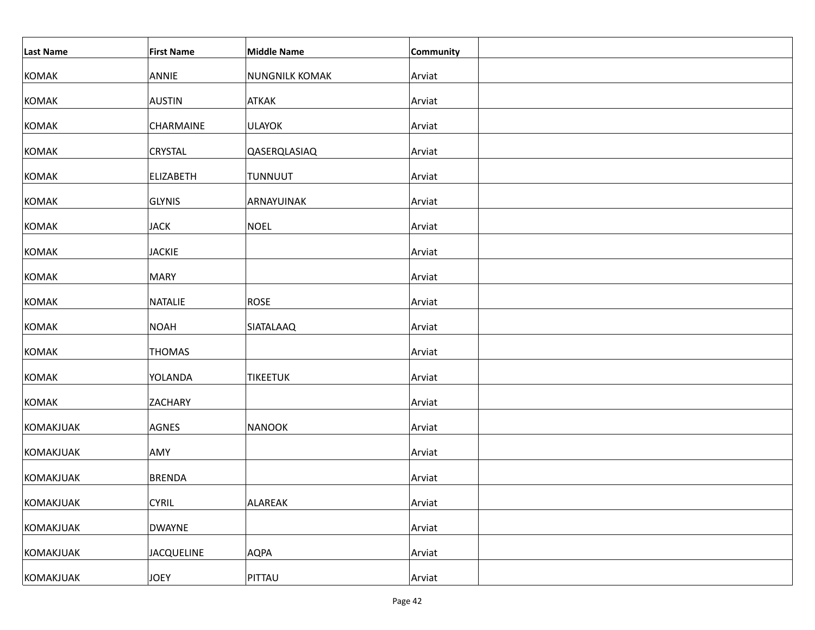| Last Name | <b>First Name</b> | <b>Middle Name</b>    | Community |  |
|-----------|-------------------|-----------------------|-----------|--|
| KOMAK     | ANNIE             | <b>NUNGNILK KOMAK</b> | Arviat    |  |
| KOMAK     | AUSTIN            | <b>ATKAK</b>          | Arviat    |  |
| KOMAK     | CHARMAINE         | ULAYOK                | Arviat    |  |
|           | <b>CRYSTAL</b>    | QASERQLASIAQ          |           |  |
| KOMAK     |                   |                       | Arviat    |  |
| KOMAK     | <b>ELIZABETH</b>  | TUNNUUT               | Arviat    |  |
| KOMAK     | GLYNIS            | ARNAYUINAK            | Arviat    |  |
| KOMAK     | <b>JACK</b>       | <b>NOEL</b>           | Arviat    |  |
| KOMAK     | <b>JACKIE</b>     |                       | Arviat    |  |
| KOMAK     | MARY              |                       | Arviat    |  |
| KOMAK     | NATALIE           | ROSE                  | Arviat    |  |
| KOMAK     | NOAH              | SIATALAAQ             | Arviat    |  |
| KOMAK     | <b>THOMAS</b>     |                       | Arviat    |  |
| KOMAK     | <b>YOLANDA</b>    | <b>TIKEETUK</b>       | Arviat    |  |
| KOMAK     | <b>ZACHARY</b>    |                       | Arviat    |  |
| KOMAKJUAK | AGNES             | NANOOK                | Arviat    |  |
| KOMAKJUAK | AMY               |                       | Arviat    |  |
| KOMAKJUAK | <b>BRENDA</b>     |                       | Arviat    |  |
| KOMAKJUAK | <b>CYRIL</b>      | ALAREAK               | Arviat    |  |
| KOMAKJUAK | DWAYNE            |                       | Arviat    |  |
| KOMAKJUAK | JACQUELINE        | <b>AQPA</b>           | Arviat    |  |
| KOMAKJUAK | JOEY              | PITTAU                | Arviat    |  |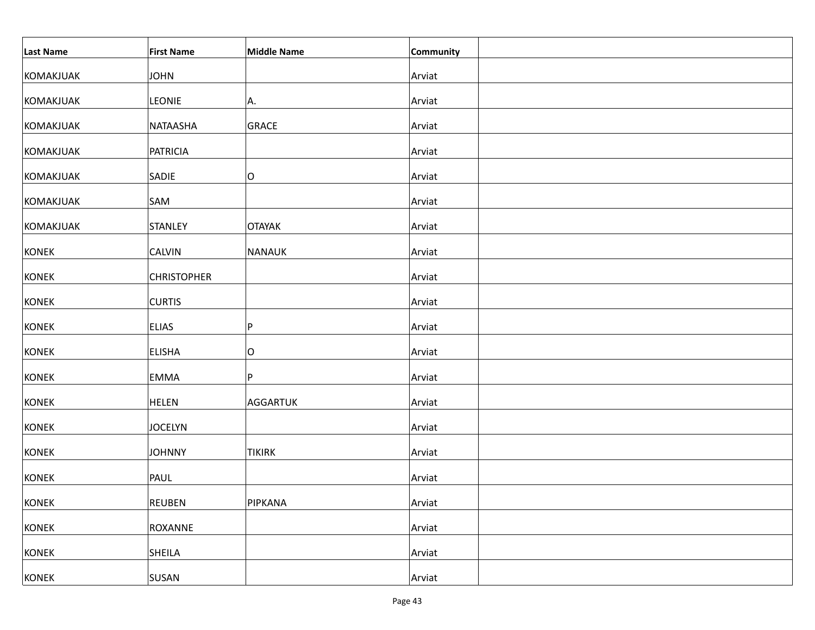| Last Name | <b>First Name</b>  | <b>Middle Name</b> | Community |  |
|-----------|--------------------|--------------------|-----------|--|
| KOMAKJUAK | <b>JOHN</b>        |                    | Arviat    |  |
| KOMAKJUAK | <b>LEONIE</b>      | AA.                | Arviat    |  |
| KOMAKJUAK | NATAASHA           | GRACE              | Arviat    |  |
| KOMAKJUAK | PATRICIA           |                    | Arviat    |  |
| KOMAKJUAK | <b>SADIE</b>       | 0                  | Arviat    |  |
| KOMAKJUAK | SAM                |                    | Arviat    |  |
|           |                    |                    |           |  |
| KOMAKJUAK | STANLEY            | <b>OTAYAK</b>      | Arviat    |  |
| KONEK     | <b>CALVIN</b>      | NANAUK             | Arviat    |  |
| KONEK     | <b>CHRISTOPHER</b> |                    | Arviat    |  |
| KONEK     | <b>CURTIS</b>      |                    | Arviat    |  |
| KONEK     | <b>ELIAS</b>       | P                  | Arviat    |  |
| KONEK     | <b>ELISHA</b>      | 0                  | Arviat    |  |
| KONEK     | <b>EMMA</b>        | l P                | Arviat    |  |
| KONEK     | <b>HELEN</b>       | AGGARTUK           | Arviat    |  |
| KONEK     | <b>JOCELYN</b>     |                    | Arviat    |  |
| KONEK     | <b>JOHNNY</b>      | <b>TIKIRK</b>      | Arviat    |  |
| KONEK     | PAUL               |                    | Arviat    |  |
| KONEK     | <b>REUBEN</b>      | PIPKANA            | Arviat    |  |
| KONEK     | ROXANNE            |                    | Arviat    |  |
| KONEK     | <b>SHEILA</b>      |                    | Arviat    |  |
| KONEK     | SUSAN              |                    | Arviat    |  |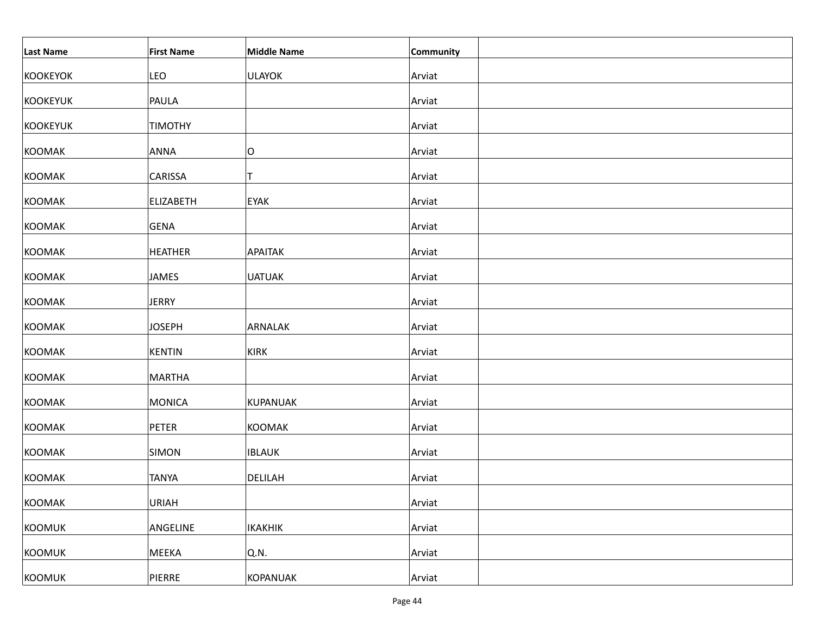| Last Name | <b>First Name</b> | <b>Middle Name</b> | Community |  |
|-----------|-------------------|--------------------|-----------|--|
| KOOKEYOK  | <b>LEO</b>        | ULAYOK             | Arviat    |  |
| KOOKEYUK  | PAULA             |                    | Arviat    |  |
| KOOKEYUK  | <b>TIMOTHY</b>    |                    | Arviat    |  |
| KOOMAK    | ANNA              | O                  | Arviat    |  |
| KOOMAK    | <b>CARISSA</b>    | т                  | Arviat    |  |
|           |                   |                    |           |  |
| KOOMAK    | <b>ELIZABETH</b>  | <b>EYAK</b>        | Arviat    |  |
| KOOMAK    | GENA              |                    | Arviat    |  |
| KOOMAK    | <b>HEATHER</b>    | APAITAK            | Arviat    |  |
| KOOMAK    | <b>JAMES</b>      | UATUAK             | Arviat    |  |
| KOOMAK    | JERRY             |                    | Arviat    |  |
| KOOMAK    | <b>JOSEPH</b>     | ARNALAK            | Arviat    |  |
| KOOMAK    | KENTIN            | KIRK               | Arviat    |  |
| KOOMAK    | MARTHA            |                    | Arviat    |  |
| KOOMAK    | MONICA            | KUPANUAK           | Arviat    |  |
| KOOMAK    | PETER             | KOOMAK             | Arviat    |  |
| KOOMAK    | <b>SIMON</b>      | <b>IBLAUK</b>      | Arviat    |  |
| KOOMAK    | <b>TANYA</b>      | DELILAH            | Arviat    |  |
| KOOMAK    | URIAH             |                    | Arviat    |  |
| KOOMUK    | ANGELINE          | <b>IKAKHIK</b>     | Arviat    |  |
| KOOMUK    | MEEKA             | Q.N.               | Arviat    |  |
| KOOMUK    | PIERRE            | KOPANUAK           | Arviat    |  |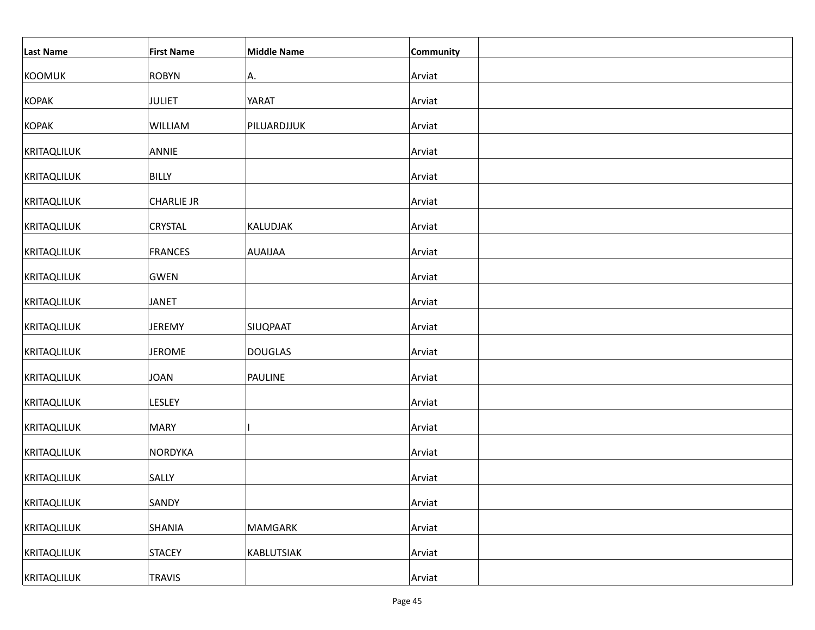| Last Name   | <b>First Name</b> | <b>Middle Name</b> | Community |  |
|-------------|-------------------|--------------------|-----------|--|
| KOOMUK      | <b>ROBYN</b>      | A.                 | Arviat    |  |
| KOPAK       | JULIET            | YARAT              | Arviat    |  |
| KOPAK       | <b>WILLIAM</b>    | PILUARDJJUK        | Arviat    |  |
| KRITAQLILUK | ANNIE             |                    | Arviat    |  |
| KRITAQLILUK | <b>BILLY</b>      |                    | Arviat    |  |
| KRITAQLILUK | <b>CHARLIE JR</b> |                    | Arviat    |  |
| KRITAQLILUK | <b>CRYSTAL</b>    | KALUDJAK           | Arviat    |  |
| KRITAQLILUK | <b>FRANCES</b>    | AUAIJAA            | Arviat    |  |
| KRITAQLILUK | GWEN              |                    | Arviat    |  |
| KRITAQLILUK | <b>JANET</b>      |                    | Arviat    |  |
| KRITAQLILUK | <b>JEREMY</b>     | <b>SIUQPAAT</b>    | Arviat    |  |
| KRITAQLILUK | <b>JEROME</b>     | <b>DOUGLAS</b>     | Arviat    |  |
| KRITAQLILUK | JOAN              | PAULINE            | Arviat    |  |
| KRITAQLILUK | <b>LESLEY</b>     |                    | Arviat    |  |
| KRITAQLILUK | MARY              |                    | Arviat    |  |
| KRITAQLILUK | NORDYKA           |                    | Arviat    |  |
| KRITAQLILUK | <b>SALLY</b>      |                    | Arviat    |  |
| KRITAQLILUK | SANDY             |                    | Arviat    |  |
|             |                   |                    |           |  |
| KRITAQLILUK | <b>SHANIA</b>     | MAMGARK            | Arviat    |  |
| KRITAQLILUK | <b>STACEY</b>     | KABLUTSIAK         | Arviat    |  |
| KRITAQLILUK | <b>TRAVIS</b>     |                    | Arviat    |  |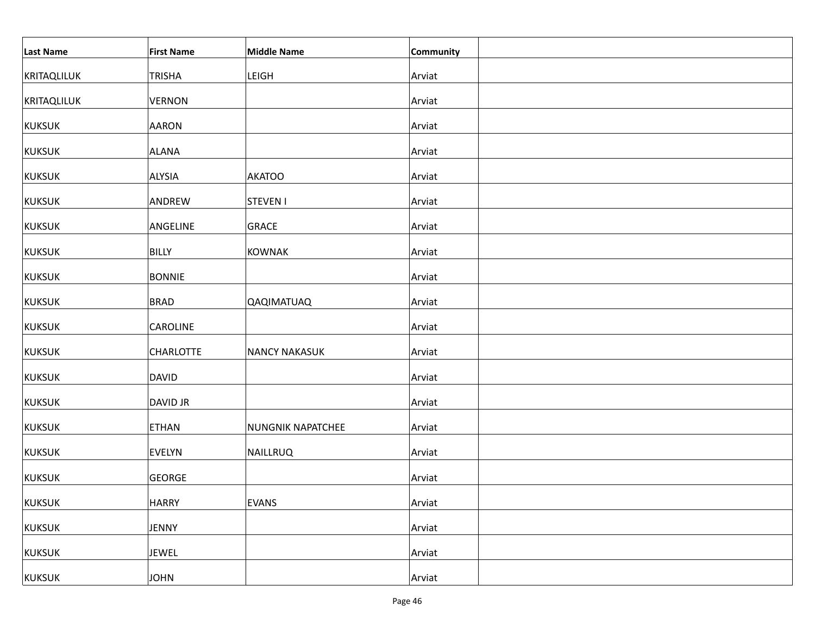| Last Name     | <b>First Name</b> | <b>Middle Name</b>   | Community |  |
|---------------|-------------------|----------------------|-----------|--|
| KRITAQLILUK   | <b>TRISHA</b>     | <b>LEIGH</b>         | Arviat    |  |
| KRITAQLILUK   | <b>VERNON</b>     |                      | Arviat    |  |
| KUKSUK        | AARON             |                      | Arviat    |  |
| KUKSUK        | ALANA             |                      | Arviat    |  |
| KUKSUK        | ALYSIA            | <b>AKATOO</b>        | Arviat    |  |
| KUKSUK        | ANDREW            | <b>STEVEN I</b>      | Arviat    |  |
| KUKSUK        | ANGELINE          | GRACE                | Arviat    |  |
| KUKSUK        | BILLY             | KOWNAK               | Arviat    |  |
|               | <b>BONNIE</b>     |                      | Arviat    |  |
| KUKSUK        |                   |                      |           |  |
| KUKSUK        | BRAD              | QAQIMATUAQ           | Arviat    |  |
| KUKSUK        | <b>CAROLINE</b>   |                      | Arviat    |  |
| KUKSUK        | <b>CHARLOTTE</b>  | <b>NANCY NAKASUK</b> | Arviat    |  |
| KUKSUK        | DAVID             |                      | Arviat    |  |
| <b>KUKSUK</b> | DAVID JR          |                      | Arviat    |  |
| KUKSUK        | <b>ETHAN</b>      | NUNGNIK NAPATCHEE    | Arviat    |  |
| KUKSUK        | EVELYN            | NAILLRUQ             | Arviat    |  |
| KUKSUK        | GEORGE            |                      | Arviat    |  |
| KUKSUK        | <b>HARRY</b>      | <b>EVANS</b>         | Arviat    |  |
| KUKSUK        | JENNY             |                      | Arviat    |  |
| KUKSUK        | JEWEL             |                      | Arviat    |  |
| KUKSUK        | <b>JOHN</b>       |                      | Arviat    |  |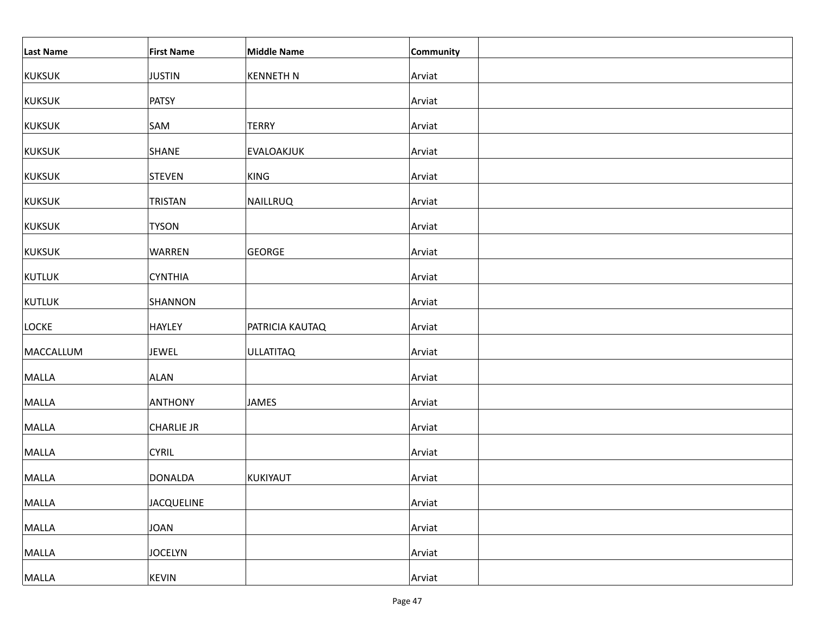| Last Name | <b>First Name</b> | <b>Middle Name</b> | Community |  |
|-----------|-------------------|--------------------|-----------|--|
| KUKSUK    | <b>JUSTIN</b>     | <b>KENNETH N</b>   | Arviat    |  |
| KUKSUK    | <b>PATSY</b>      |                    | Arviat    |  |
| KUKSUK    | SAM               | <b>TERRY</b>       | Arviat    |  |
| KUKSUK    | <b>SHANE</b>      | EVALOAKJUK         | Arviat    |  |
| KUKSUK    | <b>STEVEN</b>     | KING               | Arviat    |  |
|           | <b>TRISTAN</b>    |                    | Arviat    |  |
| KUKSUK    |                   | NAILLRUQ           |           |  |
| KUKSUK    | <b>TYSON</b>      |                    | Arviat    |  |
| KUKSUK    | <b>WARREN</b>     | GEORGE             | Arviat    |  |
| KUTLUK    | <b>CYNTHIA</b>    |                    | Arviat    |  |
| KUTLUK    | SHANNON           |                    | Arviat    |  |
| LOCKE     | <b>HAYLEY</b>     | PATRICIA KAUTAQ    | Arviat    |  |
| MACCALLUM | JEWEL             | ULLATITAQ          | Arviat    |  |
| MALLA     | <b>ALAN</b>       |                    | Arviat    |  |
| MALLA     | <b>ANTHONY</b>    | <b>JAMES</b>       | Arviat    |  |
| MALLA     | <b>CHARLIE JR</b> |                    | Arviat    |  |
| MALLA     | <b>CYRIL</b>      |                    | Arviat    |  |
| MALLA     | <b>DONALDA</b>    | KUKIYAUT           | Arviat    |  |
| MALLA     | <b>JACQUELINE</b> |                    | Arviat    |  |
| MALLA     | JOAN              |                    | Arviat    |  |
| MALLA     | <b>JOCELYN</b>    |                    | Arviat    |  |
| MALLA     | KEVIN             |                    | Arviat    |  |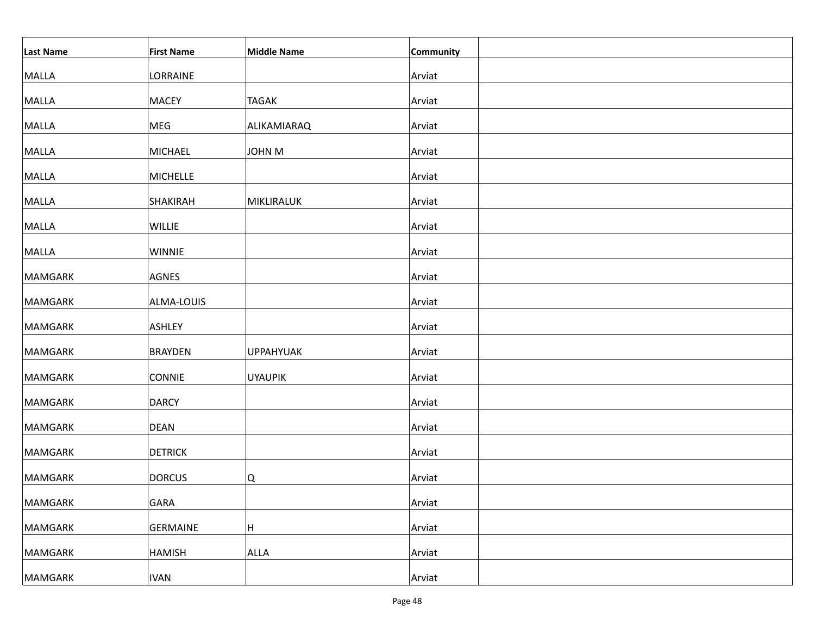| Last Name | <b>First Name</b> | <b>Middle Name</b> | Community |  |
|-----------|-------------------|--------------------|-----------|--|
| MALLA     | LORRAINE          |                    | Arviat    |  |
| MALLA     | MACEY             | <b>TAGAK</b>       | Arviat    |  |
| MALLA     | MEG               | ALIKAMIARAQ        | Arviat    |  |
| MALLA     | MICHAEL           | JOHN M             | Arviat    |  |
| MALLA     | MICHELLE          |                    | Arviat    |  |
| MALLA     | SHAKIRAH          | MIKLIRALUK         | Arviat    |  |
| MALLA     | <b>WILLIE</b>     |                    | Arviat    |  |
| MALLA     | <b>WINNIE</b>     |                    | Arviat    |  |
| MAMGARK   | AGNES             |                    | Arviat    |  |
| MAMGARK   | ALMA-LOUIS        |                    | Arviat    |  |
| MAMGARK   | ASHLEY            |                    | Arviat    |  |
|           |                   |                    |           |  |
| MAMGARK   | BRAYDEN           | <b>UPPAHYUAK</b>   | Arviat    |  |
| MAMGARK   | <b>CONNIE</b>     | <b>UYAUPIK</b>     | Arviat    |  |
| MAMGARK   | DARCY             |                    | Arviat    |  |
| MAMGARK   | DEAN              |                    | Arviat    |  |
| MAMGARK   | <b>DETRICK</b>    |                    | Arviat    |  |
| MAMGARK   | <b>DORCUS</b>     | O,                 | Arviat    |  |
| MAMGARK   | GARA              |                    | Arviat    |  |
| MAMGARK   | GERMAINE          | H.                 | Arviat    |  |
| MAMGARK   | HAMISH            | <b>ALLA</b>        | Arviat    |  |
| MAMGARK   | <b>IVAN</b>       |                    | Arviat    |  |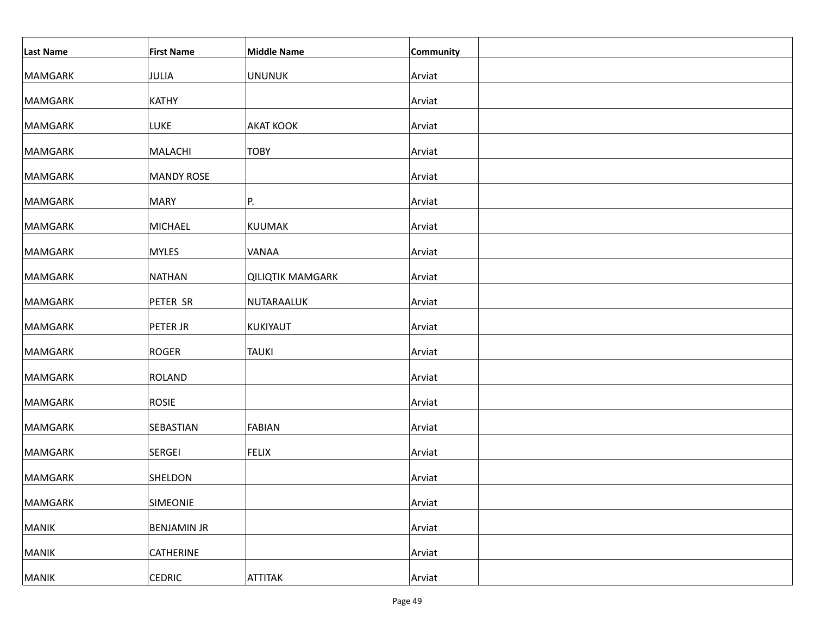| Last Name | <b>First Name</b>  | <b>Middle Name</b>      | Community |  |
|-----------|--------------------|-------------------------|-----------|--|
| MAMGARK   | JULIA              | UNUNUK                  | Arviat    |  |
| MAMGARK   | KATHY              |                         | Arviat    |  |
| MAMGARK   | LUKE               | <b>AKAT KOOK</b>        | Arviat    |  |
| MAMGARK   | MALACHI            | <b>TOBY</b>             | Arviat    |  |
| MAMGARK   | MANDY ROSE         |                         | Arviat    |  |
| MAMGARK   | MARY               | P.                      | Arviat    |  |
| MAMGARK   | MICHAEL            | KUUMAK                  | Arviat    |  |
| MAMGARK   | MYLES              | <b>VANAA</b>            | Arviat    |  |
| MAMGARK   | NATHAN             | <b>QILIQTIK MAMGARK</b> | Arviat    |  |
| MAMGARK   | PETER SR           | NUTARAALUK              | Arviat    |  |
| MAMGARK   |                    |                         |           |  |
|           | <b>PETER JR</b>    | KUKIYAUT                | Arviat    |  |
| MAMGARK   | ROGER              | <b>TAUKI</b>            | Arviat    |  |
| MAMGARK   | ROLAND             |                         | Arviat    |  |
| MAMGARK   | <b>ROSIE</b>       |                         | Arviat    |  |
| MAMGARK   | SEBASTIAN          | FABIAN                  | Arviat    |  |
| MAMGARK   | SERGEI             | FELIX                   | Arviat    |  |
| MAMGARK   | SHELDON            |                         | Arviat    |  |
| MAMGARK   | <b>SIMEONIE</b>    |                         | Arviat    |  |
| MANIK     | <b>BENJAMIN JR</b> |                         | Arviat    |  |
| MANIK     | <b>CATHERINE</b>   |                         | Arviat    |  |
| MANIK     | <b>CEDRIC</b>      | <b>ATTITAK</b>          | Arviat    |  |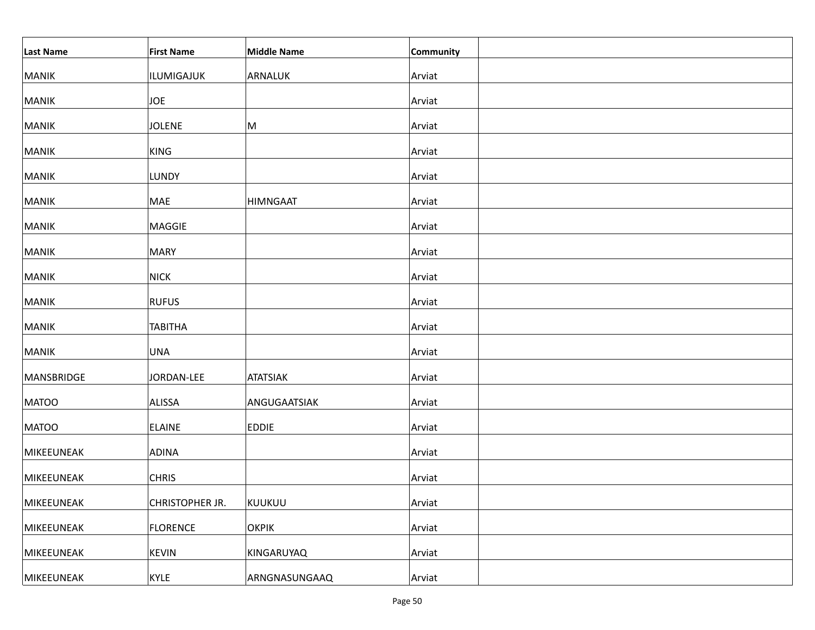| Last Name    | <b>First Name</b> | <b>Middle Name</b> | Community |  |
|--------------|-------------------|--------------------|-----------|--|
| MANIK        | ILUMIGAJUK        | ARNALUK            | Arviat    |  |
| MANIK        | JOE               |                    | Arviat    |  |
| MANIK        | JOLENE            | M                  | Arviat    |  |
| MANIK        | KING              |                    | Arviat    |  |
|              |                   |                    |           |  |
| MANIK        | <b>LUNDY</b>      |                    | Arviat    |  |
| MANIK        | MAE               | HIMNGAAT           | Arviat    |  |
| MANIK        | MAGGIE            |                    | Arviat    |  |
| MANIK        | MARY              |                    | Arviat    |  |
| MANIK        | NICK              |                    | Arviat    |  |
| MANIK        | <b>RUFUS</b>      |                    | Arviat    |  |
| MANIK        | <b>TABITHA</b>    |                    | Arviat    |  |
| MANIK        | UNA               |                    | Arviat    |  |
| MANSBRIDGE   | JORDAN-LEE        | <b>ATATSIAK</b>    | Arviat    |  |
| <b>MATOO</b> | ALISSA            | ANGUGAATSIAK       | Arviat    |  |
| MATOO        | <b>ELAINE</b>     | <b>EDDIE</b>       | Arviat    |  |
| MIKEEUNEAK   | ADINA             |                    | Arviat    |  |
| MIKEEUNEAK   | <b>CHRIS</b>      |                    | Arviat    |  |
| MIKEEUNEAK   | CHRISTOPHER JR.   | KUUKUU             | Arviat    |  |
| MIKEEUNEAK   | FLORENCE          | <b>OKPIK</b>       | Arviat    |  |
| MIKEEUNEAK   | KEVIN             | KINGARUYAQ         | Arviat    |  |
| MIKEEUNEAK   | KYLE              | ARNGNASUNGAAQ      | Arviat    |  |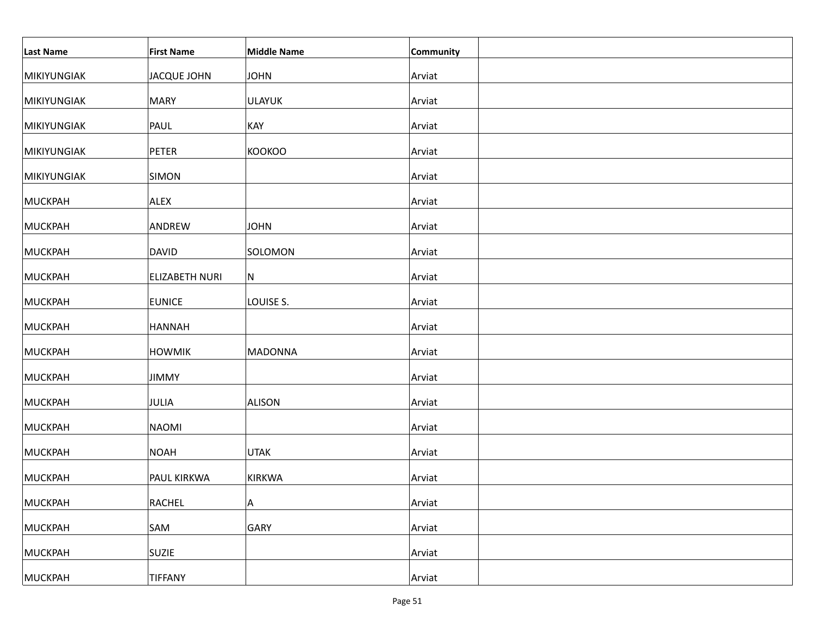| Last Name   | <b>First Name</b>     | <b>Middle Name</b> | Community |  |
|-------------|-----------------------|--------------------|-----------|--|
| MIKIYUNGIAK | JACQUE JOHN           | <b>JOHN</b>        | Arviat    |  |
| MIKIYUNGIAK | MARY                  | ULAYUK             | Arviat    |  |
| MIKIYUNGIAK | PAUL                  | KAY                | Arviat    |  |
| MIKIYUNGIAK | PETER                 | KOOKOO             | Arviat    |  |
| MIKIYUNGIAK | <b>SIMON</b>          |                    | Arviat    |  |
| MUCKPAH     | <b>ALEX</b>           |                    | Arviat    |  |
| MUCKPAH     | ANDREW                | <b>JOHN</b>        | Arviat    |  |
| MUCKPAH     | DAVID                 | SOLOMON            | Arviat    |  |
| MUCKPAH     | <b>ELIZABETH NURI</b> | N                  | Arviat    |  |
| MUCKPAH     | <b>EUNICE</b>         | LOUISE S.          | Arviat    |  |
| MUCKPAH     | HANNAH                |                    | Arviat    |  |
| MUCKPAH     | <b>HOWMIK</b>         | MADONNA            | Arviat    |  |
| MUCKPAH     | JIMMY                 |                    | Arviat    |  |
| MUCKPAH     | JULIA                 | ALISON             | Arviat    |  |
| MUCKPAH     | NAOMI                 |                    | Arviat    |  |
| MUCKPAH     | NOAH                  | UTAK               | Arviat    |  |
| MUCKPAH     | <b>PAUL KIRKWA</b>    | KIRKWA             | Arviat    |  |
|             |                       |                    |           |  |
| MUCKPAH     | RACHEL                | A                  | Arviat    |  |
| MUCKPAH     | SAM                   | GARY               | Arviat    |  |
| MUCKPAH     | <b>SUZIE</b>          |                    | Arviat    |  |
| MUCKPAH     | TIFFANY               |                    | Arviat    |  |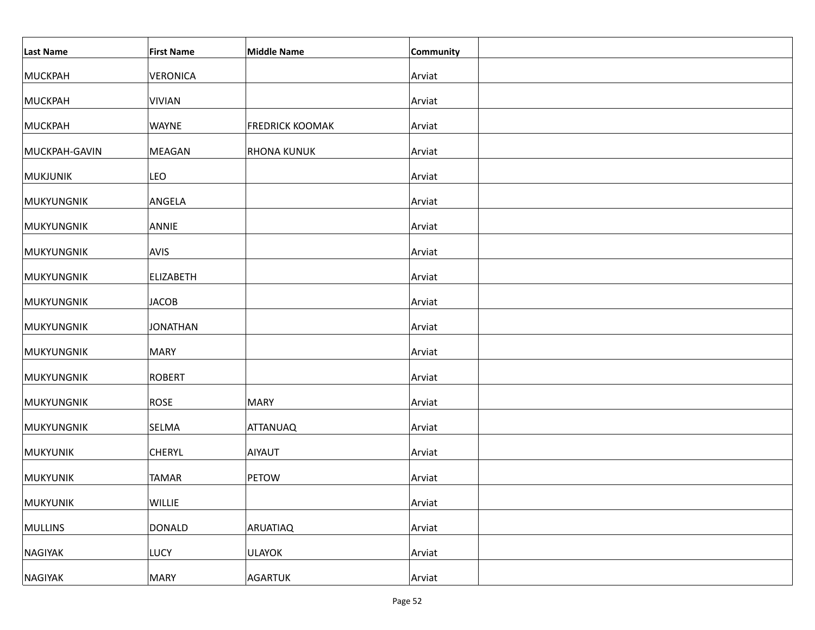| Last Name     | <b>First Name</b> | <b>Middle Name</b>     | Community |  |
|---------------|-------------------|------------------------|-----------|--|
| MUCKPAH       | <b>VERONICA</b>   |                        | Arviat    |  |
| MUCKPAH       | VIVIAN            |                        | Arviat    |  |
| MUCKPAH       | <b>WAYNE</b>      | <b>FREDRICK KOOMAK</b> | Arviat    |  |
| MUCKPAH-GAVIN | MEAGAN            | <b>RHONA KUNUK</b>     | Arviat    |  |
| MUKJUNIK      | <b>LEO</b>        |                        | Arviat    |  |
| MUKYUNGNIK    | ANGELA            |                        | Arviat    |  |
| MUKYUNGNIK    | ANNIE             |                        | Arviat    |  |
| MUKYUNGNIK    | <b>AVIS</b>       |                        | Arviat    |  |
| MUKYUNGNIK    | <b>ELIZABETH</b>  |                        | Arviat    |  |
| MUKYUNGNIK    | <b>JACOB</b>      |                        | Arviat    |  |
| MUKYUNGNIK    | <b>JONATHAN</b>   |                        | Arviat    |  |
| MUKYUNGNIK    | MARY              |                        | Arviat    |  |
| MUKYUNGNIK    | <b>ROBERT</b>     |                        | Arviat    |  |
| MUKYUNGNIK    | ROSE              | MARY                   | Arviat    |  |
| MUKYUNGNIK    | <b>SELMA</b>      | ATTANUAQ               | Arviat    |  |
| MUKYUNIK      | <b>CHERYL</b>     | AIYAUT                 | Arviat    |  |
| MUKYUNIK      | <b>TAMAR</b>      | PETOW                  | Arviat    |  |
| MUKYUNIK      | WILLIE            |                        | Arviat    |  |
|               |                   |                        |           |  |
| MULLINS       | DONALD            | ARUATIAQ               | Arviat    |  |
| NAGIYAK       | <b>LUCY</b>       | ULAYOK                 | Arviat    |  |
| NAGIYAK       | MARY              | AGARTUK                | Arviat    |  |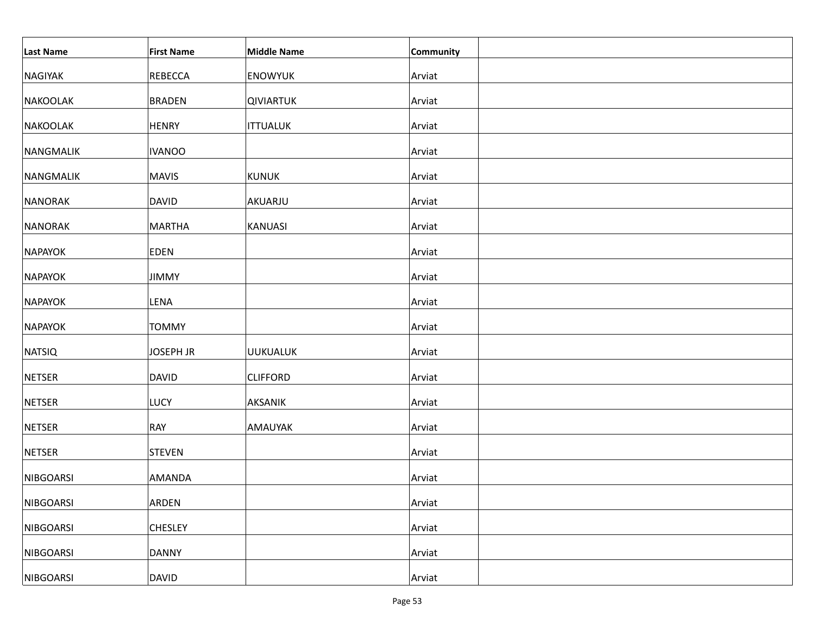| Last Name | <b>First Name</b> | <b>Middle Name</b> | Community |
|-----------|-------------------|--------------------|-----------|
| NAGIYAK   | <b>REBECCA</b>    | <b>ENOWYUK</b>     | Arviat    |
| NAKOOLAK  | <b>BRADEN</b>     | <b>QIVIARTUK</b>   | Arviat    |
| NAKOOLAK  | HENRY             | <b>ITTUALUK</b>    | Arviat    |
| NANGMALIK | <b>IVANOO</b>     |                    | Arviat    |
|           |                   |                    |           |
| NANGMALIK | <b>MAVIS</b>      | KUNUK              | Arviat    |
| NANORAK   | <b>DAVID</b>      | AKUARJU            | Arviat    |
| NANORAK   | MARTHA            | KANUASI            | Arviat    |
| NAPAYOK   | <b>EDEN</b>       |                    | Arviat    |
| NAPAYOK   | <b>JIMMY</b>      |                    | Arviat    |
| NAPAYOK   | LENA              |                    | Arviat    |
| NAPAYOK   | <b>TOMMY</b>      |                    | Arviat    |
| NATSIQ    | <b>JOSEPH JR</b>  | UUKUALUK           | Arviat    |
| NETSER    | <b>DAVID</b>      | <b>CLIFFORD</b>    | Arviat    |
| NETSER    | <b>LUCY</b>       | AKSANIK            | Arviat    |
| NETSER    | <b>RAY</b>        | AMAUYAK            | Arviat    |
| NETSER    | <b>STEVEN</b>     |                    | Arviat    |
| NIBGOARSI | AMANDA            |                    | Arviat    |
| NIBGOARSI | ARDEN             |                    | Arviat    |
| NIBGOARSI | <b>CHESLEY</b>    |                    | Arviat    |
| NIBGOARSI | DANNY             |                    | Arviat    |
| NIBGOARSI | <b>DAVID</b>      |                    | Arviat    |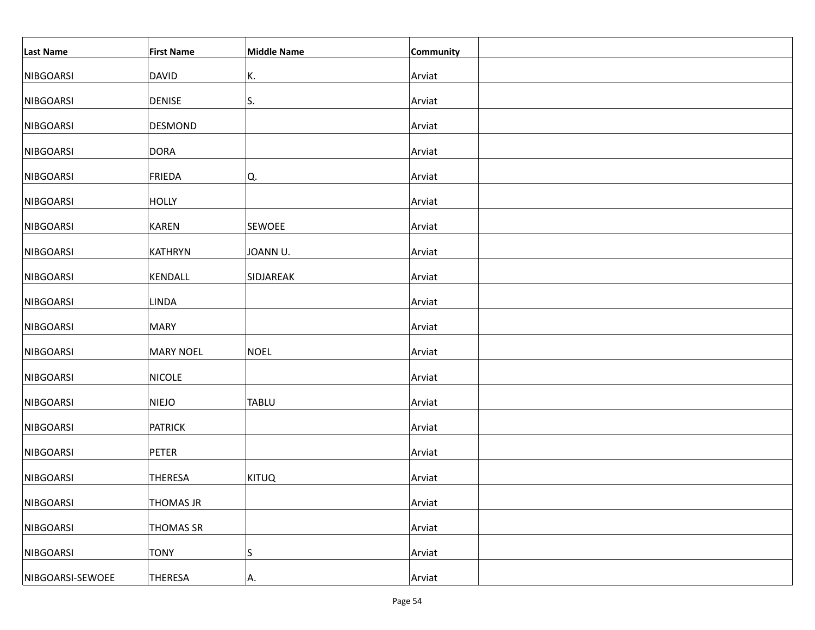| Last Name        | <b>First Name</b> | <b>Middle Name</b> | Community |  |
|------------------|-------------------|--------------------|-----------|--|
| NIBGOARSI        | DAVID             | K.                 | Arviat    |  |
| NIBGOARSI        | <b>DENISE</b>     | S.                 | Arviat    |  |
| NIBGOARSI        | DESMOND           |                    | Arviat    |  |
| NIBGOARSI        | DORA              |                    | Arviat    |  |
| NIBGOARSI        | FRIEDA            | Q.                 | Arviat    |  |
| NIBGOARSI        | HOLLY             |                    | Arviat    |  |
| NIBGOARSI        | KAREN             | <b>SEWOEE</b>      | Arviat    |  |
| NIBGOARSI        | KATHRYN           | JOANN U.           | Arviat    |  |
| NIBGOARSI        | KENDALL           | SIDJAREAK          | Arviat    |  |
|                  |                   |                    |           |  |
| NIBGOARSI        | <b>LINDA</b>      |                    | Arviat    |  |
| NIBGOARSI        | MARY              |                    | Arviat    |  |
| NIBGOARSI        | <b>MARY NOEL</b>  | NOEL               | Arviat    |  |
| NIBGOARSI        | NICOLE            |                    | Arviat    |  |
| NIBGOARSI        | NIEJO             | <b>TABLU</b>       | Arviat    |  |
| NIBGOARSI        | PATRICK           |                    | Arviat    |  |
| NIBGOARSI        | PETER             |                    | Arviat    |  |
| NIBGOARSI        | THERESA           | KITUQ              | Arviat    |  |
| NIBGOARSI        | <b>THOMAS JR</b>  |                    | Arviat    |  |
| NIBGOARSI        | <b>THOMAS SR</b>  |                    | Arviat    |  |
|                  |                   |                    |           |  |
| NIBGOARSI        | TONY              | S                  | Arviat    |  |
| NIBGOARSI-SEWOEE | THERESA           | A.                 | Arviat    |  |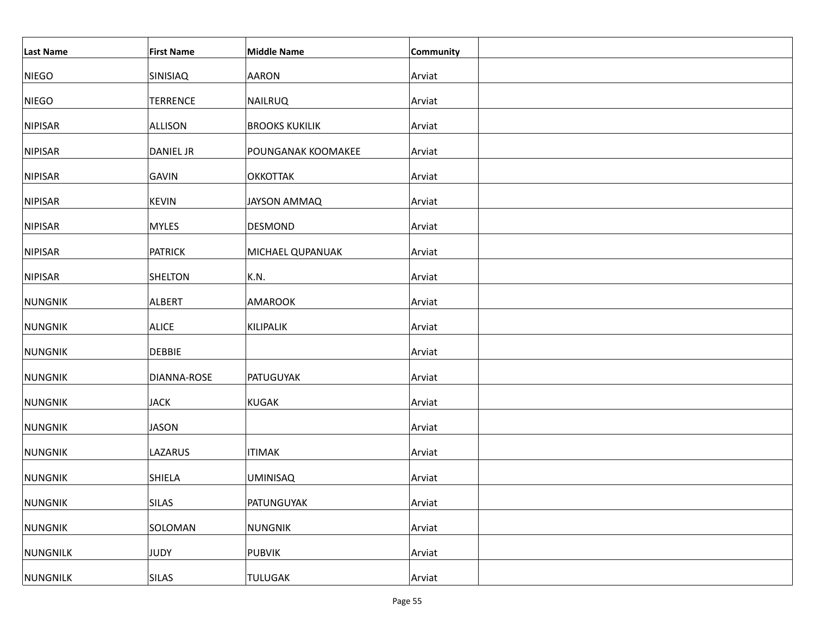| Last Name | <b>First Name</b> | <b>Middle Name</b>    | Community |  |
|-----------|-------------------|-----------------------|-----------|--|
| NIEGO     | SINISIAQ          | <b>AARON</b>          | Arviat    |  |
| NIEGO     | <b>TERRENCE</b>   | NAILRUQ               | Arviat    |  |
| NIPISAR   | <b>ALLISON</b>    | <b>BROOKS KUKILIK</b> | Arviat    |  |
| NIPISAR   | DANIEL JR         | POUNGANAK KOOMAKEE    | Arviat    |  |
| NIPISAR   | <b>GAVIN</b>      | <b>OKKOTTAK</b>       | Arviat    |  |
| NIPISAR   | KEVIN             | JAYSON AMMAQ          | Arviat    |  |
| NIPISAR   | MYLES             | <b>DESMOND</b>        | Arviat    |  |
| NIPISAR   | PATRICK           | MICHAEL QUPANUAK      | Arviat    |  |
| NIPISAR   | <b>SHELTON</b>    | K.N.                  | Arviat    |  |
| NUNGNIK   | ALBERT            | <b>AMAROOK</b>        | Arviat    |  |
| NUNGNIK   | <b>ALICE</b>      | KILIPALIK             | Arviat    |  |
|           | <b>DEBBIE</b>     |                       |           |  |
| NUNGNIK   |                   |                       | Arviat    |  |
| NUNGNIK   | DIANNA-ROSE       | PATUGUYAK             | Arviat    |  |
| NUNGNIK   | <b>JACK</b>       | KUGAK                 | Arviat    |  |
| NUNGNIK   | JASON             |                       | Arviat    |  |
| NUNGNIK   | LAZARUS           | <b>ITIMAK</b>         | Arviat    |  |
| NUNGNIK   | <b>SHIELA</b>     | <b>UMINISAQ</b>       | Arviat    |  |
| NUNGNIK   | <b>SILAS</b>      | PATUNGUYAK            | Arviat    |  |
| NUNGNIK   | SOLOMAN           | NUNGNIK               | Arviat    |  |
| NUNGNILK  | JUDY              | PUBVIK                | Arviat    |  |
| NUNGNILK  | SILAS             | <b>TULUGAK</b>        | Arviat    |  |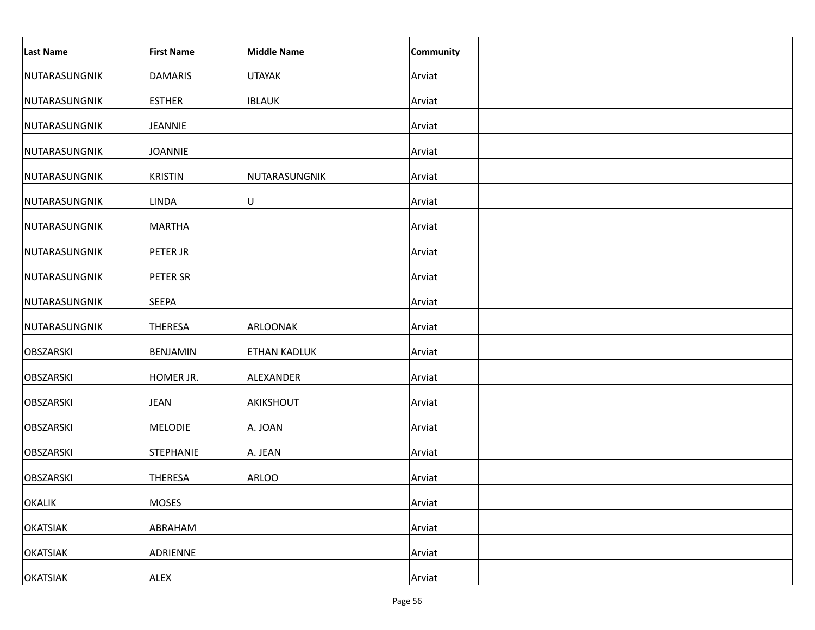| Last Name     | <b>First Name</b> | <b>Middle Name</b>  | Community |  |
|---------------|-------------------|---------------------|-----------|--|
| NUTARASUNGNIK | DAMARIS           | UTAYAK              | Arviat    |  |
| NUTARASUNGNIK | <b>ESTHER</b>     | <b>IBLAUK</b>       | Arviat    |  |
| NUTARASUNGNIK | JEANNIE           |                     | Arviat    |  |
| NUTARASUNGNIK | <b>JOANNIE</b>    |                     | Arviat    |  |
| NUTARASUNGNIK | <b>KRISTIN</b>    | NUTARASUNGNIK       | Arviat    |  |
| NUTARASUNGNIK | <b>LINDA</b>      | ΙU.                 | Arviat    |  |
| NUTARASUNGNIK | MARTHA            |                     | Arviat    |  |
| NUTARASUNGNIK | <b>PETER JR</b>   |                     | Arviat    |  |
| NUTARASUNGNIK | <b>PETER SR</b>   |                     | Arviat    |  |
| NUTARASUNGNIK | <b>SEEPA</b>      |                     | Arviat    |  |
| NUTARASUNGNIK | THERESA           | ARLOONAK            | Arviat    |  |
| OBSZARSKI     | BENJAMIN          | <b>ETHAN KADLUK</b> | Arviat    |  |
| OBSZARSKI     | HOMER JR.         | ALEXANDER           | Arviat    |  |
| OBSZARSKI     | JEAN              | AKIKSHOUT           | Arviat    |  |
| OBSZARSKI     | MELODIE           | A. JOAN             | Arviat    |  |
| OBSZARSKI     | <b>STEPHANIE</b>  | A. JEAN             | Arviat    |  |
| OBSZARSKI     | THERESA           | ARLOO               | Arviat    |  |
| OKALIK        | MOSES             |                     | Arviat    |  |
| OKATSIAK      | ABRAHAM           |                     | Arviat    |  |
| OKATSIAK      | ADRIENNE          |                     | Arviat    |  |
| OKATSIAK      | ALEX              |                     | Arviat    |  |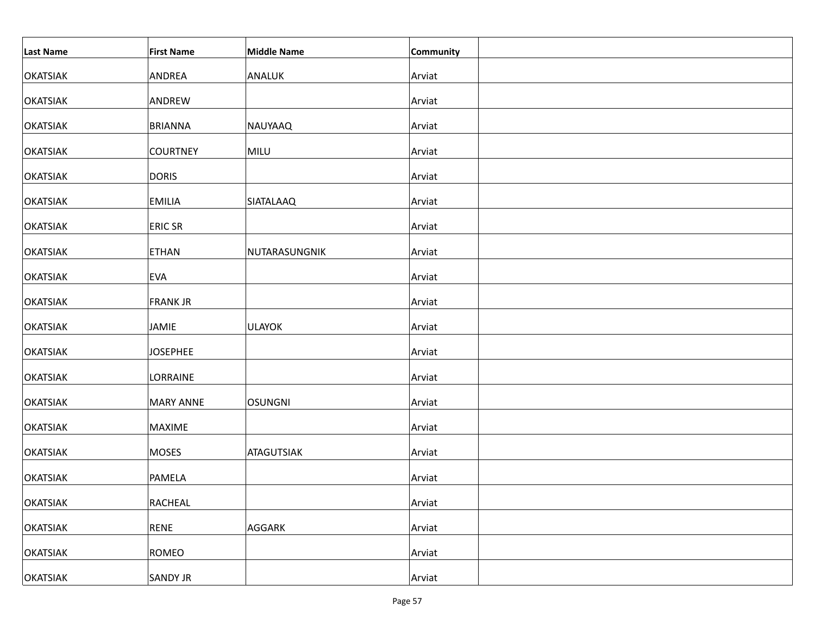| Last Name       | <b>First Name</b> | <b>Middle Name</b> | Community |  |
|-----------------|-------------------|--------------------|-----------|--|
| <b>OKATSIAK</b> | ANDREA            | ANALUK             | Arviat    |  |
| <b>OKATSIAK</b> | ANDREW            |                    | Arviat    |  |
| <b>OKATSIAK</b> | BRIANNA           | NAUYAAQ            | Arviat    |  |
| <b>OKATSIAK</b> | <b>COURTNEY</b>   | MILU               | Arviat    |  |
| <b>OKATSIAK</b> | <b>DORIS</b>      |                    | Arviat    |  |
| <b>OKATSIAK</b> | <b>EMILIA</b>     | SIATALAAQ          | Arviat    |  |
| <b>OKATSIAK</b> | <b>ERIC SR</b>    |                    | Arviat    |  |
| <b>OKATSIAK</b> | <b>ETHAN</b>      | NUTARASUNGNIK      | Arviat    |  |
|                 |                   |                    |           |  |
| <b>OKATSIAK</b> | <b>EVA</b>        |                    | Arviat    |  |
| <b>OKATSIAK</b> | <b>FRANK JR</b>   |                    | Arviat    |  |
| <b>OKATSIAK</b> | JAMIE             | ULAYOK             | Arviat    |  |
| <b>OKATSIAK</b> | <b>JOSEPHEE</b>   |                    | Arviat    |  |
| <b>OKATSIAK</b> | <b>LORRAINE</b>   |                    | Arviat    |  |
| <b>OKATSIAK</b> | <b>MARY ANNE</b>  | OSUNGNI            | Arviat    |  |
| <b>OKATSIAK</b> | MAXIME            |                    | Arviat    |  |
| <b>OKATSIAK</b> | MOSES             | ATAGUTSIAK         | Arviat    |  |
| <b>OKATSIAK</b> | PAMELA            |                    | Arviat    |  |
|                 |                   |                    |           |  |
| <b>OKATSIAK</b> | RACHEAL           |                    | Arviat    |  |
| <b>OKATSIAK</b> | RENE              | AGGARK             | Arviat    |  |
| <b>OKATSIAK</b> | ROMEO             |                    | Arviat    |  |
| <b>OKATSIAK</b> | SANDY JR          |                    | Arviat    |  |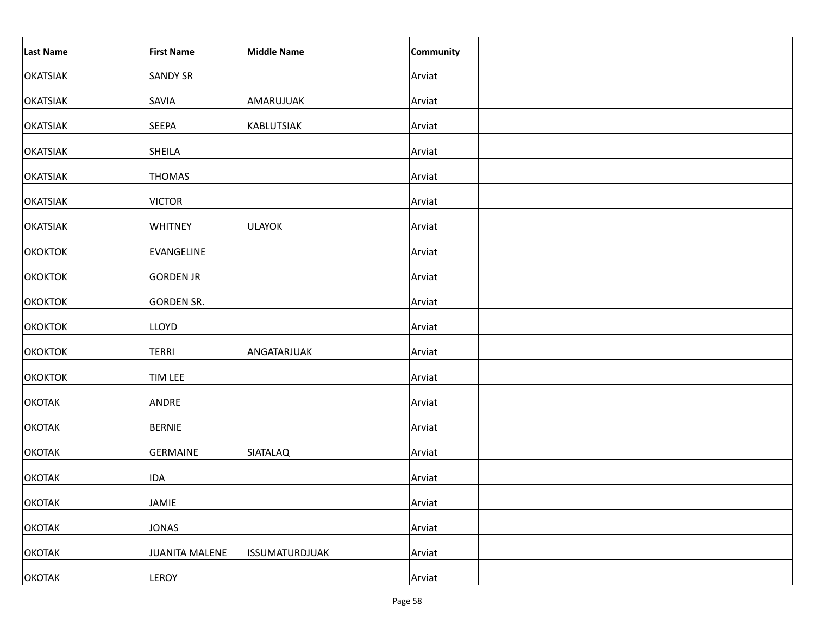| Last Name       | <b>First Name</b> | <b>Middle Name</b> | Community |  |
|-----------------|-------------------|--------------------|-----------|--|
| <b>OKATSIAK</b> | SANDY SR          |                    | Arviat    |  |
| <b>OKATSIAK</b> | <b>SAVIA</b>      | AMARUJUAK          | Arviat    |  |
| <b>OKATSIAK</b> | <b>SEEPA</b>      | KABLUTSIAK         | Arviat    |  |
| <b>OKATSIAK</b> | SHEILA            |                    | Arviat    |  |
| <b>OKATSIAK</b> | <b>THOMAS</b>     |                    | Arviat    |  |
| <b>OKATSIAK</b> | <b>VICTOR</b>     |                    | Arviat    |  |
| <b>OKATSIAK</b> | <b>WHITNEY</b>    | ULAYOK             | Arviat    |  |
| <b>OKOKTOK</b>  | EVANGELINE        |                    | Arviat    |  |
| <b>OKOKTOK</b>  | GORDEN JR         |                    | Arviat    |  |
| <b>OKOKTOK</b>  | GORDEN SR.        |                    | Arviat    |  |
| <b>OKOKTOK</b>  | <b>LLOYD</b>      |                    | Arviat    |  |
| <b>OKOKTOK</b>  | <b>TERRI</b>      | ANGATARJUAK        |           |  |
|                 |                   |                    | Arviat    |  |
| <b>OKOKTOK</b>  | TIM LEE           |                    | Arviat    |  |
| <b>OKOTAK</b>   | ANDRE             |                    | Arviat    |  |
| <b>OKOTAK</b>   | <b>BERNIE</b>     |                    | Arviat    |  |
| <b>OKOTAK</b>   | GERMAINE          | SIATALAQ           | Arviat    |  |
| <b>OKOTAK</b>   | <b>IDA</b>        |                    | Arviat    |  |
| <b>OKOTAK</b>   | JAMIE             |                    | Arviat    |  |
| <b>OKOTAK</b>   | JONAS             |                    | Arviat    |  |
| <b>OKOTAK</b>   | JUANITA MALENE    | ISSUMATURDJUAK     | Arviat    |  |
| <b>OKOTAK</b>   | <b>LEROY</b>      |                    | Arviat    |  |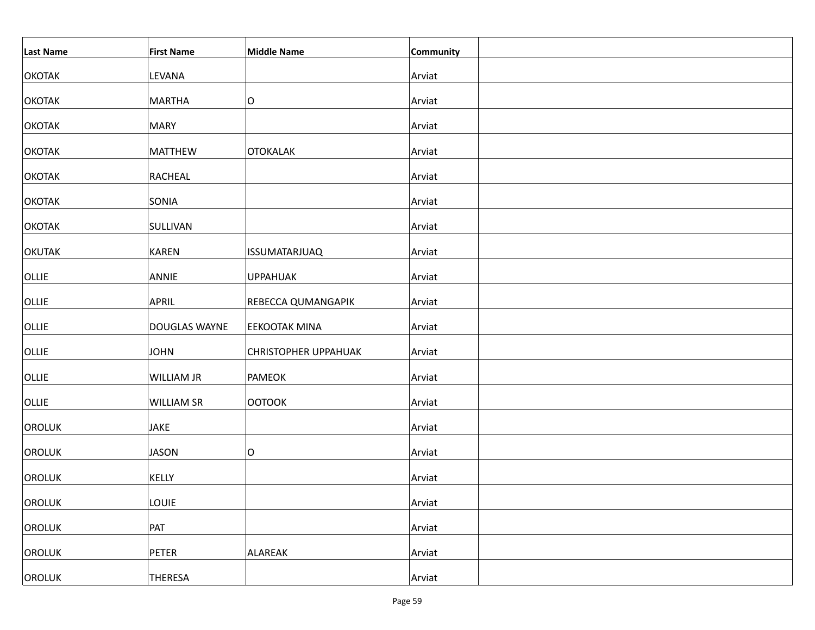| Last Name     | <b>First Name</b> | <b>Middle Name</b>          | Community |  |
|---------------|-------------------|-----------------------------|-----------|--|
| <b>OKOTAK</b> | LEVANA            |                             | Arviat    |  |
| <b>OKOTAK</b> | MARTHA            | O                           | Arviat    |  |
| <b>OKOTAK</b> | MARY              |                             | Arviat    |  |
| <b>OKOTAK</b> | MATTHEW           | <b>OTOKALAK</b>             | Arviat    |  |
| <b>OKOTAK</b> | RACHEAL           |                             | Arviat    |  |
| <b>OKOTAK</b> | SONIA             |                             | Arviat    |  |
| <b>OKOTAK</b> | SULLIVAN          |                             | Arviat    |  |
| <b>OKUTAK</b> | KAREN             | ISSUMATARJUAQ               | Arviat    |  |
| <b>OLLIE</b>  | ANNIE             | <b>UPPAHUAK</b>             | Arviat    |  |
| <b>OLLIE</b>  | APRIL             | <b>REBECCA QUMANGAPIK</b>   | Arviat    |  |
| <b>OLLIE</b>  | DOUGLAS WAYNE     | <b>EEKOOTAK MINA</b>        | Arviat    |  |
| <b>OLLIE</b>  | JOHN              | <b>CHRISTOPHER UPPAHUAK</b> | Arviat    |  |
| <b>OLLIE</b>  | <b>WILLIAM JR</b> | PAMEOK                      | Arviat    |  |
| <b>OLLIE</b>  | <b>WILLIAM SR</b> | OOTOOK                      | Arviat    |  |
| <b>OROLUK</b> | <b>JAKE</b>       |                             | Arviat    |  |
| <b>OROLUK</b> | <b>JASON</b>      | 0                           | Arviat    |  |
| <b>OROLUK</b> | KELLY             |                             | Arviat    |  |
| OROLUK        | LOUIE             |                             | Arviat    |  |
| OROLUK        | PAT               |                             | Arviat    |  |
|               |                   |                             |           |  |
| OROLUK        | PETER             | ALAREAK                     | Arviat    |  |
| OROLUK        | <b>THERESA</b>    |                             | Arviat    |  |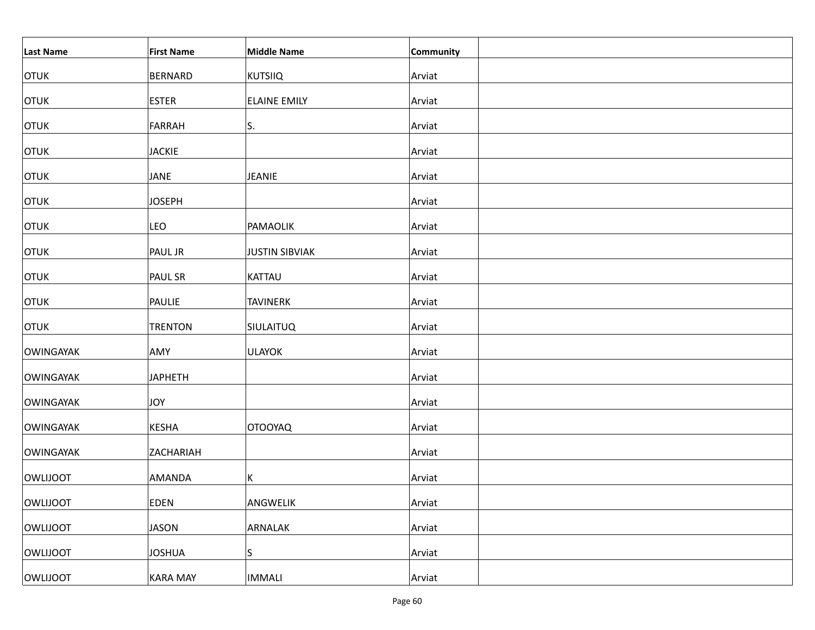| Last Name        | <b>First Name</b> | <b>Middle Name</b>  | Community |  |
|------------------|-------------------|---------------------|-----------|--|
| <b>OTUK</b>      | BERNARD           | KUTSIIQ             | Arviat    |  |
| <b>OTUK</b>      | <b>ESTER</b>      | <b>ELAINE EMILY</b> | Arviat    |  |
| <b>OTUK</b>      | FARRAH            | S.                  | Arviat    |  |
| <b>OTUK</b>      | <b>JACKIE</b>     |                     | Arviat    |  |
| <b>OTUK</b>      | JANE              | JEANIE              | Arviat    |  |
|                  |                   |                     |           |  |
| <b>OTUK</b>      | <b>JOSEPH</b>     |                     | Arviat    |  |
| <b>OTUK</b>      | LEO               | PAMAOLIK            | Arviat    |  |
| <b>OTUK</b>      | <b>PAUL JR</b>    | JUSTIN SIBVIAK      | Arviat    |  |
| <b>OTUK</b>      | <b>PAUL SR</b>    | KATTAU              | Arviat    |  |
| <b>OTUK</b>      | PAULIE            | <b>TAVINERK</b>     | Arviat    |  |
| <b>OTUK</b>      | <b>TRENTON</b>    | SIULAITUQ           | Arviat    |  |
| OWINGAYAK        | AMY               | ULAYOK              | Arviat    |  |
| <b>OWINGAYAK</b> | <b>JAPHETH</b>    |                     | Arviat    |  |
| OWINGAYAK        | JOY               |                     | Arviat    |  |
| OWINGAYAK        | KESHA             | <b>OTOOYAQ</b>      | Arviat    |  |
| OWINGAYAK        | ZACHARIAH         |                     | Arviat    |  |
| OWLIJOOT         | <b>AMANDA</b>     | K                   | Arviat    |  |
| OWLIJOOT         | <b>EDEN</b>       | ANGWELIK            | Arviat    |  |
| OWLIJOOT         | JASON             | ARNALAK             | Arviat    |  |
| OWLIJOOT         | JOSHUA            | S.                  | Arviat    |  |
| OWLIJOOT         | KARA MAY          | <b>IMMALI</b>       | Arviat    |  |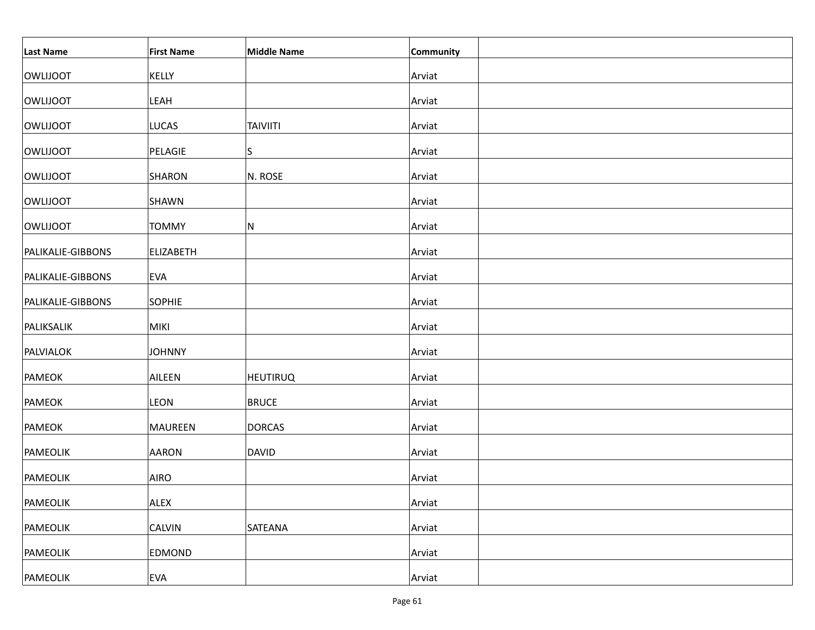| Last Name         | <b>First Name</b> | <b>Middle Name</b> | Community |  |
|-------------------|-------------------|--------------------|-----------|--|
| OWLIJOOT          | KELLY             |                    | Arviat    |  |
| OWLIJOOT          | <b>LEAH</b>       |                    | Arviat    |  |
| OWLIJOOT          | <b>LUCAS</b>      | <b>TAIVIITI</b>    | Arviat    |  |
| OWLIJOOT          | PELAGIE           | S                  | Arviat    |  |
| OWLIJOOT          | SHARON            | N. ROSE            | Arviat    |  |
| OWLIJOOT          | SHAWN             |                    | Arviat    |  |
| OWLIJOOT          | <b>TOMMY</b>      | N                  | Arviat    |  |
| PALIKALIE-GIBBONS | <b>ELIZABETH</b>  |                    | Arviat    |  |
| PALIKALIE-GIBBONS | <b>EVA</b>        |                    | Arviat    |  |
| PALIKALIE-GIBBONS | <b>SOPHIE</b>     |                    | Arviat    |  |
| PALIKSALIK        | MIKI              |                    | Arviat    |  |
| PALVIALOK         | <b>JOHNNY</b>     |                    | Arviat    |  |
| PAMEOK            | AILEEN            | <b>HEUTIRUQ</b>    | Arviat    |  |
| PAMEOK            | <b>LEON</b>       | <b>BRUCE</b>       | Arviat    |  |
| PAMEOK            | MAUREEN           | <b>DORCAS</b>      | Arviat    |  |
| PAMEOLIK          | AARON             | <b>DAVID</b>       | Arviat    |  |
| PAMEOLIK          | AIRO              |                    | Arviat    |  |
| PAMEOLIK          | <b>ALEX</b>       |                    | Arviat    |  |
| PAMEOLIK          | <b>CALVIN</b>     | SATEANA            | Arviat    |  |
|                   | <b>EDMOND</b>     |                    |           |  |
| PAMEOLIK          |                   |                    | Arviat    |  |
| PAMEOLIK          | <b>EVA</b>        |                    | Arviat    |  |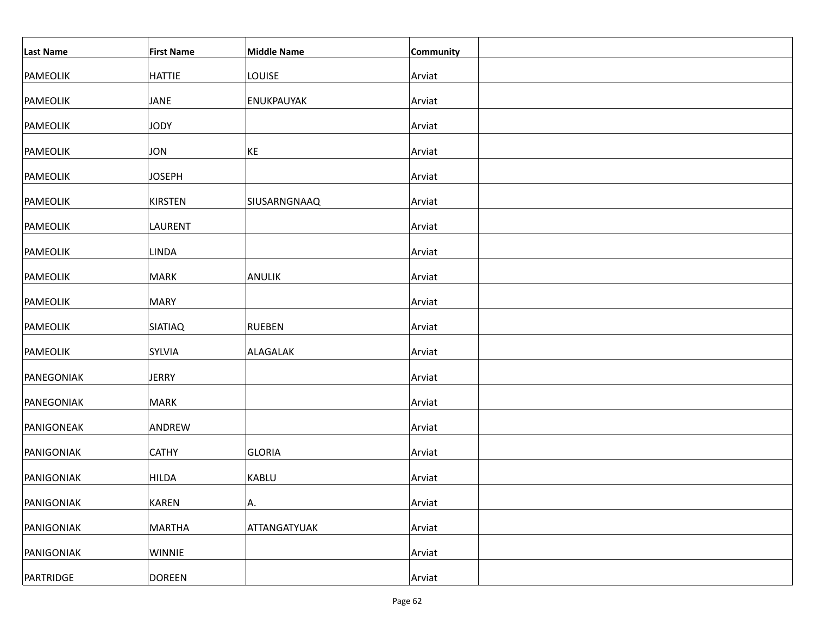| <b>First Name</b> |                                                                                                                                                |                                                                                                                                                  |                                                                                                                                                                                                                             |
|-------------------|------------------------------------------------------------------------------------------------------------------------------------------------|--------------------------------------------------------------------------------------------------------------------------------------------------|-----------------------------------------------------------------------------------------------------------------------------------------------------------------------------------------------------------------------------|
| <b>HATTIE</b>     |                                                                                                                                                |                                                                                                                                                  |                                                                                                                                                                                                                             |
| JANE              |                                                                                                                                                |                                                                                                                                                  |                                                                                                                                                                                                                             |
| <b>JODY</b>       |                                                                                                                                                |                                                                                                                                                  |                                                                                                                                                                                                                             |
| <b>JON</b>        |                                                                                                                                                |                                                                                                                                                  |                                                                                                                                                                                                                             |
| <b>JOSEPH</b>     |                                                                                                                                                |                                                                                                                                                  |                                                                                                                                                                                                                             |
|                   |                                                                                                                                                |                                                                                                                                                  |                                                                                                                                                                                                                             |
|                   |                                                                                                                                                |                                                                                                                                                  |                                                                                                                                                                                                                             |
|                   |                                                                                                                                                |                                                                                                                                                  |                                                                                                                                                                                                                             |
|                   |                                                                                                                                                |                                                                                                                                                  |                                                                                                                                                                                                                             |
|                   |                                                                                                                                                |                                                                                                                                                  |                                                                                                                                                                                                                             |
|                   |                                                                                                                                                |                                                                                                                                                  |                                                                                                                                                                                                                             |
| <b>SYLVIA</b>     |                                                                                                                                                |                                                                                                                                                  |                                                                                                                                                                                                                             |
| JERRY             |                                                                                                                                                |                                                                                                                                                  |                                                                                                                                                                                                                             |
| MARK              |                                                                                                                                                |                                                                                                                                                  |                                                                                                                                                                                                                             |
|                   |                                                                                                                                                |                                                                                                                                                  |                                                                                                                                                                                                                             |
|                   |                                                                                                                                                |                                                                                                                                                  |                                                                                                                                                                                                                             |
|                   |                                                                                                                                                |                                                                                                                                                  |                                                                                                                                                                                                                             |
|                   |                                                                                                                                                |                                                                                                                                                  |                                                                                                                                                                                                                             |
|                   |                                                                                                                                                |                                                                                                                                                  |                                                                                                                                                                                                                             |
|                   |                                                                                                                                                |                                                                                                                                                  |                                                                                                                                                                                                                             |
|                   |                                                                                                                                                |                                                                                                                                                  |                                                                                                                                                                                                                             |
|                   | KIRSTEN<br>LAURENT<br><b>LINDA</b><br>MARK<br>MARY<br>SIATIAQ<br>ANDREW<br><b>CATHY</b><br>HILDA<br>KAREN<br>MARTHA<br><b>WINNIE</b><br>DOREEN | <b>Middle Name</b><br><b>LOUISE</b><br>ENUKPAUYAK<br>KE<br>SIUSARNGNAAQ<br>ANULIK<br>RUEBEN<br>ALAGALAK<br>GLORIA<br>KABLU<br>A.<br>ATTANGATYUAK | Community<br>Arviat<br>Arviat<br>Arviat<br>Arviat<br>Arviat<br>Arviat<br>Arviat<br>Arviat<br>Arviat<br>Arviat<br>Arviat<br>Arviat<br>Arviat<br>Arviat<br>Arviat<br>Arviat<br>Arviat<br>Arviat<br>Arviat<br>Arviat<br>Arviat |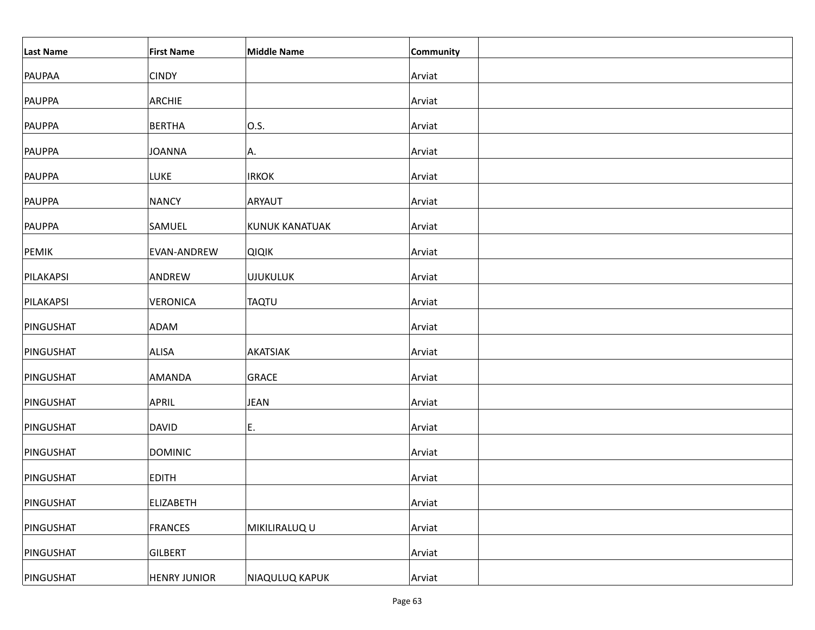| Last Name     | <b>First Name</b>   | <b>Middle Name</b>    | Community |  |
|---------------|---------------------|-----------------------|-----------|--|
| PAUPAA        | <b>CINDY</b>        |                       | Arviat    |  |
| PAUPPA        | ARCHIE              |                       | Arviat    |  |
| PAUPPA        | <b>BERTHA</b>       | 0.S.                  | Arviat    |  |
| <b>PAUPPA</b> | JOANNA              | A.                    | Arviat    |  |
| <b>PAUPPA</b> | LUKE                | <b>IRKOK</b>          | Arviat    |  |
| <b>PAUPPA</b> | NANCY               | ARYAUT                | Arviat    |  |
| <b>PAUPPA</b> | SAMUEL              | <b>KUNUK KANATUAK</b> | Arviat    |  |
| PEMIK         | EVAN-ANDREW         | <b>QIQIK</b>          | Arviat    |  |
| PILAKAPSI     | ANDREW              | UJUKULUK              | Arviat    |  |
| PILAKAPSI     | <b>VERONICA</b>     | <b>TAQTU</b>          | Arviat    |  |
| PINGUSHAT     | ADAM                |                       | Arviat    |  |
| PINGUSHAT     | <b>ALISA</b>        | AKATSIAK              | Arviat    |  |
|               |                     |                       |           |  |
| PINGUSHAT     | AMANDA              | GRACE                 | Arviat    |  |
| PINGUSHAT     | APRIL               | <b>JEAN</b>           | Arviat    |  |
| PINGUSHAT     | DAVID               | E.                    | Arviat    |  |
| PINGUSHAT     | <b>DOMINIC</b>      |                       | Arviat    |  |
| PINGUSHAT     | <b>EDITH</b>        |                       | Arviat    |  |
| PINGUSHAT     | <b>ELIZABETH</b>    |                       | Arviat    |  |
| PINGUSHAT     | FRANCES             | MIKILIRALUQ U         | Arviat    |  |
| PINGUSHAT     | GILBERT             |                       | Arviat    |  |
| PINGUSHAT     | <b>HENRY JUNIOR</b> | NIAQULUQ KAPUK        | Arviat    |  |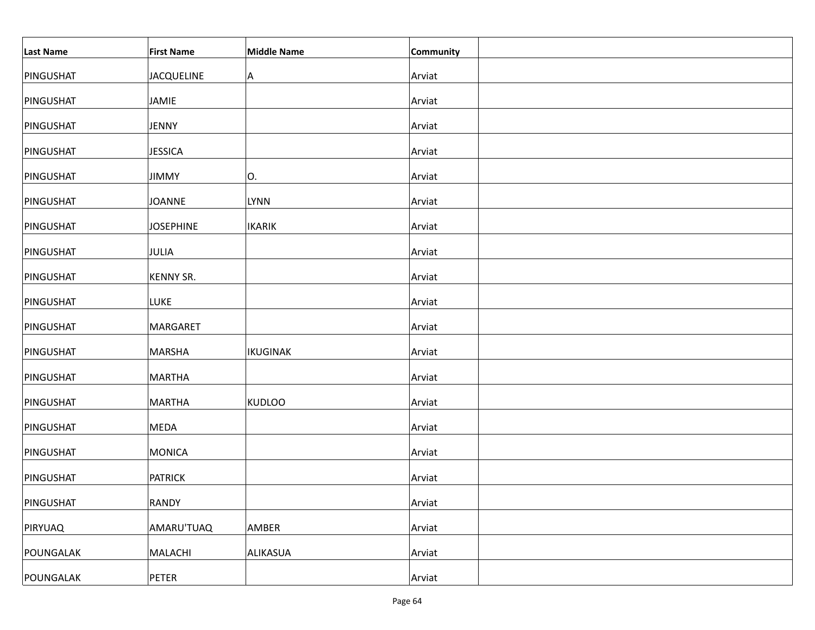| Last Name | <b>First Name</b> | <b>Middle Name</b> | Community |  |
|-----------|-------------------|--------------------|-----------|--|
| PINGUSHAT | JACQUELINE        | A                  | Arviat    |  |
| PINGUSHAT | <b>JAMIE</b>      |                    | Arviat    |  |
| PINGUSHAT | JENNY             |                    | Arviat    |  |
| PINGUSHAT | <b>JESSICA</b>    |                    | Arviat    |  |
| PINGUSHAT | JIMMY             | O.                 | Arviat    |  |
| PINGUSHAT | <b>JOANNE</b>     | <b>LYNN</b>        | Arviat    |  |
| PINGUSHAT | <b>JOSEPHINE</b>  | <b>IKARIK</b>      | Arviat    |  |
| PINGUSHAT | JULIA             |                    | Arviat    |  |
| PINGUSHAT | KENNY SR.         |                    | Arviat    |  |
| PINGUSHAT | LUKE              |                    | Arviat    |  |
| PINGUSHAT | MARGARET          |                    | Arviat    |  |
| PINGUSHAT | MARSHA            | <b>IKUGINAK</b>    | Arviat    |  |
| PINGUSHAT | MARTHA            |                    | Arviat    |  |
| PINGUSHAT | MARTHA            | KUDLOO             | Arviat    |  |
| PINGUSHAT | MEDA              |                    | Arviat    |  |
| PINGUSHAT | MONICA            |                    | Arviat    |  |
| PINGUSHAT | PATRICK           |                    | Arviat    |  |
| PINGUSHAT | RANDY             |                    | Arviat    |  |
| PIRYUAQ   | AMARU'TUAQ        | AMBER              | Arviat    |  |
| POUNGALAK | MALACHI           | ALIKASUA           | Arviat    |  |
| POUNGALAK | PETER             |                    | Arviat    |  |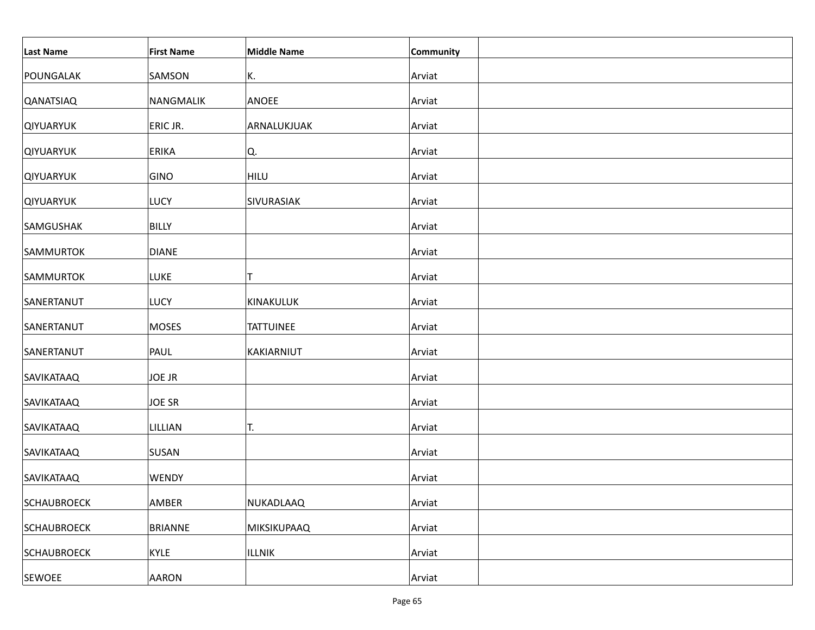| Last Name          | <b>First Name</b> | <b>Middle Name</b> | Community |  |
|--------------------|-------------------|--------------------|-----------|--|
| POUNGALAK          | SAMSON            | K.                 | Arviat    |  |
| QANATSIAQ          | NANGMALIK         | ANOEE              | Arviat    |  |
| <b>QIYUARYUK</b>   | ERIC JR.          | ARNALUKJUAK        | Arviat    |  |
| QIYUARYUK          | <b>ERIKA</b>      | Q.                 | Arviat    |  |
| QIYUARYUK          | GINO              | <b>HILU</b>        | Arviat    |  |
| <b>QIYUARYUK</b>   | <b>LUCY</b>       | SIVURASIAK         | Arviat    |  |
| SAMGUSHAK          | <b>BILLY</b>      |                    | Arviat    |  |
| SAMMURTOK          | <b>DIANE</b>      |                    | Arviat    |  |
| SAMMURTOK          | LUKE              | IT.                | Arviat    |  |
| SANERTANUT         | <b>LUCY</b>       | KINAKULUK          | Arviat    |  |
| SANERTANUT         | MOSES             | <b>TATTUINEE</b>   | Arviat    |  |
| SANERTANUT         | PAUL              | KAKIARNIUT         | Arviat    |  |
| SAVIKATAAQ         | JOE JR            |                    | Arviat    |  |
| SAVIKATAAQ         | JOE SR            |                    | Arviat    |  |
| SAVIKATAAQ         | LILLIAN           | T.                 | Arviat    |  |
| SAVIKATAAQ         | SUSAN             |                    | Arviat    |  |
| SAVIKATAAQ         | WENDY             |                    | Arviat    |  |
| SCHAUBROECK        | AMBER             | NUKADLAAQ          | Arviat    |  |
| SCHAUBROECK        | BRIANNE           | MIKSIKUPAAQ        | Arviat    |  |
| <b>SCHAUBROECK</b> | KYLE              | <b>ILLNIK</b>      | Arviat    |  |
| <b>SEWOEE</b>      | AARON             |                    | Arviat    |  |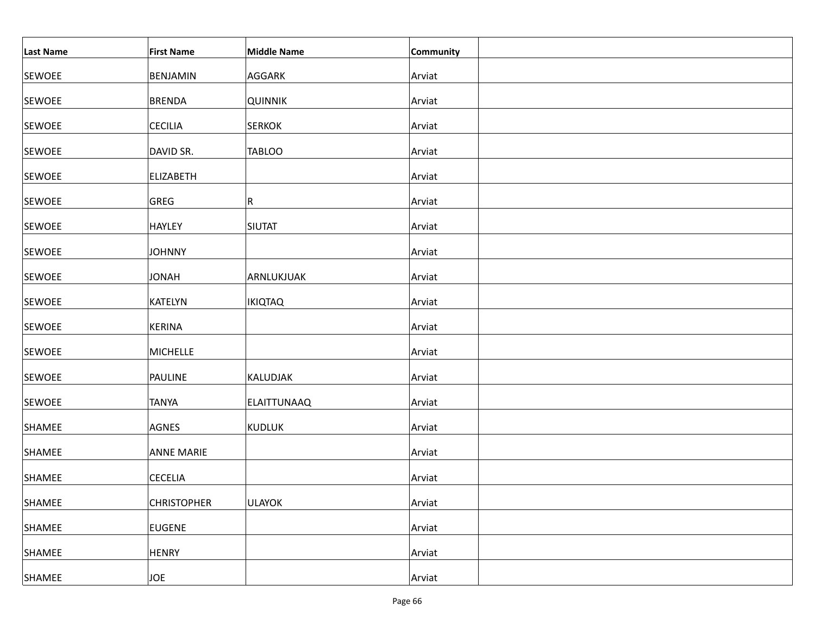| Last Name                                                       | <b>First Name</b>                                                                | <b>Middle Name</b>              | Community                                                |  |
|-----------------------------------------------------------------|----------------------------------------------------------------------------------|---------------------------------|----------------------------------------------------------|--|
| <b>SEWOEE</b>                                                   | BENJAMIN                                                                         | AGGARK                          | Arviat                                                   |  |
| <b>SEWOEE</b>                                                   | <b>BRENDA</b>                                                                    | <b>QUINNIK</b>                  | Arviat                                                   |  |
| <b>SEWOEE</b>                                                   | <b>CECILIA</b>                                                                   | <b>SERKOK</b>                   | Arviat                                                   |  |
| <b>SEWOEE</b>                                                   | DAVID SR.                                                                        | <b>TABLOO</b>                   | Arviat                                                   |  |
| <b>SEWOEE</b>                                                   | <b>ELIZABETH</b>                                                                 |                                 | Arviat                                                   |  |
| <b>SEWOEE</b>                                                   | GREG                                                                             | R                               | Arviat                                                   |  |
| <b>SEWOEE</b>                                                   | HAYLEY                                                                           | <b>SIUTAT</b>                   | Arviat                                                   |  |
| <b>SEWOEE</b>                                                   | <b>JOHNNY</b>                                                                    |                                 |                                                          |  |
|                                                                 |                                                                                  |                                 | Arviat                                                   |  |
| <b>SEWOEE</b>                                                   | JONAH                                                                            | ARNLUKJUAK                      | Arviat                                                   |  |
|                                                                 |                                                                                  |                                 |                                                          |  |
| <b>SEWOEE</b>                                                   | KERINA                                                                           |                                 | Arviat                                                   |  |
| <b>SEWOEE</b>                                                   | MICHELLE                                                                         |                                 | Arviat                                                   |  |
| <b>SEWOEE</b>                                                   | PAULINE                                                                          | KALUDJAK                        | Arviat                                                   |  |
| <b>SEWOEE</b>                                                   | <b>TANYA</b>                                                                     | ELAITTUNAAQ                     | Arviat                                                   |  |
| SHAMEE                                                          | AGNES                                                                            | <b>KUDLUK</b>                   | Arviat                                                   |  |
| SHAMEE                                                          | <b>ANNE MARIE</b>                                                                |                                 | Arviat                                                   |  |
|                                                                 |                                                                                  |                                 |                                                          |  |
|                                                                 |                                                                                  |                                 |                                                          |  |
|                                                                 |                                                                                  |                                 |                                                          |  |
|                                                                 |                                                                                  |                                 |                                                          |  |
|                                                                 |                                                                                  |                                 |                                                          |  |
| <b>SEWOEE</b><br>SHAMEE<br>SHAMEE<br>SHAMEE<br>SHAMEE<br>SHAMEE | KATELYN<br><b>CECELIA</b><br><b>CHRISTOPHER</b><br><b>EUGENE</b><br>HENRY<br>JOE | <b>IKIQTAQ</b><br><b>ULAYOK</b> | Arviat<br>Arviat<br>Arviat<br>Arviat<br>Arviat<br>Arviat |  |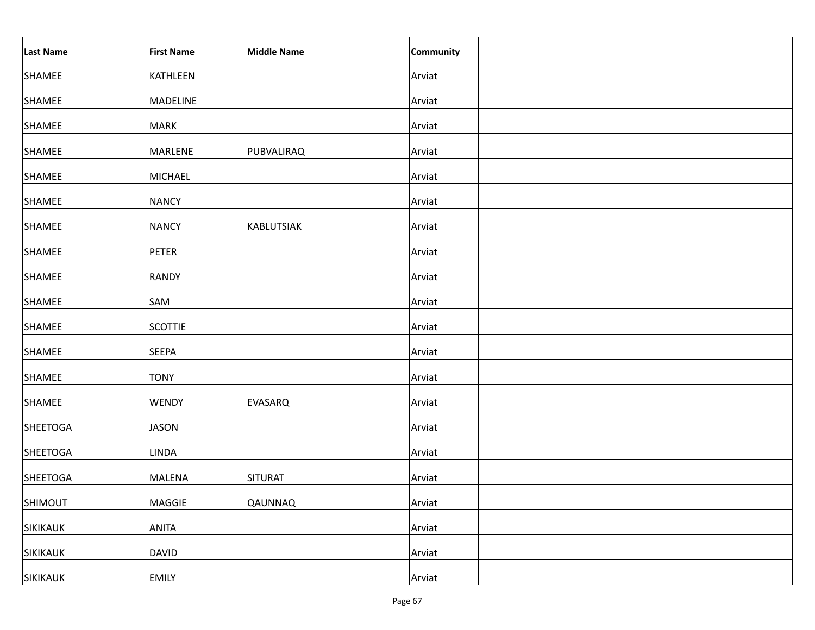| Last Name       | <b>First Name</b> | <b>Middle Name</b> | Community |  |
|-----------------|-------------------|--------------------|-----------|--|
| SHAMEE          | KATHLEEN          |                    | Arviat    |  |
| SHAMEE          | MADELINE          |                    | Arviat    |  |
| SHAMEE          | MARK              |                    | Arviat    |  |
| SHAMEE          | MARLENE           | PUBVALIRAQ         | Arviat    |  |
| SHAMEE          | MICHAEL           |                    | Arviat    |  |
| SHAMEE          | NANCY             |                    | Arviat    |  |
| SHAMEE          | NANCY             | KABLUTSIAK         | Arviat    |  |
| SHAMEE          | PETER             |                    | Arviat    |  |
| SHAMEE          | RANDY             |                    | Arviat    |  |
| SHAMEE          | SAM               |                    | Arviat    |  |
| SHAMEE          | <b>SCOTTIE</b>    |                    | Arviat    |  |
|                 |                   |                    |           |  |
| SHAMEE          | <b>SEEPA</b>      |                    | Arviat    |  |
| SHAMEE          | <b>TONY</b>       |                    | Arviat    |  |
| SHAMEE          | WENDY             | EVASARQ            | Arviat    |  |
| <b>SHEETOGA</b> | <b>JASON</b>      |                    | Arviat    |  |
| <b>SHEETOGA</b> | LINDA             |                    | Arviat    |  |
| <b>SHEETOGA</b> | MALENA            | SITURAT            | Arviat    |  |
| SHIMOUT         | MAGGIE            | <b>QAUNNAQ</b>     | Arviat    |  |
| SIKIKAUK        | ANITA             |                    | Arviat    |  |
| SIKIKAUK        | DAVID             |                    | Arviat    |  |
| SIKIKAUK        | <b>EMILY</b>      |                    | Arviat    |  |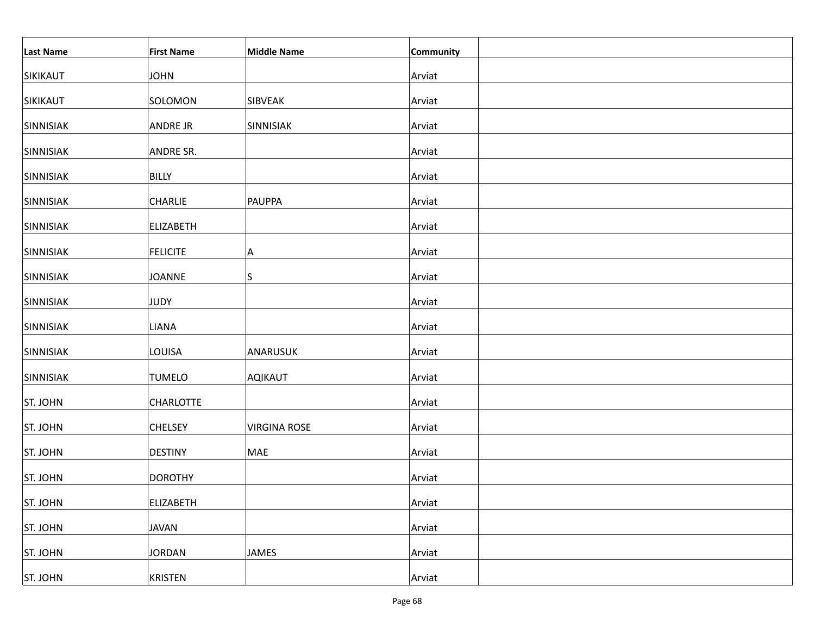| Last Name       | <b>First Name</b> | <b>Middle Name</b>  | Community |  |
|-----------------|-------------------|---------------------|-----------|--|
| SIKIKAUT        | JOHN              |                     | Arviat    |  |
| SIKIKAUT        | SOLOMON           | <b>SIBVEAK</b>      | Arviat    |  |
| SINNISIAK       | ANDRE JR          | SINNISIAK           | Arviat    |  |
| SINNISIAK       | ANDRE SR.         |                     | Arviat    |  |
| SINNISIAK       | BILLY             |                     | Arviat    |  |
| SINNISIAK       | <b>CHARLIE</b>    | PAUPPA              | Arviat    |  |
| SINNISIAK       | <b>ELIZABETH</b>  |                     | Arviat    |  |
| SINNISIAK       | <b>FELICITE</b>   | A                   | Arviat    |  |
| SINNISIAK       | JOANNE            | S                   | Arviat    |  |
| SINNISIAK       | JUDY              |                     | Arviat    |  |
| SINNISIAK       | LIANA             |                     | Arviat    |  |
| SINNISIAK       | LOUISA            | ANARUSUK            | Arviat    |  |
| SINNISIAK       | <b>TUMELO</b>     | AQIKAUT             | Arviat    |  |
| <b>ST. JOHN</b> | <b>CHARLOTTE</b>  |                     | Arviat    |  |
| <b>ST. JOHN</b> | <b>CHELSEY</b>    | <b>VIRGINA ROSE</b> | Arviat    |  |
| <b>ST. JOHN</b> | <b>DESTINY</b>    | <b>MAE</b>          | Arviat    |  |
| ST. JOHN        | <b>DOROTHY</b>    |                     | Arviat    |  |
| ST. JOHN        | <b>ELIZABETH</b>  |                     | Arviat    |  |
| ST. JOHN        | <b>JAVAN</b>      |                     | Arviat    |  |
| ST. JOHN        | JORDAN            | <b>JAMES</b>        | Arviat    |  |
| ST. JOHN        | KRISTEN           |                     | Arviat    |  |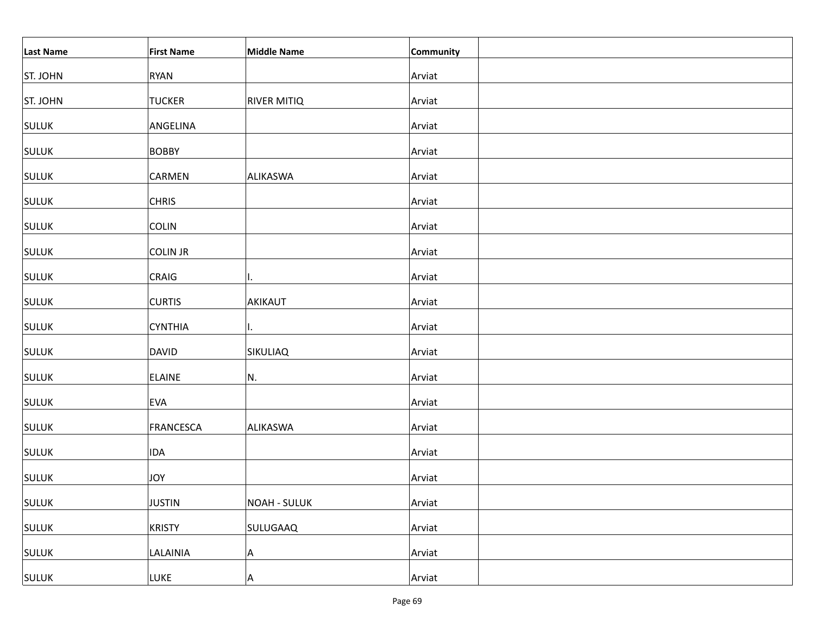| Last Name    | <b>First Name</b> | <b>Middle Name</b>  | Community |
|--------------|-------------------|---------------------|-----------|
| ST. JOHN     | RYAN              |                     | Arviat    |
| $ST.$ John   | <b>TUCKER</b>     | <b>RIVER MITIQ</b>  | Arviat    |
| <b>SULUK</b> | ANGELINA          |                     | Arviat    |
| <b>SULUK</b> | <b>BOBBY</b>      |                     | Arviat    |
| <b>SULUK</b> | <b>CARMEN</b>     | ALIKASWA            | Arviat    |
| <b>SULUK</b> | <b>CHRIS</b>      |                     | Arviat    |
| <b>SULUK</b> | <b>COLIN</b>      |                     | Arviat    |
| <b>SULUK</b> | <b>COLIN JR</b>   |                     | Arviat    |
| <b>SULUK</b> | <b>CRAIG</b>      | ı.                  | Arviat    |
| <b>SULUK</b> | <b>CURTIS</b>     | AKIKAUT             | Arviat    |
| <b>SULUK</b> | <b>CYNTHIA</b>    | ı.                  | Arviat    |
| <b>SULUK</b> | <b>DAVID</b>      | <b>SIKULIAQ</b>     | Arviat    |
| <b>SULUK</b> | <b>ELAINE</b>     | N.                  | Arviat    |
| <b>SULUK</b> | <b>EVA</b>        |                     | Arviat    |
| <b>SULUK</b> | <b>FRANCESCA</b>  | ALIKASWA            | Arviat    |
| <b>SULUK</b> | <b>IDA</b>        |                     | Arviat    |
| <b>SULUK</b> | <b>JOY</b>        |                     | Arviat    |
| <b>SULUK</b> | <b>JUSTIN</b>     | <b>NOAH - SULUK</b> | Arviat    |
| <b>SULUK</b> | KRISTY            | <b>SULUGAAQ</b>     | Arviat    |
| <b>SULUK</b> | LALAINIA          | A                   | Arviat    |
| <b>SULUK</b> | LUKE              | А                   | Arviat    |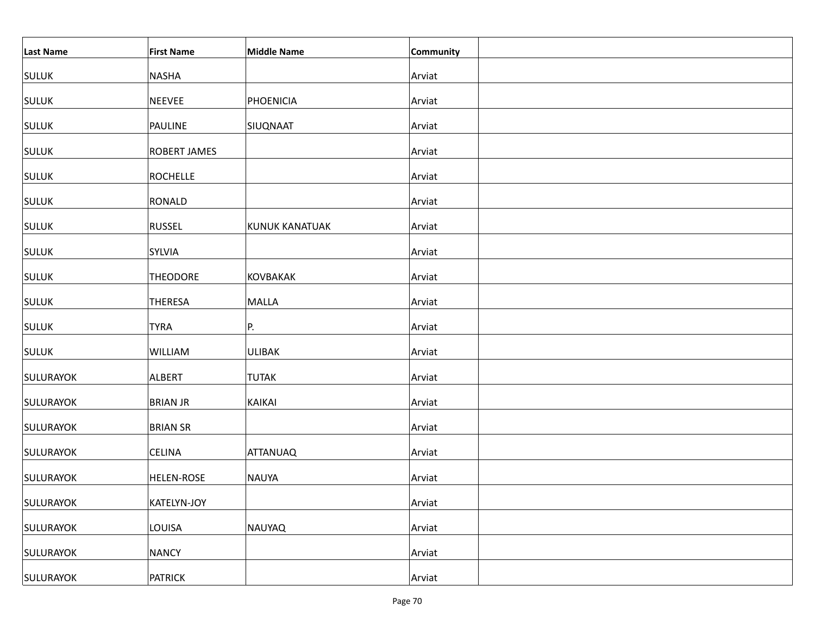| <b>First Name</b> | <b>Middle Name</b>                                                                                                                                                                                               | Community                                                                                                    |                                                                                                                                                              |
|-------------------|------------------------------------------------------------------------------------------------------------------------------------------------------------------------------------------------------------------|--------------------------------------------------------------------------------------------------------------|--------------------------------------------------------------------------------------------------------------------------------------------------------------|
| <b>NASHA</b>      |                                                                                                                                                                                                                  | Arviat                                                                                                       |                                                                                                                                                              |
| NEEVEE            | PHOENICIA                                                                                                                                                                                                        |                                                                                                              |                                                                                                                                                              |
|                   |                                                                                                                                                                                                                  |                                                                                                              |                                                                                                                                                              |
|                   |                                                                                                                                                                                                                  |                                                                                                              |                                                                                                                                                              |
|                   |                                                                                                                                                                                                                  |                                                                                                              |                                                                                                                                                              |
|                   |                                                                                                                                                                                                                  |                                                                                                              |                                                                                                                                                              |
|                   |                                                                                                                                                                                                                  |                                                                                                              |                                                                                                                                                              |
|                   |                                                                                                                                                                                                                  |                                                                                                              |                                                                                                                                                              |
|                   |                                                                                                                                                                                                                  |                                                                                                              |                                                                                                                                                              |
|                   |                                                                                                                                                                                                                  |                                                                                                              |                                                                                                                                                              |
|                   |                                                                                                                                                                                                                  |                                                                                                              |                                                                                                                                                              |
|                   |                                                                                                                                                                                                                  |                                                                                                              |                                                                                                                                                              |
|                   |                                                                                                                                                                                                                  |                                                                                                              |                                                                                                                                                              |
| ALBERT            | <b>TUTAK</b>                                                                                                                                                                                                     | Arviat                                                                                                       |                                                                                                                                                              |
| <b>BRIAN JR</b>   | KAIKAI                                                                                                                                                                                                           | Arviat                                                                                                       |                                                                                                                                                              |
| <b>BRIAN SR</b>   |                                                                                                                                                                                                                  | Arviat                                                                                                       |                                                                                                                                                              |
| <b>CELINA</b>     |                                                                                                                                                                                                                  | Arviat                                                                                                       |                                                                                                                                                              |
|                   |                                                                                                                                                                                                                  |                                                                                                              |                                                                                                                                                              |
|                   |                                                                                                                                                                                                                  |                                                                                                              |                                                                                                                                                              |
|                   |                                                                                                                                                                                                                  |                                                                                                              |                                                                                                                                                              |
|                   |                                                                                                                                                                                                                  |                                                                                                              |                                                                                                                                                              |
|                   |                                                                                                                                                                                                                  |                                                                                                              |                                                                                                                                                              |
|                   | PAULINE<br>ROBERT JAMES<br><b>ROCHELLE</b><br>RONALD<br>RUSSEL<br><b>SYLVIA</b><br><b>THEODORE</b><br><b>THERESA</b><br><b>TYRA</b><br>WILLIAM<br><b>HELEN-ROSE</b><br>KATELYN-JOY<br>LOUISA<br>NANCY<br>PATRICK | SIUQNAAT<br>KUNUK KANATUAK<br><b>KOVBAKAK</b><br>MALLA<br>P.<br>ULIBAK<br>ATTANUAQ<br><b>NAUYA</b><br>NAUYAQ | Arviat<br>Arviat<br>Arviat<br>Arviat<br>Arviat<br>Arviat<br>Arviat<br>Arviat<br>Arviat<br>Arviat<br>Arviat<br>Arviat<br>Arviat<br>Arviat<br>Arviat<br>Arviat |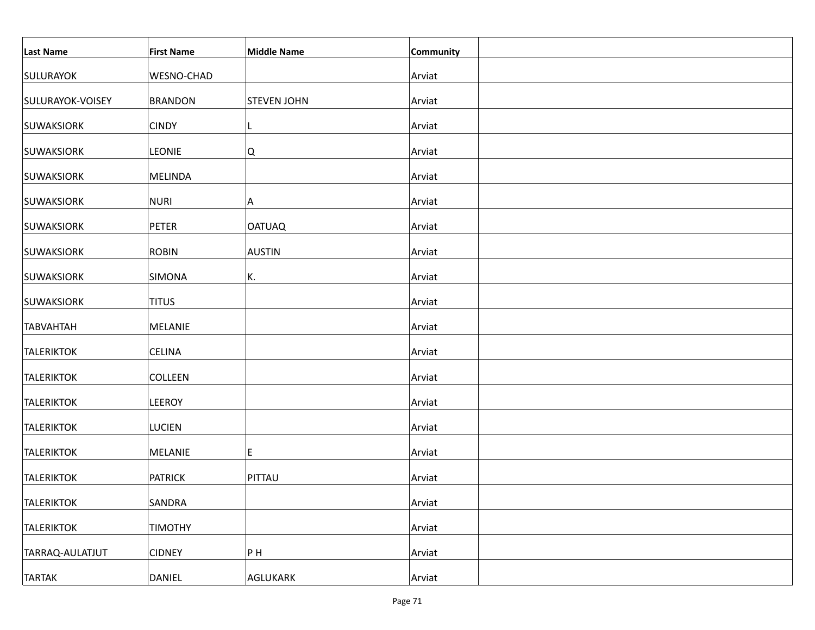| Last Name         | <b>First Name</b> | <b>Middle Name</b> | Community |  |
|-------------------|-------------------|--------------------|-----------|--|
| <b>SULURAYOK</b>  | WESNO-CHAD        |                    | Arviat    |  |
| SULURAYOK-VOISEY  | BRANDON           | <b>STEVEN JOHN</b> | Arviat    |  |
| SUWAKSIORK        | <b>CINDY</b>      |                    | Arviat    |  |
| SUWAKSIORK        | <b>LEONIE</b>     | Q                  | Arviat    |  |
| SUWAKSIORK        | MELINDA           |                    | Arviat    |  |
| SUWAKSIORK        | NURI              | A                  | Arviat    |  |
| SUWAKSIORK        | PETER             | <b>OATUAQ</b>      | Arviat    |  |
| <b>SUWAKSIORK</b> | <b>ROBIN</b>      | AUSTIN             | Arviat    |  |
| SUWAKSIORK        | SIMONA            | K.                 | Arviat    |  |
| SUWAKSIORK        | <b>TITUS</b>      |                    | Arviat    |  |
| <b>TABVAHTAH</b>  | MELANIE           |                    | Arviat    |  |
| <b>TALERIKTOK</b> | <b>CELINA</b>     |                    | Arviat    |  |
| <b>TALERIKTOK</b> | <b>COLLEEN</b>    |                    | Arviat    |  |
| <b>TALERIKTOK</b> | <b>LEEROY</b>     |                    | Arviat    |  |
| <b>TALERIKTOK</b> | <b>LUCIEN</b>     |                    | Arviat    |  |
| <b>TALERIKTOK</b> | MELANIE           | E                  | Arviat    |  |
| <b>TALERIKTOK</b> | PATRICK           | PITTAU             | Arviat    |  |
| <b>TALERIKTOK</b> | SANDRA            |                    | Arviat    |  |
| <b>TALERIKTOK</b> | <b>TIMOTHY</b>    |                    | Arviat    |  |
| TARRAQ-AULATJUT   | <b>CIDNEY</b>     | $ P $ H            | Arviat    |  |
| <b>TARTAK</b>     | DANIEL            | AGLUKARK           | Arviat    |  |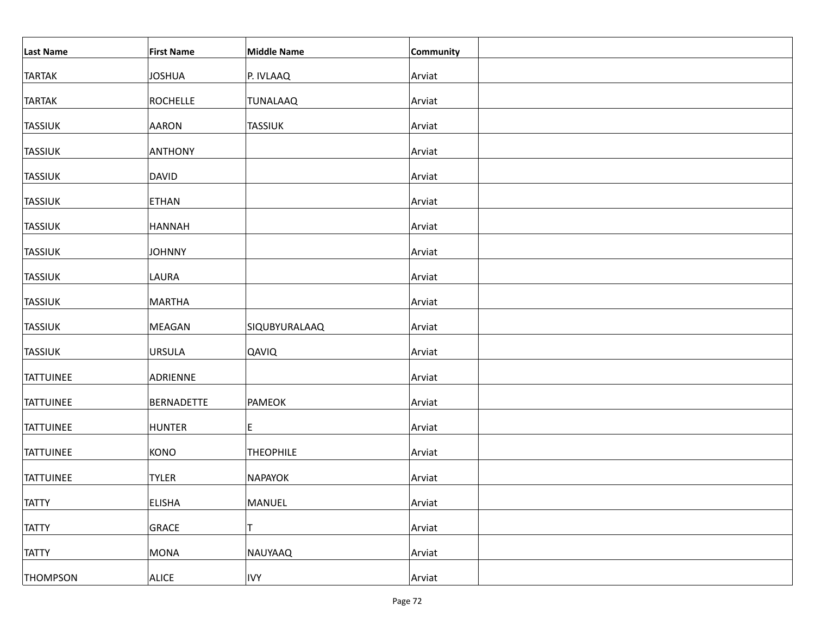| Last Name        | <b>First Name</b> | <b>Middle Name</b> | Community |  |
|------------------|-------------------|--------------------|-----------|--|
| <b>TARTAK</b>    | JOSHUA            | P. IVLAAQ          | Arviat    |  |
| <b>TARTAK</b>    | ROCHELLE          | <b>TUNALAAQ</b>    | Arviat    |  |
| <b>TASSIUK</b>   | AARON             | <b>TASSIUK</b>     | Arviat    |  |
| <b>TASSIUK</b>   | ANTHONY           |                    | Arviat    |  |
|                  |                   |                    |           |  |
| <b>TASSIUK</b>   | DAVID             |                    | Arviat    |  |
| <b>TASSIUK</b>   | <b>ETHAN</b>      |                    | Arviat    |  |
| <b>TASSIUK</b>   | HANNAH            |                    | Arviat    |  |
| <b>TASSIUK</b>   | JOHNNY            |                    | Arviat    |  |
| <b>TASSIUK</b>   | LAURA             |                    | Arviat    |  |
| <b>TASSIUK</b>   | MARTHA            |                    | Arviat    |  |
| <b>TASSIUK</b>   | MEAGAN            | SIQUBYURALAAQ      | Arviat    |  |
| <b>TASSIUK</b>   | URSULA            | <b>QAVIQ</b>       | Arviat    |  |
| <b>TATTUINEE</b> | ADRIENNE          |                    | Arviat    |  |
| <b>TATTUINEE</b> | BERNADETTE        | PAMEOK             | Arviat    |  |
| <b>TATTUINEE</b> | HUNTER            | E                  | Arviat    |  |
| <b>TATTUINEE</b> | KONO              | <b>THEOPHILE</b>   | Arviat    |  |
| <b>TATTUINEE</b> | <b>TYLER</b>      | NAPAYOK            | Arviat    |  |
| <b>TATTY</b>     | <b>ELISHA</b>     | MANUEL             | Arviat    |  |
| <b>TATTY</b>     | GRACE             | т                  | Arviat    |  |
| <b>TATTY</b>     | MONA              | NAUYAAQ            | Arviat    |  |
| <b>THOMPSON</b>  | <b>ALICE</b>      | <b>IVY</b>         | Arviat    |  |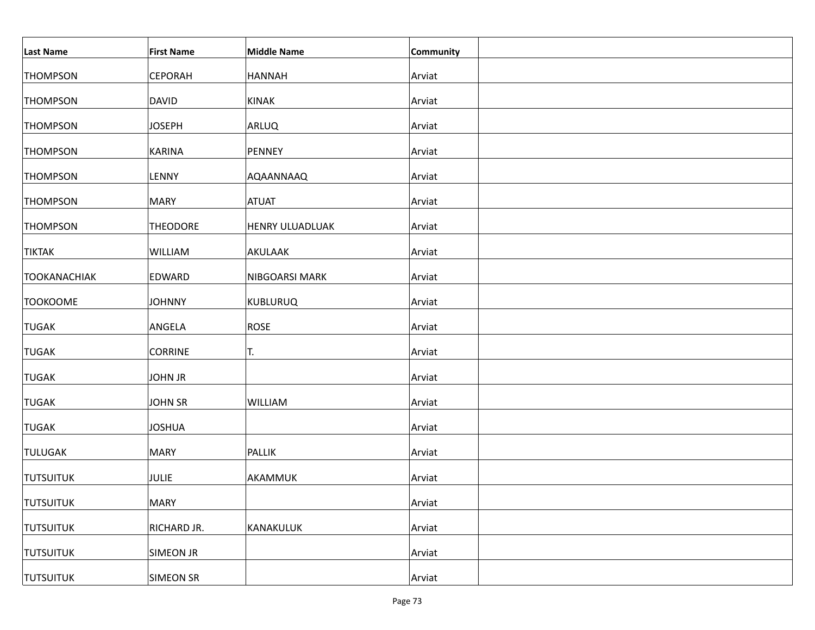| Last Name           | <b>First Name</b> | <b>Middle Name</b>     | Community |
|---------------------|-------------------|------------------------|-----------|
| <b>THOMPSON</b>     | <b>CEPORAH</b>    | HANNAH                 | Arviat    |
| <b>THOMPSON</b>     | <b>DAVID</b>      | KINAK                  | Arviat    |
| <b>THOMPSON</b>     | <b>JOSEPH</b>     | ARLUQ                  | Arviat    |
| <b>THOMPSON</b>     | KARINA            | PENNEY                 | Arviat    |
| <b>THOMPSON</b>     | LENNY             | AQAANNAAQ              | Arviat    |
| <b>THOMPSON</b>     | MARY              | <b>ATUAT</b>           | Arviat    |
| <b>THOMPSON</b>     | <b>THEODORE</b>   | <b>HENRY ULUADLUAK</b> | Arviat    |
| <b>TIKTAK</b>       | <b>WILLIAM</b>    | AKULAAK                | Arviat    |
|                     |                   |                        |           |
| <b>TOOKANACHIAK</b> | <b>EDWARD</b>     | <b>NIBGOARSI MARK</b>  | Arviat    |
| <b>TOOKOOME</b>     | <b>JOHNNY</b>     | KUBLURUQ               | Arviat    |
| <b>TUGAK</b>        | ANGELA            | ROSE                   | Arviat    |
| <b>TUGAK</b>        | <b>CORRINE</b>    | Т.                     | Arviat    |
| <b>TUGAK</b>        | <b>JOHN JR</b>    |                        | Arviat    |
| <b>TUGAK</b>        | <b>JOHN SR</b>    | WILLIAM                | Arviat    |
| <b>TUGAK</b>        | <b>JOSHUA</b>     |                        | Arviat    |
| <b>TULUGAK</b>      | MARY              | PALLIK                 | Arviat    |
| <b>TUTSUITUK</b>    | <b>JULIE</b>      | AKAMMUK                | Arviat    |
| <b>TUTSUITUK</b>    | MARY              |                        | Arviat    |
| <b>TUTSUITUK</b>    | RICHARD JR.       | KANAKULUK              | Arviat    |
| <b>TUTSUITUK</b>    | <b>SIMEON JR</b>  |                        | Arviat    |
| <b>TUTSUITUK</b>    | <b>SIMEON SR</b>  |                        |           |
|                     |                   |                        | Arviat    |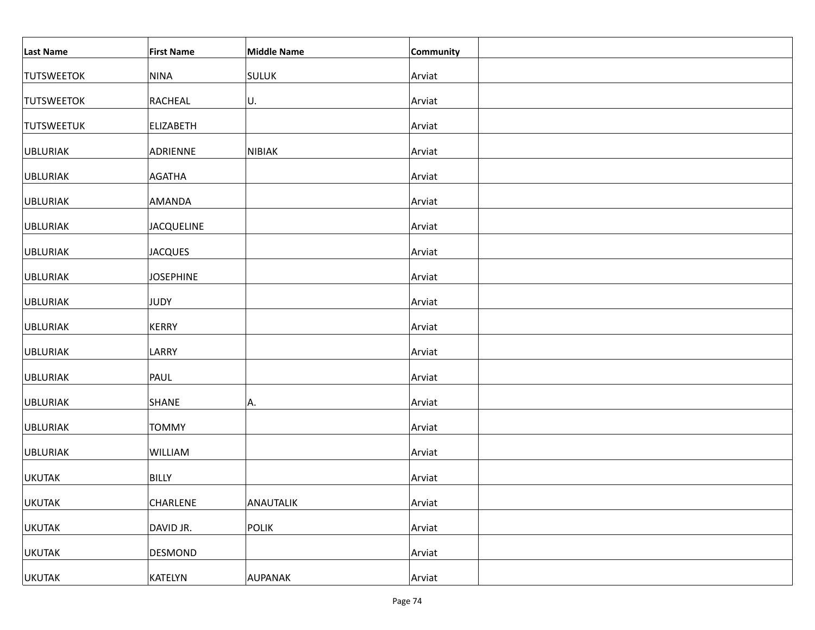| Last Name         | <b>First Name</b> | <b>Middle Name</b> | Community |  |
|-------------------|-------------------|--------------------|-----------|--|
| <b>TUTSWEETOK</b> | NINA              | <b>SULUK</b>       | Arviat    |  |
| <b>TUTSWEETOK</b> | RACHEAL           | U.                 | Arviat    |  |
| <b>TUTSWEETUK</b> | <b>ELIZABETH</b>  |                    | Arviat    |  |
| UBLURIAK          | ADRIENNE          | <b>NIBIAK</b>      | Arviat    |  |
| UBLURIAK          | AGATHA            |                    | Arviat    |  |
| UBLURIAK          | AMANDA            |                    | Arviat    |  |
| UBLURIAK          | JACQUELINE        |                    | Arviat    |  |
| UBLURIAK          | <b>JACQUES</b>    |                    | Arviat    |  |
| UBLURIAK          | <b>JOSEPHINE</b>  |                    | Arviat    |  |
| UBLURIAK          | JUDY              |                    | Arviat    |  |
| UBLURIAK          | KERRY             |                    | Arviat    |  |
|                   |                   |                    |           |  |
| UBLURIAK          | LARRY             |                    | Arviat    |  |
| UBLURIAK          | PAUL              |                    | Arviat    |  |
| UBLURIAK          | SHANE             | A.                 | Arviat    |  |
| UBLURIAK          | <b>TOMMY</b>      |                    | Arviat    |  |
| UBLURIAK          | <b>WILLIAM</b>    |                    | Arviat    |  |
| UKUTAK            | BILLY             |                    | Arviat    |  |
| UKUTAK            | CHARLENE          | ANAUTALIK          | Arviat    |  |
| UKUTAK            | DAVID JR.         | POLIK              | Arviat    |  |
| UKUTAK            | DESMOND           |                    | Arviat    |  |
| UKUTAK            | KATELYN           | AUPANAK            | Arviat    |  |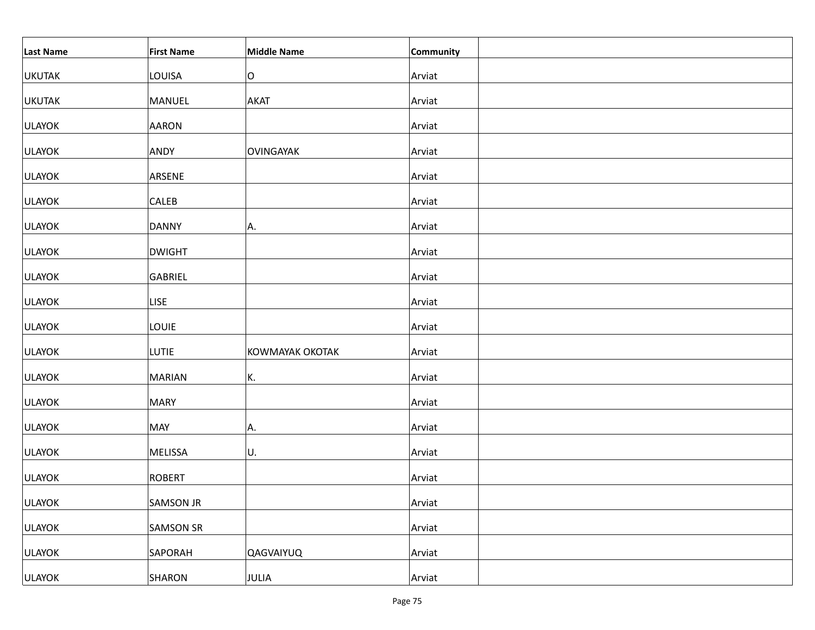| Last Name     | <b>First Name</b> | <b>Middle Name</b>     | Community |  |
|---------------|-------------------|------------------------|-----------|--|
| <b>UKUTAK</b> | LOUISA            | 0                      | Arviat    |  |
| <b>UKUTAK</b> | MANUEL            | AKAT                   | Arviat    |  |
| <b>ULAYOK</b> | AARON             |                        | Arviat    |  |
| <b>ULAYOK</b> | ANDY              | OVINGAYAK              | Arviat    |  |
| ULAYOK        | ARSENE            |                        | Arviat    |  |
| <b>ULAYOK</b> | <b>CALEB</b>      |                        | Arviat    |  |
| <b>ULAYOK</b> | DANNY             | A.                     | Arviat    |  |
| <b>ULAYOK</b> | <b>DWIGHT</b>     |                        | Arviat    |  |
| <b>ULAYOK</b> | GABRIEL           |                        | Arviat    |  |
| <b>ULAYOK</b> | <b>LISE</b>       |                        | Arviat    |  |
| <b>ULAYOK</b> | <b>LOUIE</b>      |                        | Arviat    |  |
| <b>ULAYOK</b> | <b>LUTIE</b>      | <b>KOWMAYAK OKOTAK</b> | Arviat    |  |
| <b>ULAYOK</b> | <b>MARIAN</b>     | K.                     | Arviat    |  |
| <b>ULAYOK</b> | MARY              |                        | Arviat    |  |
| <b>ULAYOK</b> | MAY               | A.                     | Arviat    |  |
| <b>ULAYOK</b> | MELISSA           | U.                     | Arviat    |  |
| <b>ULAYOK</b> | ROBERT            |                        | Arviat    |  |
| ULAYOK        | <b>SAMSON JR</b>  |                        | Arviat    |  |
| ULAYOK        | <b>SAMSON SR</b>  |                        | Arviat    |  |
| ULAYOK        | SAPORAH           | QAGVAIYUQ              | Arviat    |  |
| ULAYOK        | <b>SHARON</b>     | JULIA                  | Arviat    |  |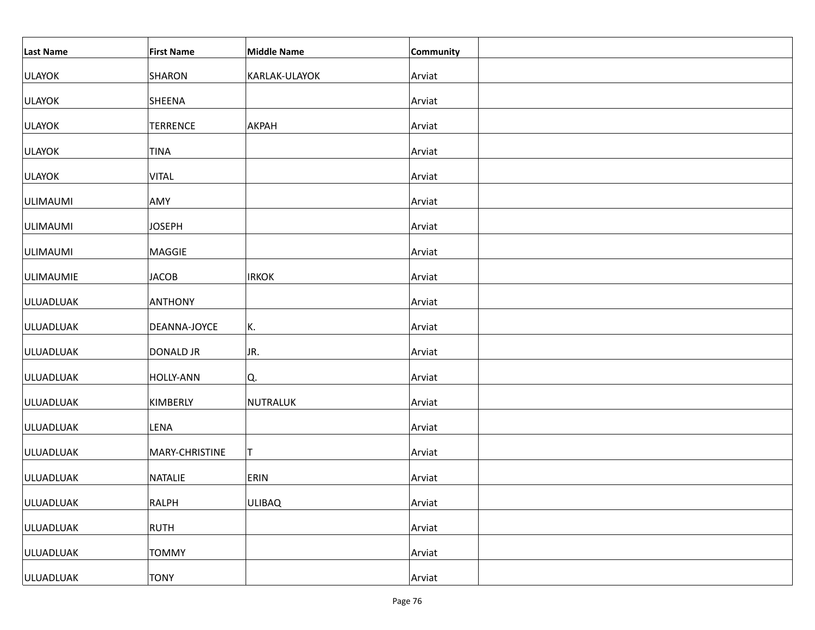| Last Name     | <b>First Name</b> | <b>Middle Name</b> | Community |  |
|---------------|-------------------|--------------------|-----------|--|
| <b>ULAYOK</b> | SHARON            | KARLAK-ULAYOK      | Arviat    |  |
| ULAYOK        | SHEENA            |                    | Arviat    |  |
| ULAYOK        | <b>TERRENCE</b>   | AKPAH              | Arviat    |  |
| ULAYOK        | <b>TINA</b>       |                    | Arviat    |  |
| ULAYOK        | <b>VITAL</b>      |                    | Arviat    |  |
| ULIMAUMI      | AMY               |                    | Arviat    |  |
|               |                   |                    |           |  |
| ULIMAUMI      | <b>JOSEPH</b>     |                    | Arviat    |  |
| ULIMAUMI      | MAGGIE            |                    | Arviat    |  |
| ULIMAUMIE     | <b>JACOB</b>      | <b>IRKOK</b>       | Arviat    |  |
| ULUADLUAK     | ANTHONY           |                    | Arviat    |  |
| ULUADLUAK     | DEANNA-JOYCE      | K.                 | Arviat    |  |
| ULUADLUAK     | DONALD JR         | JR.                | Arviat    |  |
| ULUADLUAK     | HOLLY-ANN         | Q.                 | Arviat    |  |
| ULUADLUAK     | KIMBERLY          | NUTRALUK           | Arviat    |  |
| ULUADLUAK     | LENA              |                    | Arviat    |  |
| ULUADLUAK     | MARY-CHRISTINE    | ΙT                 | Arviat    |  |
| ULUADLUAK     | NATALIE           | ERIN               | Arviat    |  |
| ULUADLUAK     | RALPH             | <b>ULIBAQ</b>      | Arviat    |  |
| ULUADLUAK     | RUTH              |                    | Arviat    |  |
| ULUADLUAK     | <b>TOMMY</b>      |                    | Arviat    |  |
| ULUADLUAK     | <b>TONY</b>       |                    | Arviat    |  |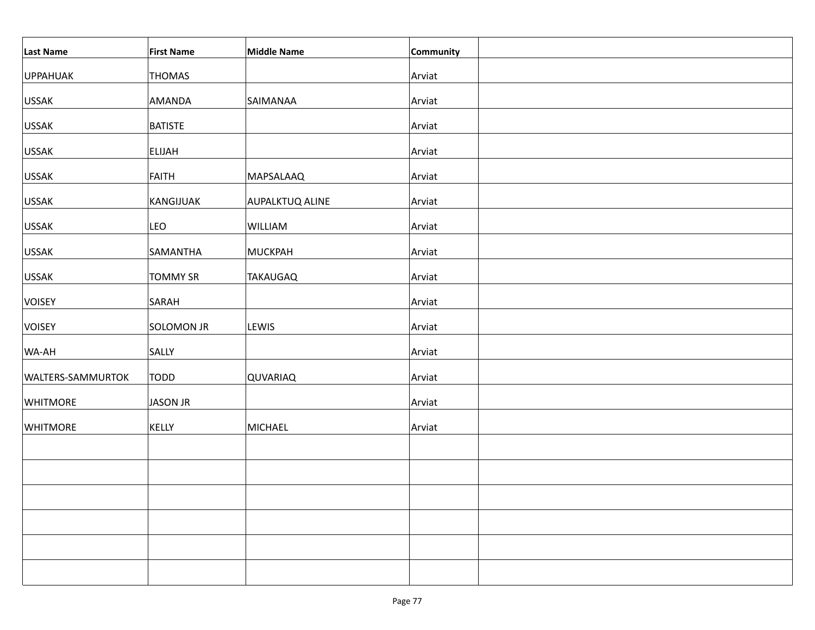| Last Name         | <b>First Name</b> | <b>Middle Name</b> | Community |  |
|-------------------|-------------------|--------------------|-----------|--|
| <b>UPPAHUAK</b>   | <b>THOMAS</b>     |                    | Arviat    |  |
| USSAK             | AMANDA            | SAIMANAA           | Arviat    |  |
| USSAK             | <b>BATISTE</b>    |                    | Arviat    |  |
| USSAK             | <b>ELIJAH</b>     |                    | Arviat    |  |
| USSAK             | FAITH             | MAPSALAAQ          | Arviat    |  |
| USSAK             | KANGIJUAK         | AUPALKTUQ ALINE    | Arviat    |  |
|                   |                   |                    |           |  |
| USSAK             | LEO               | WILLIAM            | Arviat    |  |
| USSAK             | SAMANTHA          | MUCKPAH            | Arviat    |  |
| USSAK             | <b>TOMMY SR</b>   | <b>TAKAUGAQ</b>    | Arviat    |  |
| <b>VOISEY</b>     | SARAH             |                    | Arviat    |  |
| <b>VOISEY</b>     | SOLOMON JR        | LEWIS              | Arviat    |  |
| WA-AH             | SALLY             |                    | Arviat    |  |
| WALTERS-SAMMURTOK | <b>TODD</b>       | <b>QUVARIAQ</b>    | Arviat    |  |
| <b>WHITMORE</b>   | JASON JR          |                    | Arviat    |  |
| <b>WHITMORE</b>   | KELLY             | MICHAEL            | Arviat    |  |
|                   |                   |                    |           |  |
|                   |                   |                    |           |  |
|                   |                   |                    |           |  |
|                   |                   |                    |           |  |
|                   |                   |                    |           |  |
|                   |                   |                    |           |  |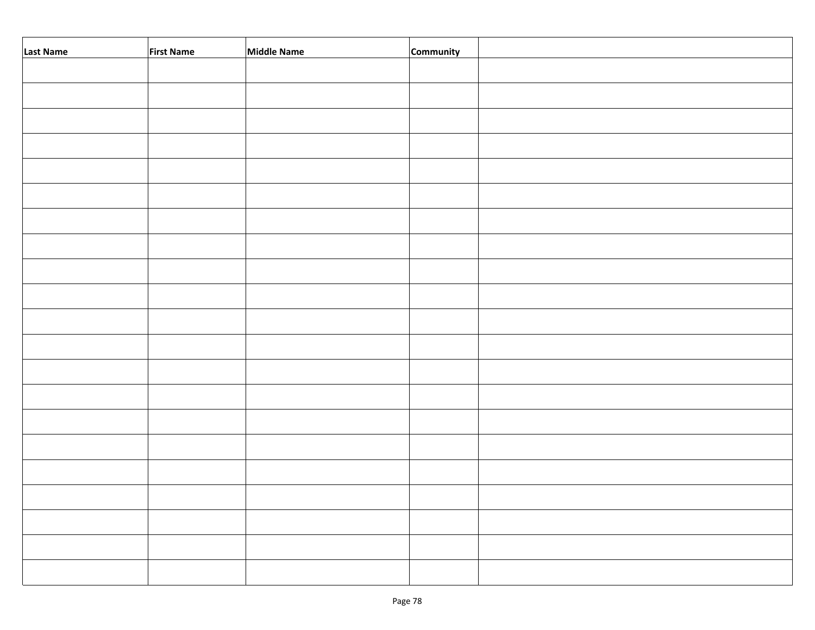| Last Name | <b>First Name</b> | Middle Name | <b>Community</b> |  |
|-----------|-------------------|-------------|------------------|--|
|           |                   |             |                  |  |
|           |                   |             |                  |  |
|           |                   |             |                  |  |
|           |                   |             |                  |  |
|           |                   |             |                  |  |
|           |                   |             |                  |  |
|           |                   |             |                  |  |
|           |                   |             |                  |  |
|           |                   |             |                  |  |
|           |                   |             |                  |  |
|           |                   |             |                  |  |
|           |                   |             |                  |  |
|           |                   |             |                  |  |
|           |                   |             |                  |  |
|           |                   |             |                  |  |
|           |                   |             |                  |  |
|           |                   |             |                  |  |
|           |                   |             |                  |  |
|           |                   |             |                  |  |
|           |                   |             |                  |  |
|           |                   |             |                  |  |